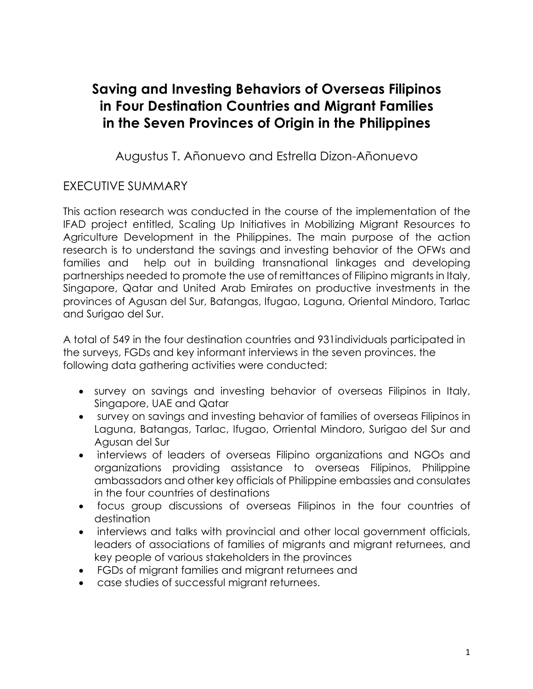# **Saving and Investing Behaviors of Overseas Filipinos in Four Destination Countries and Migrant Families in the Seven Provinces of Origin in the Philippines**

Augustus T. Añonuevo and Estrella Dizon-Añonuevo

## EXECUTIVE SUMMARY

This action research was conducted in the course of the implementation of the IFAD project entitled, Scaling Up Initiatives in Mobilizing Migrant Resources to Agriculture Development in the Philippines. The main purpose of the action research is to understand the savings and investing behavior of the OFWs and families and help out in building transnational linkages and developing partnerships needed to promote the use of remittances of Filipino migrants in Italy, Singapore, Qatar and United Arab Emirates on productive investments in the provinces of Agusan del Sur, Batangas, Ifugao, Laguna, Oriental Mindoro, Tarlac and Surigao del Sur.

A total of 549 in the four destination countries and 931individuals participated in the surveys, FGDs and key informant interviews in the seven provinces. the following data gathering activities were conducted:

- survey on savings and investing behavior of overseas Filipinos in Italy, Singapore, UAE and Qatar
- survey on savings and investing behavior of families of overseas Filipinos in Laguna, Batangas, Tarlac, Ifugao, Orriental Mindoro, Surigao del Sur and Agusan del Sur
- interviews of leaders of overseas Filipino organizations and NGOs and organizations providing assistance to overseas Filipinos, Philippine ambassadors and other key officials of Philippine embassies and consulates in the four countries of destinations
- focus group discussions of overseas Filipinos in the four countries of destination
- interviews and talks with provincial and other local government officials, leaders of associations of families of migrants and migrant returnees, and key people of various stakeholders in the provinces
- FGDs of migrant families and migrant returnees and
- case studies of successful migrant returnees.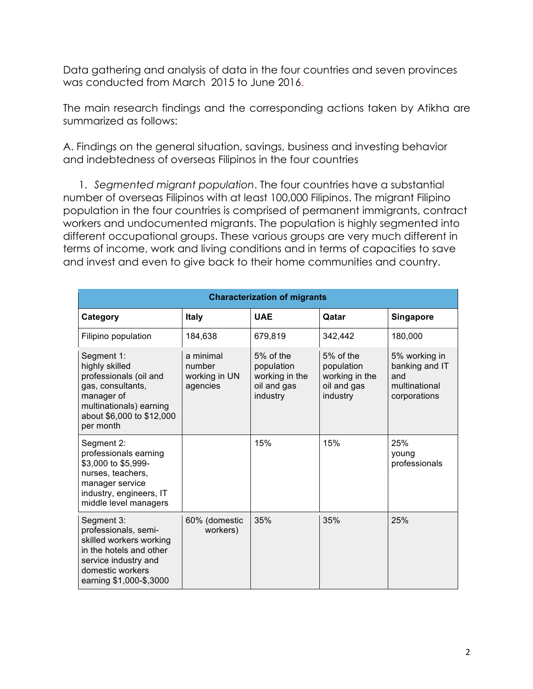Data gathering and analysis of data in the four countries and seven provinces was conducted from March 2015 to June 2016.

The main research findings and the corresponding actions taken by Atikha are summarized as follows:

A. Findings on the general situation, savings, business and investing behavior and indebtedness of overseas Filipinos in the four countries

1. *Segmented migrant population*. The four countries have a substantial number of overseas Filipinos with at least 100,000 Filipinos. The migrant Filipino population in the four countries is comprised of permanent immigrants, contract workers and undocumented migrants. The population is highly segmented into different occupational groups. These various groups are very much different in terms of income, work and living conditions and in terms of capacities to save and invest and even to give back to their home communities and country.

| <b>Characterization of migrants</b>                                                                                                                             |                                                  |                                                                        |                                                                        |                                                                         |  |  |
|-----------------------------------------------------------------------------------------------------------------------------------------------------------------|--------------------------------------------------|------------------------------------------------------------------------|------------------------------------------------------------------------|-------------------------------------------------------------------------|--|--|
| Category                                                                                                                                                        | <b>Italy</b>                                     | <b>UAE</b>                                                             | Qatar                                                                  | <b>Singapore</b>                                                        |  |  |
| Filipino population                                                                                                                                             | 184,638                                          | 679,819                                                                | 342,442                                                                | 180,000                                                                 |  |  |
| Segment 1:<br>highly skilled<br>professionals (oil and<br>gas, consultants,<br>manager of<br>multinationals) earning<br>about \$6,000 to \$12,000<br>per month  | a minimal<br>number<br>working in UN<br>agencies | $5%$ of the<br>population<br>working in the<br>oil and gas<br>industry | $5%$ of the<br>population<br>working in the<br>oil and gas<br>industry | 5% working in<br>banking and IT<br>and<br>multinational<br>corporations |  |  |
| Segment 2:<br>professionals earning<br>\$3,000 to \$5,999-<br>nurses, teachers,<br>manager service<br>industry, engineers, IT<br>middle level managers          |                                                  | 15%                                                                    | 15%                                                                    | 25%<br>young<br>professionals                                           |  |  |
| Segment 3:<br>professionals, semi-<br>skilled workers working<br>in the hotels and other<br>service industry and<br>domestic workers<br>earning \$1,000-\$,3000 | 60% (domestic<br>workers)                        | 35%                                                                    | 35%                                                                    | 25%                                                                     |  |  |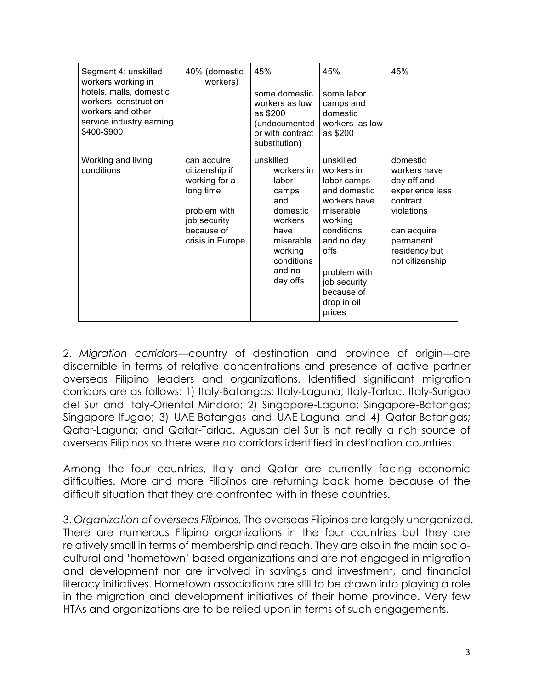| Segment 4: unskilled<br>workers working in<br>hotels, malls, domestic<br>workers, construction<br>workers and other<br>service industry earning<br>\$400-\$900 | 40% (domestic<br>workers)                                                                                                     | 45%<br>some domestic<br>workers as low<br>as \$200<br>(undocumented<br>or with contract<br>substitution)                                    | 45%<br>some labor<br>camps and<br>domestic<br>workers as low<br>as \$200                                                                                                                                  | 45%                                                                                                                                                  |
|----------------------------------------------------------------------------------------------------------------------------------------------------------------|-------------------------------------------------------------------------------------------------------------------------------|---------------------------------------------------------------------------------------------------------------------------------------------|-----------------------------------------------------------------------------------------------------------------------------------------------------------------------------------------------------------|------------------------------------------------------------------------------------------------------------------------------------------------------|
| Working and living<br>conditions                                                                                                                               | can acquire<br>citizenship if<br>working for a<br>long time<br>problem with<br>job security<br>because of<br>crisis in Europe | unskilled<br>workers in<br>labor<br>camps<br>and<br>domestic<br>workers<br>have<br>miserable<br>working<br>conditions<br>and no<br>day offs | unskilled<br>workers in<br>labor camps<br>and domestic<br>workers have<br>miserable<br>working<br>conditions<br>and no day<br>offs<br>problem with<br>job security<br>because of<br>drop in oil<br>prices | domestic<br>workers have<br>day off and<br>experience less<br>contract<br>violations<br>can acquire<br>permanent<br>residency but<br>not citizenship |

2. *Migration corridors*—country of destination and province of origin—are discernible in terms of relative concentrations and presence of active partner overseas Filipino leaders and organizations. Identified significant migration corridors are as follows: 1) Italy-Batangas; Italy-Laguna; Italy-Tarlac, Italy-Surigao del Sur and Italy-Oriental Mindoro; 2) Singapore-Laguna; Singapore-Batangas; Singapore-Ifugao; 3) UAE-Batangas and UAE-Laguna and 4) Qatar-Batangas; Qatar-Laguna; and Qatar-Tarlac. Agusan del Sur is not really a rich source of overseas Filipinos so there were no corridors identified in destination countries.

Among the four countries, Italy and Qatar are currently facing economic difficulties. More and more Filipinos are returning back home because of the difficult situation that they are confronted with in these countries.

3. *Organization of overseas Filipinos.* The overseas Filipinos are largely unorganized. There are numerous Filipino organizations in the four countries but they are relatively small in terms of membership and reach. They are also in the main sociocultural and 'hometown'-based organizations and are not engaged in migration and development nor are involved in savings and investment, and financial literacy initiatives. Hometown associations are still to be drawn into playing a role in the migration and development initiatives of their home province. Very few HTAs and organizations are to be relied upon in terms of such engagements.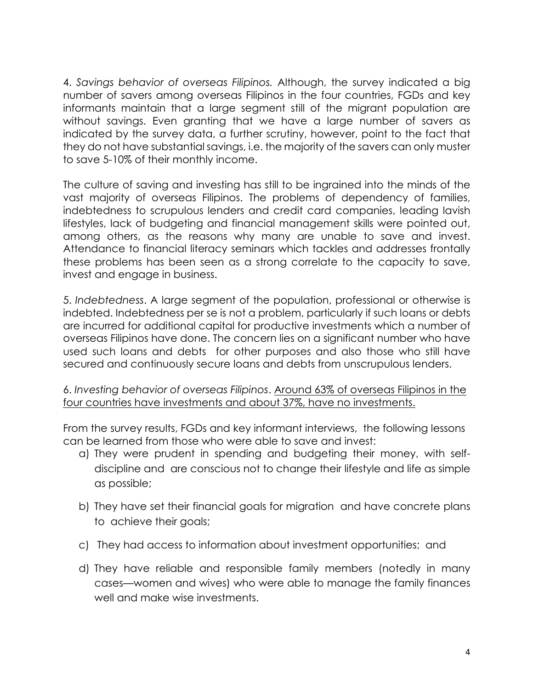4. *Savings behavior of overseas Filipinos.* Although, the survey indicated a big number of savers among overseas Filipinos in the four countries, FGDs and key informants maintain that a large segment still of the migrant population are without savings. Even granting that we have a large number of savers as indicated by the survey data, a further scrutiny, however, point to the fact that they do not have substantial savings, i.e. the majority of the savers can only muster to save 5-10% of their monthly income.

The culture of saving and investing has still to be ingrained into the minds of the vast majority of overseas Filipinos. The problems of dependency of families, indebtedness to scrupulous lenders and credit card companies, leading lavish lifestyles, lack of budgeting and financial management skills were pointed out, among others, as the reasons why many are unable to save and invest. Attendance to financial literacy seminars which tackles and addresses frontally these problems has been seen as a strong correlate to the capacity to save, invest and engage in business.

5. *Indebtedness*. A large segment of the population, professional or otherwise is indebted. Indebtedness per se is not a problem, particularly if such loans or debts are incurred for additional capital for productive investments which a number of overseas Filipinos have done. The concern lies on a significant number who have used such loans and debts for other purposes and also those who still have secured and continuously secure loans and debts from unscrupulous lenders.

6. *Investing behavior of overseas Filipinos*. Around 63% of overseas Filipinos in the four countries have investments and about 37%, have no investments.

From the survey results, FGDs and key informant interviews, the following lessons can be learned from those who were able to save and invest:

- a) They were prudent in spending and budgeting their money, with selfdiscipline and are conscious not to change their lifestyle and life as simple as possible;
- b) They have set their financial goals for migration and have concrete plans to achieve their goals;
- c) They had access to information about investment opportunities; and
- d) They have reliable and responsible family members (notedly in many cases—women and wives) who were able to manage the family finances well and make wise investments.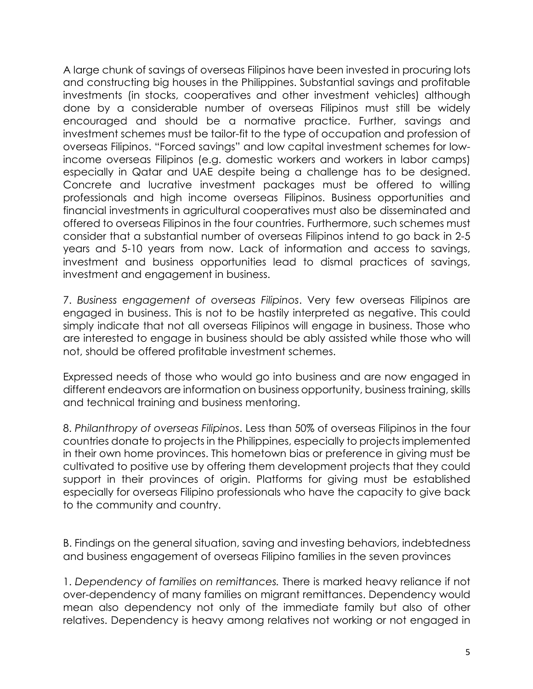A large chunk of savings of overseas Filipinos have been invested in procuring lots and constructing big houses in the Philippines. Substantial savings and profitable investments (in stocks, cooperatives and other investment vehicles) although done by a considerable number of overseas Filipinos must still be widely encouraged and should be a normative practice. Further, savings and investment schemes must be tailor-fit to the type of occupation and profession of overseas Filipinos. "Forced savings" and low capital investment schemes for lowincome overseas Filipinos (e.g. domestic workers and workers in labor camps) especially in Qatar and UAE despite being a challenge has to be designed. Concrete and lucrative investment packages must be offered to willing professionals and high income overseas Filipinos. Business opportunities and financial investments in agricultural cooperatives must also be disseminated and offered to overseas Filipinos in the four countries. Furthermore, such schemes must consider that a substantial number of overseas Filipinos intend to go back in 2-5 years and 5-10 years from now. Lack of information and access to savings, investment and business opportunities lead to dismal practices of savings, investment and engagement in business.

7. *Business engagement of overseas Filipinos*. Very few overseas Filipinos are engaged in business. This is not to be hastily interpreted as negative. This could simply indicate that not all overseas Filipinos will engage in business. Those who are interested to engage in business should be ably assisted while those who will not, should be offered profitable investment schemes.

Expressed needs of those who would go into business and are now engaged in different endeavors are information on business opportunity, business training, skills and technical training and business mentoring.

8. *Philanthropy of overseas Filipinos*. Less than 50% of overseas Filipinos in the four countries donate to projects in the Philippines, especially to projects implemented in their own home provinces. This hometown bias or preference in giving must be cultivated to positive use by offering them development projects that they could support in their provinces of origin. Platforms for giving must be established especially for overseas Filipino professionals who have the capacity to give back to the community and country.

B. Findings on the general situation, saving and investing behaviors, indebtedness and business engagement of overseas Filipino families in the seven provinces

1. *Dependency of families on remittances.* There is marked heavy reliance if not over-dependency of many families on migrant remittances. Dependency would mean also dependency not only of the immediate family but also of other relatives. Dependency is heavy among relatives not working or not engaged in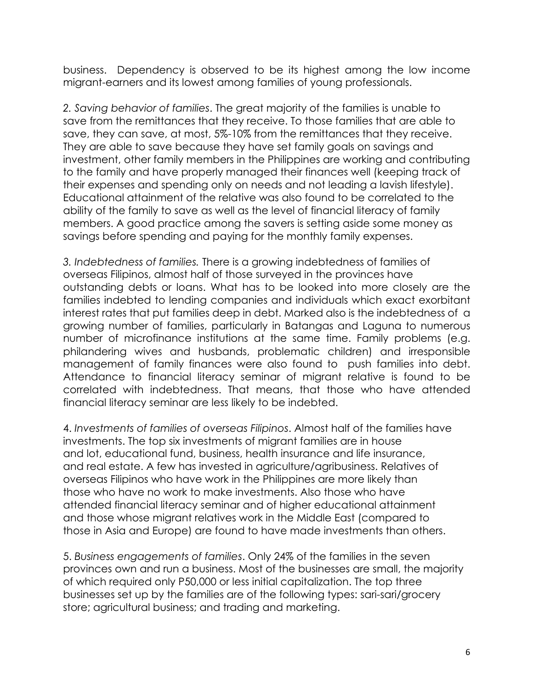business. Dependency is observed to be its highest among the low income migrant-earners and its lowest among families of young professionals.

*2. Saving behavior of families*. The great majority of the families is unable to save from the remittances that they receive. To those families that are able to save, they can save, at most, 5%-10% from the remittances that they receive. They are able to save because they have set family goals on savings and investment, other family members in the Philippines are working and contributing to the family and have properly managed their finances well (keeping track of their expenses and spending only on needs and not leading a lavish lifestyle). Educational attainment of the relative was also found to be correlated to the ability of the family to save as well as the level of financial literacy of family members. A good practice among the savers is setting aside some money as savings before spending and paying for the monthly family expenses.

*3. Indebtedness of families.* There is a growing indebtedness of families of overseas Filipinos, almost half of those surveyed in the provinces have outstanding debts or loans. What has to be looked into more closely are the families indebted to lending companies and individuals which exact exorbitant interest rates that put families deep in debt. Marked also is the indebtedness of a growing number of families, particularly in Batangas and Laguna to numerous number of microfinance institutions at the same time. Family problems (e.g. philandering wives and husbands, problematic children) and irresponsible management of family finances were also found to push families into debt. Attendance to financial literacy seminar of migrant relative is found to be correlated with indebtedness. That means, that those who have attended financial literacy seminar are less likely to be indebted.

4. *Investments of families of overseas Filipinos*. Almost half of the families have investments. The top six investments of migrant families are in house and lot, educational fund, business, health insurance and life insurance, and real estate. A few has invested in agriculture/agribusiness. Relatives of overseas Filipinos who have work in the Philippines are more likely than those who have no work to make investments. Also those who have attended financial literacy seminar and of higher educational attainment and those whose migrant relatives work in the Middle East (compared to those in Asia and Europe) are found to have made investments than others.

5. *Business engagements of families*. Only 24% of the families in the seven provinces own and run a business. Most of the businesses are small, the majority of which required only P50,000 or less initial capitalization. The top three businesses set up by the families are of the following types: sari-sari/grocery store; agricultural business; and trading and marketing.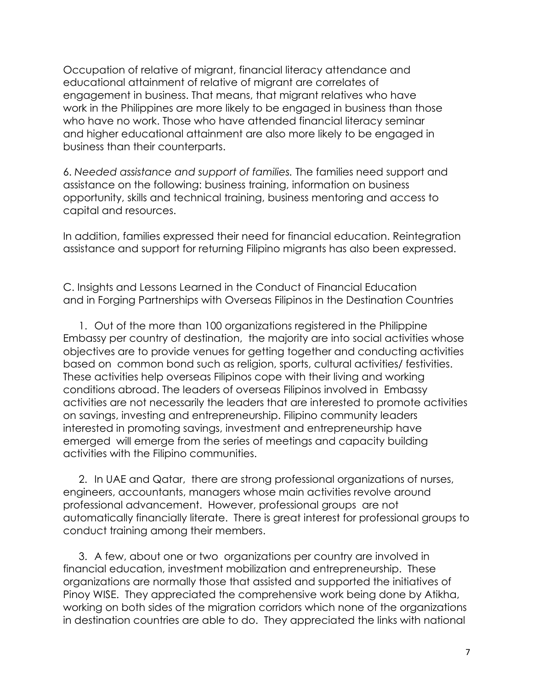Occupation of relative of migrant, financial literacy attendance and educational attainment of relative of migrant are correlates of engagement in business. That means, that migrant relatives who have work in the Philippines are more likely to be engaged in business than those who have no work. Those who have attended financial literacy seminar and higher educational attainment are also more likely to be engaged in business than their counterparts.

6. *Needed assistance and support of families.* The families need support and assistance on the following: business training, information on business opportunity, skills and technical training, business mentoring and access to capital and resources.

In addition, families expressed their need for financial education. Reintegration assistance and support for returning Filipino migrants has also been expressed.

C. Insights and Lessons Learned in the Conduct of Financial Education and in Forging Partnerships with Overseas Filipinos in the Destination Countries

1. Out of the more than 100 organizations registered in the Philippine Embassy per country of destination, the majority are into social activities whose objectives are to provide venues for getting together and conducting activities based on common bond such as religion, sports, cultural activities/ festivities. These activities help overseas Filipinos cope with their living and working conditions abroad. The leaders of overseas Filipinos involved in Embassy activities are not necessarily the leaders that are interested to promote activities on savings, investing and entrepreneurship. Filipino community leaders interested in promoting savings, investment and entrepreneurship have emerged will emerge from the series of meetings and capacity building activities with the Filipino communities.

2. In UAE and Qatar, there are strong professional organizations of nurses, engineers, accountants, managers whose main activities revolve around professional advancement. However, professional groups are not automatically financially literate. There is great interest for professional groups to conduct training among their members.

3. A few, about one or two organizations per country are involved in financial education, investment mobilization and entrepreneurship. These organizations are normally those that assisted and supported the initiatives of Pinoy WISE. They appreciated the comprehensive work being done by Atikha, working on both sides of the migration corridors which none of the organizations in destination countries are able to do. They appreciated the links with national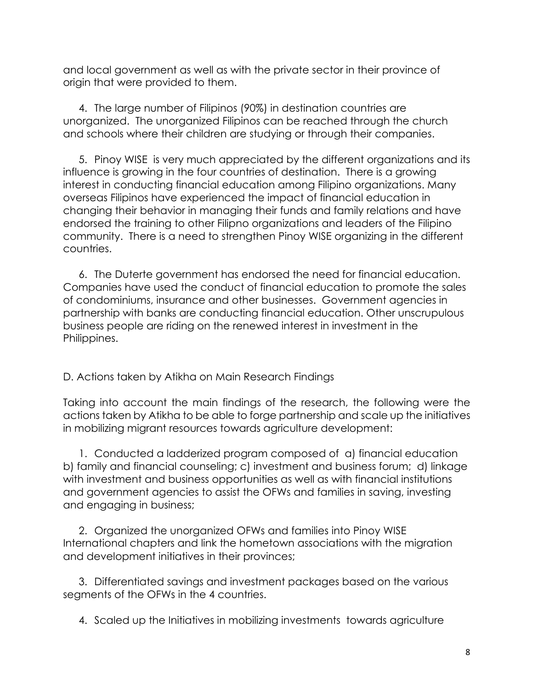and local government as well as with the private sector in their province of origin that were provided to them.

4. The large number of Filipinos (90%) in destination countries are unorganized. The unorganized Filipinos can be reached through the church and schools where their children are studying or through their companies.

5. Pinoy WISE is very much appreciated by the different organizations and its influence is growing in the four countries of destination. There is a growing interest in conducting financial education among Filipino organizations. Many overseas Filipinos have experienced the impact of financial education in changing their behavior in managing their funds and family relations and have endorsed the training to other Filipno organizations and leaders of the Filipino community. There is a need to strengthen Pinoy WISE organizing in the different countries.

6. The Duterte government has endorsed the need for financial education. Companies have used the conduct of financial education to promote the sales of condominiums, insurance and other businesses. Government agencies in partnership with banks are conducting financial education. Other unscrupulous business people are riding on the renewed interest in investment in the Philippines.

D. Actions taken by Atikha on Main Research Findings

Taking into account the main findings of the research, the following were the actions taken by Atikha to be able to forge partnership and scale up the initiatives in mobilizing migrant resources towards agriculture development:

1. Conducted a ladderized program composed of a) financial education b) family and financial counseling; c) investment and business forum; d) linkage with investment and business opportunities as well as with financial institutions and government agencies to assist the OFWs and families in saving, investing and engaging in business;

2. Organized the unorganized OFWs and families into Pinoy WISE International chapters and link the hometown associations with the migration and development initiatives in their provinces;

3. Differentiated savings and investment packages based on the various segments of the OFWs in the 4 countries.

4. Scaled up the Initiatives in mobilizing investments towards agriculture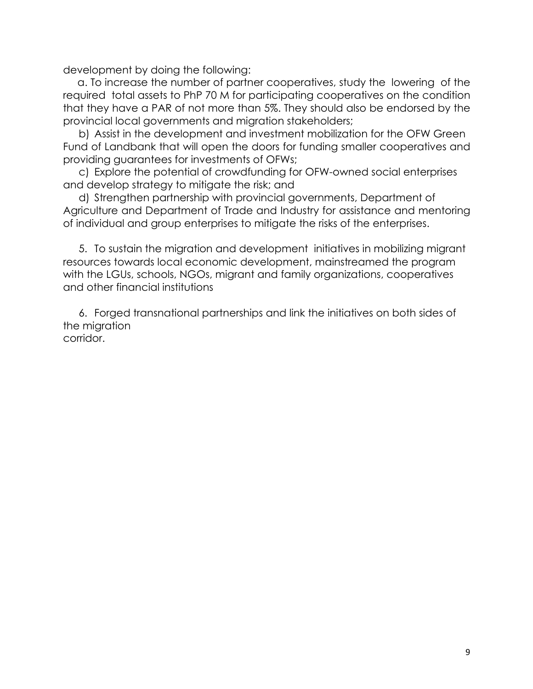development by doing the following:

 a. To increase the number of partner cooperatives, study the lowering of the required total assets to PhP 70 M for participating cooperatives on the condition that they have a PAR of not more than 5%. They should also be endorsed by the provincial local governments and migration stakeholders;

b) Assist in the development and investment mobilization for the OFW Green Fund of Landbank that will open the doors for funding smaller cooperatives and providing guarantees for investments of OFWs;

c) Explore the potential of crowdfunding for OFW-owned social enterprises and develop strategy to mitigate the risk; and

d) Strengthen partnership with provincial governments, Department of Agriculture and Department of Trade and Industry for assistance and mentoring of individual and group enterprises to mitigate the risks of the enterprises.

5. To sustain the migration and development initiatives in mobilizing migrant resources towards local economic development, mainstreamed the program with the LGUs, schools, NGOs, migrant and family organizations, cooperatives and other financial institutions

6. Forged transnational partnerships and link the initiatives on both sides of the migration corridor.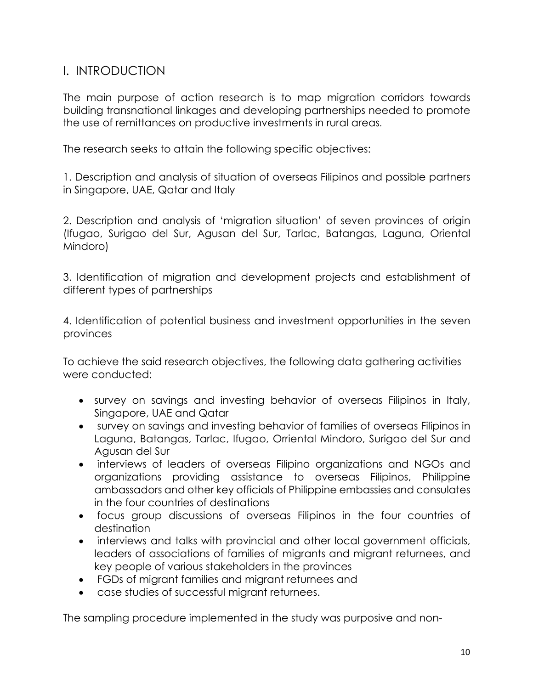## I. INTRODUCTION

The main purpose of action research is to map migration corridors towards building transnational linkages and developing partnerships needed to promote the use of remittances on productive investments in rural areas.

The research seeks to attain the following specific objectives:

1. Description and analysis of situation of overseas Filipinos and possible partners in Singapore, UAE, Qatar and Italy

2. Description and analysis of 'migration situation' of seven provinces of origin (Ifugao, Surigao del Sur, Agusan del Sur, Tarlac, Batangas, Laguna, Oriental Mindoro)

3. Identification of migration and development projects and establishment of different types of partnerships

4. Identification of potential business and investment opportunities in the seven provinces

To achieve the said research objectives, the following data gathering activities were conducted:

- survey on savings and investing behavior of overseas Filipinos in Italy, Singapore, UAE and Qatar
- survey on savings and investing behavior of families of overseas Filipinos in Laguna, Batangas, Tarlac, Ifugao, Orriental Mindoro, Surigao del Sur and Agusan del Sur
- interviews of leaders of overseas Filipino organizations and NGOs and organizations providing assistance to overseas Filipinos, Philippine ambassadors and other key officials of Philippine embassies and consulates in the four countries of destinations
- focus group discussions of overseas Filipinos in the four countries of destination
- interviews and talks with provincial and other local government officials, leaders of associations of families of migrants and migrant returnees, and key people of various stakeholders in the provinces
- FGDs of migrant families and migrant returnees and
- case studies of successful migrant returnees.

The sampling procedure implemented in the study was purposive and non-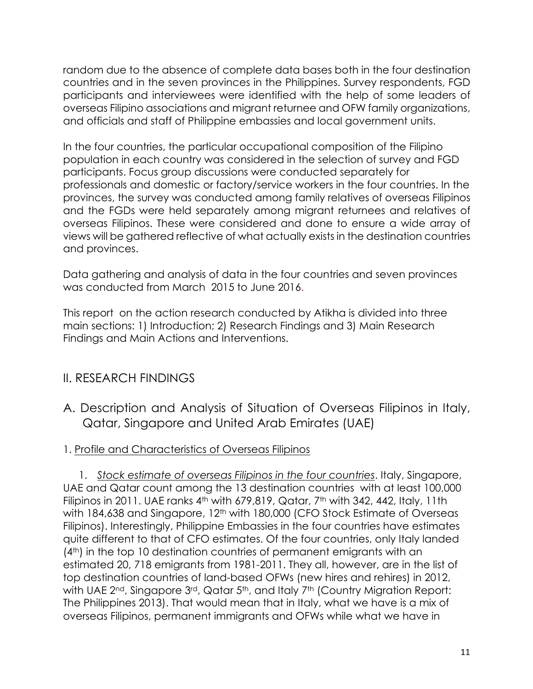random due to the absence of complete data bases both in the four destination countries and in the seven provinces in the Philippines. Survey respondents, FGD participants and interviewees were identified with the help of some leaders of overseas Filipino associations and migrant returnee and OFW family organizations, and officials and staff of Philippine embassies and local government units.

In the four countries, the particular occupational composition of the Filipino population in each country was considered in the selection of survey and FGD participants. Focus group discussions were conducted separately for professionals and domestic or factory/service workers in the four countries. In the provinces, the survey was conducted among family relatives of overseas Filipinos and the FGDs were held separately among migrant returnees and relatives of overseas Filipinos. These were considered and done to ensure a wide array of views will be gathered reflective of what actually exists in the destination countries and provinces.

Data gathering and analysis of data in the four countries and seven provinces was conducted from March 2015 to June 2016.

This report on the action research conducted by Atikha is divided into three main sections: 1) Introduction; 2) Research Findings and 3) Main Research Findings and Main Actions and Interventions.

## II. RESEARCH FINDINGS

- A. Description and Analysis of Situation of Overseas Filipinos in Italy, Qatar, Singapore and United Arab Emirates (UAE)
- 1. Profile and Characteristics of Overseas Filipinos

1. *Stock estimate of overseas Filipinos in the four countries*. Italy, Singapore, UAE and Qatar count among the 13 destination countries with at least 100,000 Filipinos in 2011. UAE ranks  $4<sup>th</sup>$  with 679,819, Qatar, 7<sup>th</sup> with 342, 442, Italy, 11th with 184,638 and Singapore, 12<sup>th</sup> with 180,000 (CFO Stock Estimate of Overseas Filipinos). Interestingly, Philippine Embassies in the four countries have estimates quite different to that of CFO estimates. Of the four countries, only Italy landed (4th) in the top 10 destination countries of permanent emigrants with an estimated 20, 718 emigrants from 1981-2011. They all, however, are in the list of top destination countries of land-based OFWs (new hires and rehires) in 2012, with UAE 2<sup>nd</sup>, Singapore 3<sup>rd</sup>, Qatar 5<sup>th</sup>, and Italy 7<sup>th</sup> (Country Migration Report: The Philippines 2013). That would mean that in Italy, what we have is a mix of overseas Filipinos, permanent immigrants and OFWs while what we have in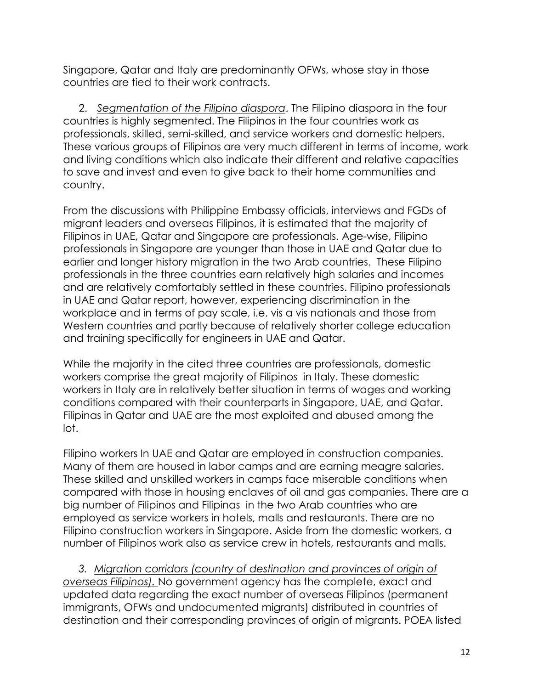Singapore, Qatar and Italy are predominantly OFWs, whose stay in those countries are tied to their work contracts.

2. *Segmentation of the Filipino diaspora*. The Filipino diaspora in the four countries is highly segmented. The Filipinos in the four countries work as professionals, skilled, semi-skilled, and service workers and domestic helpers. These various groups of Filipinos are very much different in terms of income, work and living conditions which also indicate their different and relative capacities to save and invest and even to give back to their home communities and country.

From the discussions with Philippine Embassy officials, interviews and FGDs of migrant leaders and overseas Filipinos, it is estimated that the majority of Filipinos in UAE, Qatar and Singapore are professionals. Age-wise, Filipino professionals in Singapore are younger than those in UAE and Qatar due to earlier and longer history migration in the two Arab countries. These Filipino professionals in the three countries earn relatively high salaries and incomes and are relatively comfortably settled in these countries. Filipino professionals in UAE and Qatar report, however, experiencing discrimination in the workplace and in terms of pay scale, i.e. vis a vis nationals and those from Western countries and partly because of relatively shorter college education and training specifically for engineers in UAE and Qatar.

While the majority in the cited three countries are professionals, domestic workers comprise the great majority of Filipinos in Italy. These domestic workers in Italy are in relatively better situation in terms of wages and working conditions compared with their counterparts in Singapore, UAE, and Qatar. Filipinas in Qatar and UAE are the most exploited and abused among the lot.

Filipino workers In UAE and Qatar are employed in construction companies. Many of them are housed in labor camps and are earning meagre salaries. These skilled and unskilled workers in camps face miserable conditions when compared with those in housing enclaves of oil and gas companies. There are a big number of Filipinos and Filipinas in the two Arab countries who are employed as service workers in hotels, malls and restaurants. There are no Filipino construction workers in Singapore. Aside from the domestic workers, a number of Filipinos work also as service crew in hotels, restaurants and malls.

*3. Migration corridors (country of destination and provinces of origin of overseas Filipinos).* No government agency has the complete, exact and updated data regarding the exact number of overseas Filipinos (permanent immigrants, OFWs and undocumented migrants) distributed in countries of destination and their corresponding provinces of origin of migrants. POEA listed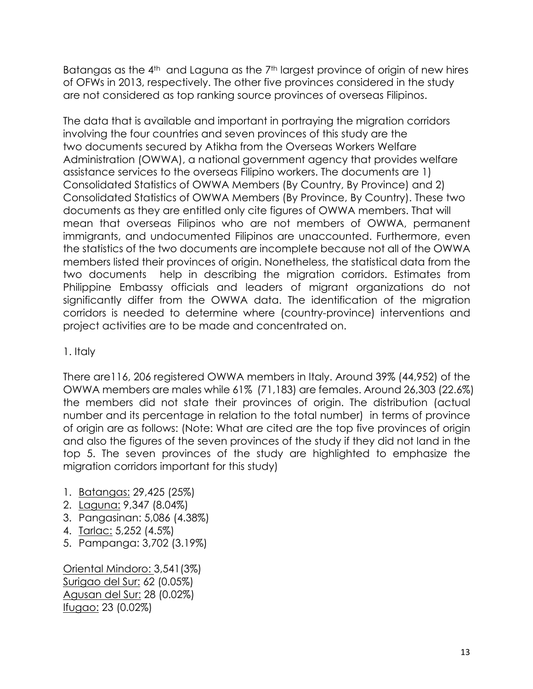Batangas as the 4<sup>th</sup> and Laguna as the 7<sup>th</sup> largest province of origin of new hires of OFWs in 2013, respectively. The other five provinces considered in the study are not considered as top ranking source provinces of overseas Filipinos.

The data that is available and important in portraying the migration corridors involving the four countries and seven provinces of this study are the two documents secured by Atikha from the Overseas Workers Welfare Administration (OWWA), a national government agency that provides welfare assistance services to the overseas Filipino workers. The documents are 1) Consolidated Statistics of OWWA Members (By Country, By Province) and 2) Consolidated Statistics of OWWA Members (By Province, By Country). These two documents as they are entitled only cite figures of OWWA members. That will mean that overseas Filipinos who are not members of OWWA, permanent immigrants, and undocumented Filipinos are unaccounted. Furthermore, even the statistics of the two documents are incomplete because not all of the OWWA members listed their provinces of origin. Nonetheless, the statistical data from the two documents help in describing the migration corridors. Estimates from Philippine Embassy officials and leaders of migrant organizations do not significantly differ from the OWWA data. The identification of the migration corridors is needed to determine where (country-province) interventions and project activities are to be made and concentrated on.

1. Italy

There are116, 206 registered OWWA members in Italy. Around 39% (44,952) of the OWWA members are males while 61% (71,183) are females. Around 26,303 (22.6%) the members did not state their provinces of origin. The distribution (actual number and its percentage in relation to the total number) in terms of province of origin are as follows: (Note: What are cited are the top five provinces of origin and also the figures of the seven provinces of the study if they did not land in the top 5. The seven provinces of the study are highlighted to emphasize the migration corridors important for this study)

- 1. Batangas: 29,425 (25%)
- 2. Laguna: 9,347 (8.04%)
- 3. Pangasinan: 5,086 (4.38%)
- 4. Tarlac: 5,252 (4.5%)
- 5. Pampanga: 3,702 (3.19%)

Oriental Mindoro: 3,541(3%) Surigao del Sur: 62 (0.05%) Agusan del Sur: 28 (0.02%) Ifugao: 23 (0.02%)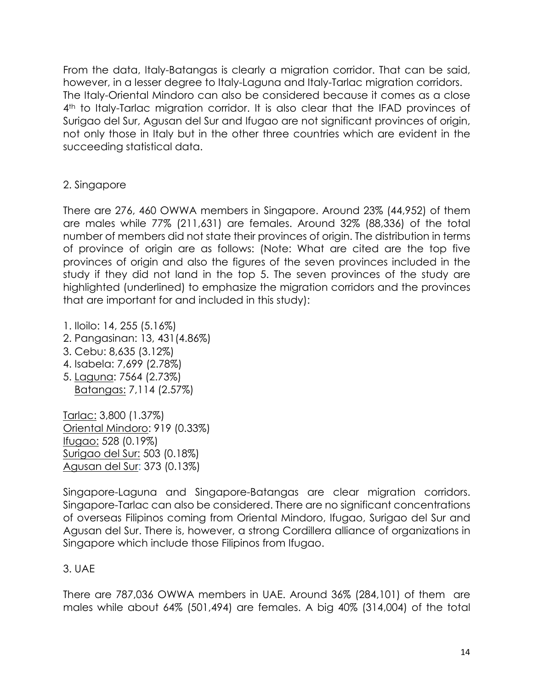From the data, Italy-Batangas is clearly a migration corridor. That can be said, however, in a lesser degree to Italy-Laguna and Italy-Tarlac migration corridors. The Italy-Oriental Mindoro can also be considered because it comes as a close 4<sup>th</sup> to Italy-Tarlac migration corridor. It is also clear that the IFAD provinces of Surigao del Sur, Agusan del Sur and Ifugao are not significant provinces of origin, not only those in Italy but in the other three countries which are evident in the succeeding statistical data.

## 2. Singapore

There are 276, 460 OWWA members in Singapore. Around 23% (44,952) of them are males while 77% (211,631) are females. Around 32% (88,336) of the total number of members did not state their provinces of origin. The distribution in terms of province of origin are as follows: (Note: What are cited are the top five provinces of origin and also the figures of the seven provinces included in the study if they did not land in the top 5. The seven provinces of the study are highlighted (underlined) to emphasize the migration corridors and the provinces that are important for and included in this study):

- 1. Iloilo: 14, 255 (5.16%)
- 2. Pangasinan: 13, 431(4.86%)
- 3. Cebu: 8,635 (3.12%)
- 4. Isabela: 7,699 (2.78%)
- 5. Laguna: 7564 (2.73%) Batangas: 7,114 (2.57%)

Tarlac: 3,800 (1.37%) Oriental Mindoro: 919 (0.33%) Ifugao: 528 (0.19%) Surigao del Sur: 503 (0.18%) Agusan del Sur: 373 (0.13%)

Singapore-Laguna and Singapore-Batangas are clear migration corridors. Singapore-Tarlac can also be considered. There are no significant concentrations of overseas Filipinos coming from Oriental Mindoro, Ifugao, Surigao del Sur and Agusan del Sur. There is, however, a strong Cordillera alliance of organizations in Singapore which include those Filipinos from Ifugao.

## 3. UAE

There are 787,036 OWWA members in UAE. Around 36% (284,101) of them are males while about 64% (501,494) are females. A big 40% (314,004) of the total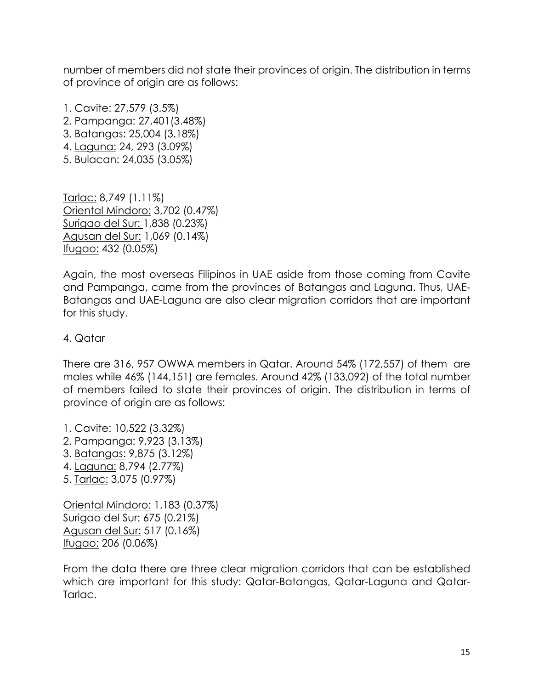number of members did not state their provinces of origin. The distribution in terms of province of origin are as follows:

1. Cavite: 27,579 (3.5%) 2. Pampanga: 27,401(3.48%) 3. Batangas: 25,004 (3.18%) 4. Laguna: 24, 293 (3.09%) 5. Bulacan: 24,035 (3.05%)

Tarlac: 8,749 (1.11%) Oriental Mindoro: 3,702 (0.47%) Surigao del Sur: 1,838 (0.23%) Agusan del Sur: 1,069 (0.14%) Ifugao: 432 (0.05%)

Again, the most overseas Filipinos in UAE aside from those coming from Cavite and Pampanga, came from the provinces of Batangas and Laguna. Thus, UAE-Batangas and UAE-Laguna are also clear migration corridors that are important for this study.

## 4. Qatar

There are 316, 957 OWWA members in Qatar. Around 54% (172,557) of them are males while 46% (144,151) are females. Around 42% (133,092) of the total number of members failed to state their provinces of origin. The distribution in terms of province of origin are as follows:

1. Cavite: 10,522 (3.32%) 2. Pampanga: 9,923 (3.13%) 3. Batangas: 9,875 (3.12%) 4. Laguna: 8,794 (2.77%) 5. Tarlac: 3,075 (0.97%)

Oriental Mindoro: 1,183 (0.37%) Surigao del Sur: 675 (0.21%) Agusan del Sur: 517 (0.16%) Ifugao: 206 (0.06%)

From the data there are three clear migration corridors that can be established which are important for this study: Qatar-Batangas, Qatar-Laguna and Qatar-Tarlac.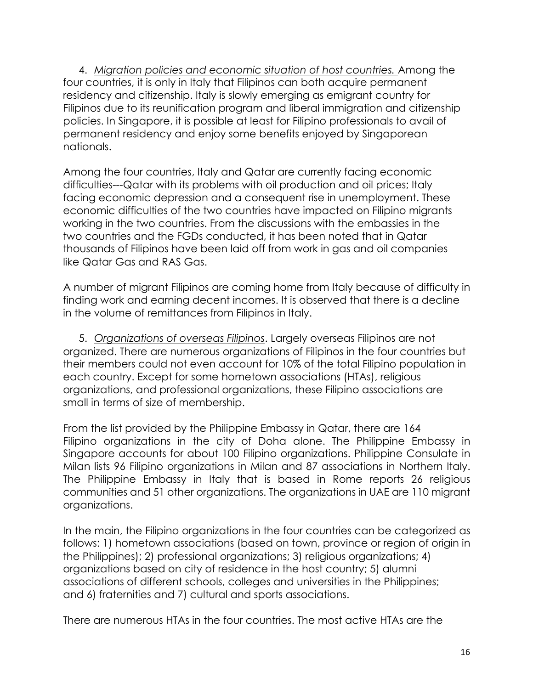4. *Migration policies and economic situation of host countries.* Among the four countries, it is only in Italy that Filipinos can both acquire permanent residency and citizenship. Italy is slowly emerging as emigrant country for Filipinos due to its reunification program and liberal immigration and citizenship policies. In Singapore, it is possible at least for Filipino professionals to avail of permanent residency and enjoy some benefits enjoyed by Singaporean nationals.

Among the four countries, Italy and Qatar are currently facing economic difficulties---Qatar with its problems with oil production and oil prices; Italy facing economic depression and a consequent rise in unemployment. These economic difficulties of the two countries have impacted on Filipino migrants working in the two countries. From the discussions with the embassies in the two countries and the FGDs conducted, it has been noted that in Qatar thousands of Filipinos have been laid off from work in gas and oil companies like Qatar Gas and RAS Gas.

A number of migrant Filipinos are coming home from Italy because of difficulty in finding work and earning decent incomes. It is observed that there is a decline in the volume of remittances from Filipinos in Italy.

5. *Organizations of overseas Filipinos*. Largely overseas Filipinos are not organized. There are numerous organizations of Filipinos in the four countries but their members could not even account for 10% of the total Filipino population in each country. Except for some hometown associations (HTAs), religious organizations, and professional organizations, these Filipino associations are small in terms of size of membership.

From the list provided by the Philippine Embassy in Qatar, there are 164 Filipino organizations in the city of Doha alone. The Philippine Embassy in Singapore accounts for about 100 Filipino organizations. Philippine Consulate in Milan lists 96 Filipino organizations in Milan and 87 associations in Northern Italy. The Philippine Embassy in Italy that is based in Rome reports 26 religious communities and 51 other organizations. The organizations in UAE are 110 migrant organizations.

In the main, the Filipino organizations in the four countries can be categorized as follows: 1) hometown associations (based on town, province or region of origin in the Philippines); 2) professional organizations; 3) religious organizations; 4) organizations based on city of residence in the host country; 5) alumni associations of different schools, colleges and universities in the Philippines; and 6) fraternities and 7) cultural and sports associations.

There are numerous HTAs in the four countries. The most active HTAs are the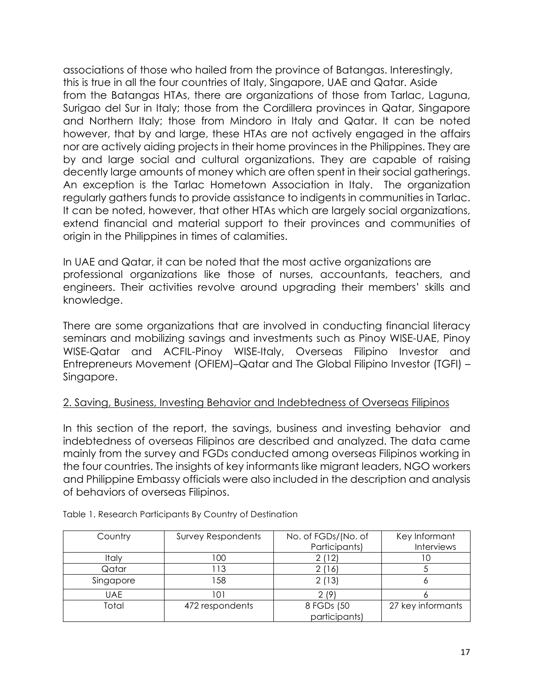associations of those who hailed from the province of Batangas. Interestingly, this is true in all the four countries of Italy, Singapore, UAE and Qatar. Aside from the Batangas HTAs, there are organizations of those from Tarlac, Laguna, Surigao del Sur in Italy; those from the Cordillera provinces in Qatar, Singapore and Northern Italy; those from Mindoro in Italy and Qatar. It can be noted however, that by and large, these HTAs are not actively engaged in the affairs nor are actively aiding projects in their home provinces in the Philippines. They are by and large social and cultural organizations. They are capable of raising decently large amounts of money which are often spent in their social gatherings. An exception is the Tarlac Hometown Association in Italy. The organization regularly gathers funds to provide assistance to indigents in communities in Tarlac. It can be noted, however, that other HTAs which are largely social organizations, extend financial and material support to their provinces and communities of origin in the Philippines in times of calamities.

In UAE and Qatar, it can be noted that the most active organizations are professional organizations like those of nurses, accountants, teachers, and engineers. Their activities revolve around upgrading their members' skills and knowledge.

There are some organizations that are involved in conducting financial literacy seminars and mobilizing savings and investments such as Pinoy WISE-UAE, Pinoy WISE-Qatar and ACFIL-Pinoy WISE-Italy, Overseas Filipino Investor and Entrepreneurs Movement (OFIEM)–Qatar and The Global Filipino Investor (TGFI) – Singapore.

## 2. Saving, Business, Investing Behavior and Indebtedness of Overseas Filipinos

In this section of the report, the savings, business and investing behavior and indebtedness of overseas Filipinos are described and analyzed. The data came mainly from the survey and FGDs conducted among overseas Filipinos working in the four countries. The insights of key informants like migrant leaders, NGO workers and Philippine Embassy officials were also included in the description and analysis of behaviors of overseas Filipinos.

| Country      | <b>Survey Respondents</b> | No. of FGDs/(No. of | Key Informant     |
|--------------|---------------------------|---------------------|-------------------|
|              |                           | Participants)       | Interviews        |
| <b>Italy</b> | 00                        |                     |                   |
| Qatar        | -13                       | 2 (16)              |                   |
| Singapore    | 158                       | 2(13)               |                   |
| UAE.         | 101                       | 2(9)                |                   |
| Total        | 472 respondents           | 8 FGDs (50          | 27 key informants |
|              |                           | participants)       |                   |

Table 1. Research Participants By Country of Destination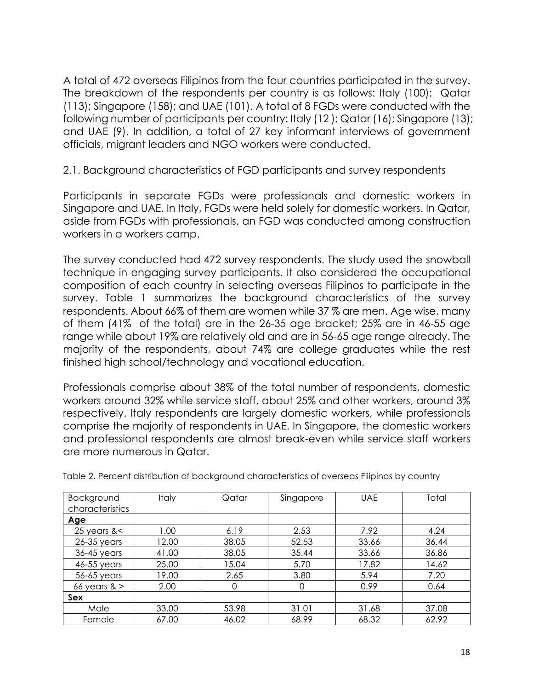A total of 472 overseas Filipinos from the four countries participated in the survey. The breakdown of the respondents per country is as follows: Italy (100); Qatar (113); Singapore (158); and UAE (101). A total of 8 FGDs were conducted with the following number of participants per country: Italy (12 ); Qatar (16); Singapore (13); and UAE (9). In addition, a total of 27 key informant interviews of government officials, migrant leaders and NGO workers were conducted.

2.1. Background characteristics of FGD participants and survey respondents

Participants in separate FGDs were professionals and domestic workers in Singapore and UAE. In Italy, FGDs were held solely for domestic workers. In Qatar, aside from FGDs with professionals, an FGD was conducted among construction workers in a workers camp.

The survey conducted had 472 survey respondents. The study used the snowball technique in engaging survey participants. It also considered the occupational composition of each country in selecting overseas Filipinos to participate in the survey. Table 1 summarizes the background characteristics of the survey respondents. About 66% of them are women while 37 % are men. Age wise, many of them (41% of the total) are in the 26-35 age bracket; 25% are in 46-55 age range while about 19% are relatively old and are in 56-65 age range already. The majority of the respondents, about 74% are college graduates while the rest finished high school/technology and vocational education.

Professionals comprise about 38% of the total number of respondents, domestic workers around 32% while service staff, about 25% and other workers, around 3% respectively. Italy respondents are largely domestic workers, while professionals comprise the majority of respondents in UAE. In Singapore, the domestic workers and professional respondents are almost break-even while service staff workers are more numerous in Qatar.

| Background      | <b>Italy</b> | Qatar | Singapore | <b>UAE</b> | Total |
|-----------------|--------------|-------|-----------|------------|-------|
| characteristics |              |       |           |            |       |
| Age             |              |       |           |            |       |
| 25 years $<$    | 1.00         | 6.19  | 2.53      | 7.92       | 4.24  |
| $26-35$ years   | 12.00        | 38.05 | 52.53     | 33.66      | 36.44 |
| 36-45 years     | 41.00        | 38.05 | 35.44     | 33.66      | 36.86 |
| 46-55 years     | 25.00        | 15.04 | 5.70      | 17.82      | 14.62 |
| 56-65 years     | 19.00        | 2.65  | 3.80      | 5.94       | 7.20  |
| 66 years $>$    | 2.00         | 0     | $\Omega$  | 0.99       | 0.64  |
| Sex             |              |       |           |            |       |
| Male            | 33.00        | 53.98 | 31.01     | 31.68      | 37.08 |
| Female          | 67.00        | 46.02 | 68.99     | 68.32      | 62.92 |

Table 2. Percent distribution of background characteristics of overseas Filipinos by country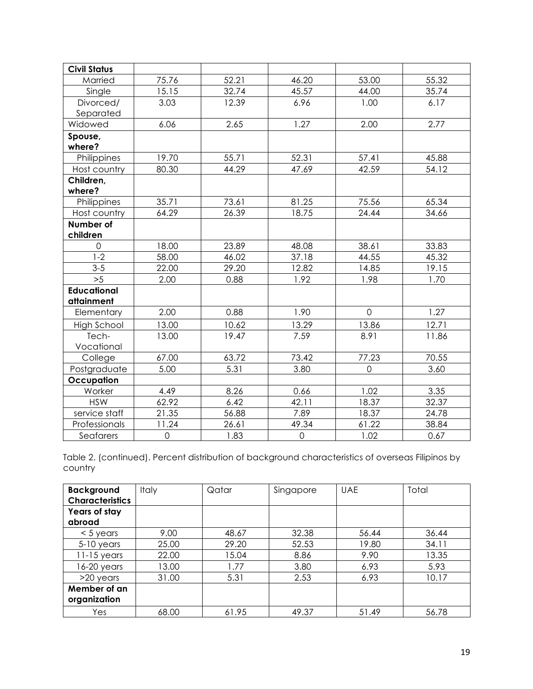| <b>Civil Status</b> |             |       |             |                |       |
|---------------------|-------------|-------|-------------|----------------|-------|
| Married             | 75.76       | 52.21 | 46.20       | 53.00          | 55.32 |
| Single              | 15.15       | 32.74 | 45.57       | 44.00          | 35.74 |
| Divorced/           | 3.03        | 12.39 | 6.96        | 1.00           | 6.17  |
| Separated           |             |       |             |                |       |
| Widowed             | 6.06        | 2.65  | 1.27        | 2.00           | 2.77  |
| Spouse,             |             |       |             |                |       |
| where?              |             |       |             |                |       |
| Philippines         | 19.70       | 55.71 | 52.31       | 57.41          | 45.88 |
| Host country        | 80.30       | 44.29 | 47.69       | 42.59          | 54.12 |
| Children,           |             |       |             |                |       |
| where?              |             |       |             |                |       |
| Philippines         | 35.71       | 73.61 | 81.25       | 75.56          | 65.34 |
| Host country        | 64.29       | 26.39 | 18.75       | 24.44          | 34.66 |
| Number of           |             |       |             |                |       |
| children            |             |       |             |                |       |
| $\mathbf 0$         | 18.00       | 23.89 | 48.08       | 38.61          | 33.83 |
| $1-2$               | 58.00       | 46.02 | 37.18       | 44.55          | 45.32 |
| $3 - 5$             | 22.00       | 29.20 | 12.82       | 14.85          | 19.15 |
| >5                  | 2.00        | 0.88  | 1.92        | 1.98           | 1.70  |
| <b>Educational</b>  |             |       |             |                |       |
| attainment          |             |       |             |                |       |
| Elementary          | 2.00        | 0.88  | 1.90        | $\overline{0}$ | 1.27  |
| <b>High School</b>  | 13.00       | 10.62 | 13.29       | 13.86          | 12.71 |
| Tech-               | 13.00       | 19.47 | 7.59        | 8.91           | 11.86 |
| Vocational          |             |       |             |                |       |
| College             | 67.00       | 63.72 | 73.42       | 77.23          | 70.55 |
| Postgraduate        | 5.00        | 5.31  | 3.80        | $\mathbf 0$    | 3.60  |
| Occupation          |             |       |             |                |       |
| Worker              | 4.49        | 8.26  | 0.66        | 1.02           | 3.35  |
| <b>HSW</b>          | 62.92       | 6.42  | 42.11       | 18.37          | 32.37 |
| service staff       | 21.35       | 56.88 | 7.89        | 18.37          | 24.78 |
| Professionals       | 11.24       | 26.61 | 49.34       | 61.22          | 38.84 |
| Seafarers           | $\mathbf 0$ | 1.83  | $\mathbf 0$ | 1.02           | 0.67  |

Table 2. (continued). Percent distribution of background characteristics of overseas Filipinos by country

| <b>Background</b><br><b>Characteristics</b> | <b>Italy</b> | Qatar | Singapore | <b>UAE</b> | Total |
|---------------------------------------------|--------------|-------|-----------|------------|-------|
| Years of stay<br>abroad                     |              |       |           |            |       |
| $<$ 5 years                                 | 9.00         | 48.67 | 32.38     | 56.44      | 36.44 |
| $5-10$ years                                | 25.00        | 29.20 | 52.53     | 19.80      | 34.11 |
| $11-15$ years                               | 22.00        | 15.04 | 8.86      | 9.90       | 13.35 |
| $16-20$ years                               | 13.00        | .77   | 3.80      | 6.93       | 5.93  |
| $>20$ years                                 | 31.00        | 5.31  | 2.53      | 6.93       | 10.17 |
| Member of an<br>organization                |              |       |           |            |       |
| Yes                                         | 68.00        | 61.95 | 49.37     | 51.49      | 56.78 |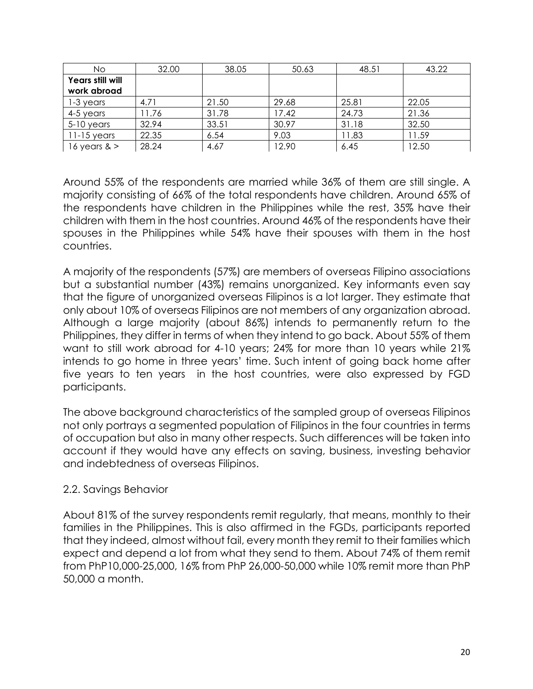| No.                     | 32.00 | 38.05 | 50.63 | 48.51 | 43.22 |
|-------------------------|-------|-------|-------|-------|-------|
| <b>Years still will</b> |       |       |       |       |       |
| work abroad             |       |       |       |       |       |
| 1-3 years               | 4.71  | 21.50 | 29.68 | 25.81 | 22.05 |
| 4-5 years               | 11.76 | 31.78 | 17.42 | 24.73 | 21.36 |
| $5-10$ years            | 32.94 | 33.51 | 30.97 | 31.18 | 32.50 |
| $11-15$ years           | 22.35 | 6.54  | 9.03  | 11.83 | 11.59 |
| 16 years $>$            | 28.24 | 4.67  | 12.90 | 6.45  | 12.50 |

Around 55% of the respondents are married while 36% of them are still single. A majority consisting of 66% of the total respondents have children. Around 65% of the respondents have children in the Philippines while the rest, 35% have their children with them in the host countries. Around 46% of the respondents have their spouses in the Philippines while 54% have their spouses with them in the host countries.

A majority of the respondents (57%) are members of overseas Filipino associations but a substantial number (43%) remains unorganized. Key informants even say that the figure of unorganized overseas Filipinos is a lot larger. They estimate that only about 10% of overseas Filipinos are not members of any organization abroad. Although a large majority (about 86%) intends to permanently return to the Philippines, they differ in terms of when they intend to go back. About 55% of them want to still work abroad for 4-10 years; 24% for more than 10 years while 21% intends to go home in three years' time. Such intent of going back home after five years to ten years in the host countries, were also expressed by FGD participants.

The above background characteristics of the sampled group of overseas Filipinos not only portrays a segmented population of Filipinos in the four countries in terms of occupation but also in many other respects. Such differences will be taken into account if they would have any effects on saving, business, investing behavior and indebtedness of overseas Filipinos.

## 2.2. Savings Behavior

About 81% of the survey respondents remit regularly, that means, monthly to their families in the Philippines. This is also affirmed in the FGDs, participants reported that they indeed, almost without fail, every month they remit to their families which expect and depend a lot from what they send to them. About 74% of them remit from PhP10,000-25,000, 16% from PhP 26,000-50,000 while 10% remit more than PhP 50,000 a month.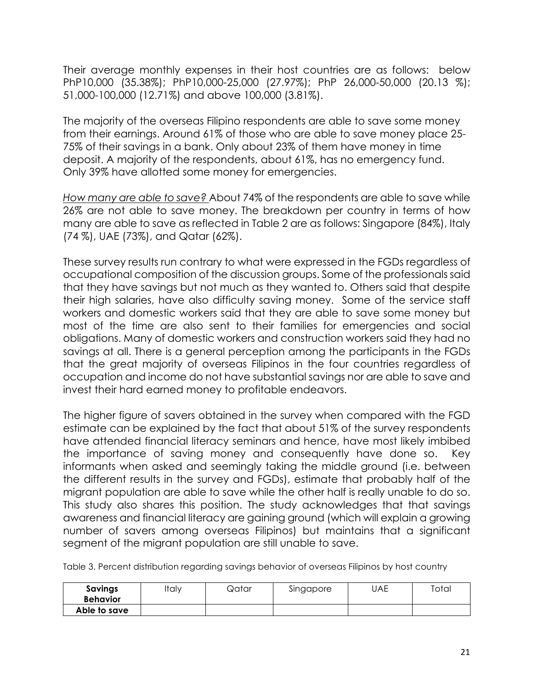Their average monthly expenses in their host countries are as follows: below PhP10,000 (35.38%); PhP10,000-25,000 (27.97%); PhP 26,000-50,000 (20.13 %); 51,000-100,000 (12.71%) and above 100,000 (3.81%).

The majority of the overseas Filipino respondents are able to save some money from their earnings. Around 61% of those who are able to save money place 25- 75% of their savings in a bank. Only about 23% of them have money in time deposit. A majority of the respondents, about 61%, has no emergency fund. Only 39% have allotted some money for emergencies.

*How many are able to save?* About 74% of the respondents are able to save while 26% are not able to save money. The breakdown per country in terms of how many are able to save as reflected in Table 2 are as follows: Singapore (84%), Italy (74 %), UAE (73%), and Qatar (62%).

These survey results run contrary to what were expressed in the FGDs regardless of occupational composition of the discussion groups. Some of the professionals said that they have savings but not much as they wanted to. Others said that despite their high salaries, have also difficulty saving money. Some of the service staff workers and domestic workers said that they are able to save some money but most of the time are also sent to their families for emergencies and social obligations. Many of domestic workers and construction workers said they had no savings at all. There is a general perception among the participants in the FGDs that the great majority of overseas Filipinos in the four countries regardless of occupation and income do not have substantial savings nor are able to save and invest their hard earned money to profitable endeavors.

The higher figure of savers obtained in the survey when compared with the FGD estimate can be explained by the fact that about 51% of the survey respondents have attended financial literacy seminars and hence, have most likely imbibed the importance of saving money and consequently have done so. Key informants when asked and seemingly taking the middle ground (i.e. between the different results in the survey and FGDs), estimate that probably half of the migrant population are able to save while the other half is really unable to do so. This study also shares this position. The study acknowledges that that savings awareness and financial literacy are gaining ground (which will explain a growing number of savers among overseas Filipinos) but maintains that a significant segment of the migrant population are still unable to save.

Table 3. Percent distribution regarding savings behavior of overseas Filipinos by host country

| Savings<br><b>Behavior</b> | Italy | Qatar | Singapore | UAE | Total |
|----------------------------|-------|-------|-----------|-----|-------|
| Able to save               |       |       |           |     |       |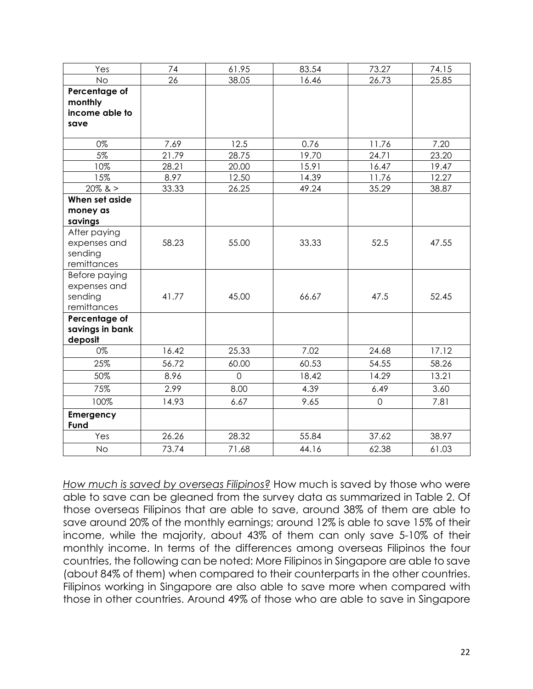| Yes                              | 74            | 61.95          | 83.54         | 73.27          | 74.15         |
|----------------------------------|---------------|----------------|---------------|----------------|---------------|
| <b>No</b>                        | 26            | 38.05          | 16.46         | 26.73          | 25.85         |
| Percentage of                    |               |                |               |                |               |
| monthly                          |               |                |               |                |               |
| income able to                   |               |                |               |                |               |
| save                             |               |                |               |                |               |
|                                  |               |                |               |                |               |
| 0%<br>5%                         | 7.69<br>21.79 | 12.5           | 0.76<br>19.70 | 11.76          | 7.20<br>23.20 |
| 10%                              | 28.21         | 28.75          | 15.91         | 24.71<br>16.47 | 19.47         |
| 15%                              | 8.97          | 20.00<br>12.50 | 14.39         | 11.76          | 12.27         |
| $20\%$ & >                       | 33.33         | 26.25          | 49.24         | 35.29          | 38.87         |
| When set aside                   |               |                |               |                |               |
| money as                         |               |                |               |                |               |
| savings                          |               |                |               |                |               |
| After paying                     |               |                |               |                |               |
| expenses and                     | 58.23         | 55.00          | 33.33         | 52.5           | 47.55         |
| sending                          |               |                |               |                |               |
| remittances                      |               |                |               |                |               |
| Before paying                    |               |                |               |                |               |
| expenses and                     |               |                |               |                |               |
| sending                          | 41.77         | 45.00          | 66.67         | 47.5           | 52.45         |
| remittances                      |               |                |               |                |               |
| Percentage of<br>savings in bank |               |                |               |                |               |
| deposit                          |               |                |               |                |               |
| 0%                               | 16.42         | 25.33          | 7.02          | 24.68          | 17.12         |
| 25%                              | 56.72         | 60.00          | 60.53         | 54.55          | 58.26         |
| 50%                              | 8.96          | $\overline{O}$ | 18.42         | 14.29          | 13.21         |
| 75%                              | 2.99          | 8.00           | 4.39          | 6.49           | 3.60          |
| 100%                             | 14.93         | 6.67           | 9.65          | $\mathbf 0$    | 7.81          |
| Emergency                        |               |                |               |                |               |
| Fund                             |               |                |               |                |               |
| Yes                              | 26.26         | 28.32          | 55.84         | 37.62          | 38.97         |
| <b>No</b>                        | 73.74         | 71.68          | 44.16         | 62.38          | 61.03         |

*How much is saved by overseas Filipinos?* How much is saved by those who were able to save can be gleaned from the survey data as summarized in Table 2. Of those overseas Filipinos that are able to save, around 38% of them are able to save around 20% of the monthly earnings; around 12% is able to save 15% of their income, while the majority, about 43% of them can only save 5-10% of their monthly income. In terms of the differences among overseas Filipinos the four countries, the following can be noted: More Filipinos in Singapore are able to save (about 84% of them) when compared to their counterparts in the other countries. Filipinos working in Singapore are also able to save more when compared with those in other countries. Around 49% of those who are able to save in Singapore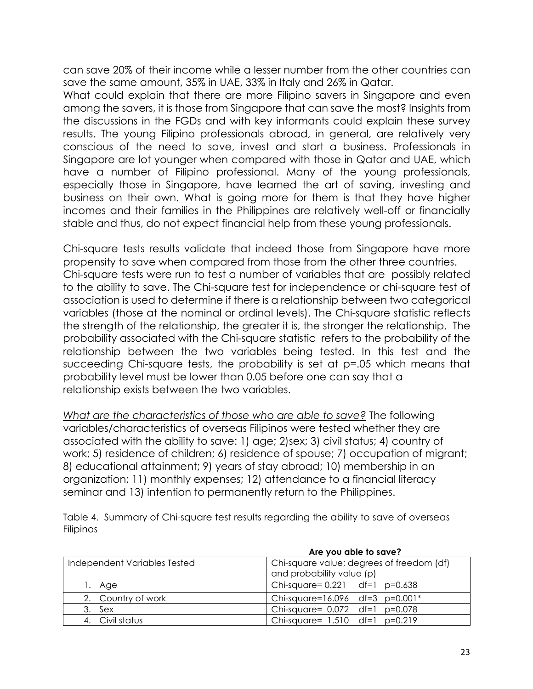can save 20% of their income while a lesser number from the other countries can save the same amount, 35% in UAE, 33% in Italy and 26% in Qatar.

What could explain that there are more Filipino savers in Singapore and even among the savers, it is those from Singapore that can save the most? Insights from the discussions in the FGDs and with key informants could explain these survey results. The young Filipino professionals abroad, in general, are relatively very conscious of the need to save, invest and start a business. Professionals in Singapore are lot younger when compared with those in Qatar and UAE, which have a number of Filipino professional. Many of the young professionals, especially those in Singapore, have learned the art of saving, investing and business on their own. What is going more for them is that they have higher incomes and their families in the Philippines are relatively well-off or financially stable and thus, do not expect financial help from these young professionals.

Chi-square tests results validate that indeed those from Singapore have more propensity to save when compared from those from the other three countries. Chi-square tests were run to test a number of variables that are possibly related to the ability to save. The Chi-square test for independence or chi-square test of association is used to determine if there is a relationship between two categorical variables (those at the nominal or ordinal levels). The Chi-square statistic reflects the strength of the relationship, the greater it is, the stronger the relationship. The probability associated with the Chi-square statistic refers to the probability of the relationship between the two variables being tested. In this test and the succeeding Chi-square tests, the probability is set at p=.05 which means that probability level must be lower than 0.05 before one can say that a relationship exists between the two variables.

*What are the characteristics of those who are able to save?* The following variables/characteristics of overseas Filipinos were tested whether they are associated with the ability to save: 1) age; 2)sex; 3) civil status; 4) country of work; 5) residence of children; 6) residence of spouse; 7) occupation of migrant; 8) educational attainment; 9) years of stay abroad; 10) membership in an organization; 11) monthly expenses; 12) attendance to a financial literacy seminar and 13) intention to permanently return to the Philippines.

Table 4. Summary of Chi-square test results regarding the ability to save of overseas Filipinos

|                              | Are you able to save?                     |  |  |  |
|------------------------------|-------------------------------------------|--|--|--|
| Independent Variables Tested | Chi-square value; degrees of freedom (df) |  |  |  |
|                              | and probability value (p)                 |  |  |  |
| 1. Age                       | Chi-square= $0.221$ df=1 p=0.638          |  |  |  |
| 2. Country of work           | Chi-square=16.096 df=3 $p=0.001*$         |  |  |  |
| 3. Sex                       | Chi-square= 0.072 df=1 p=0.078            |  |  |  |
| 4. Civil status              | Chi-square= $1.510$ df=1 p=0.219          |  |  |  |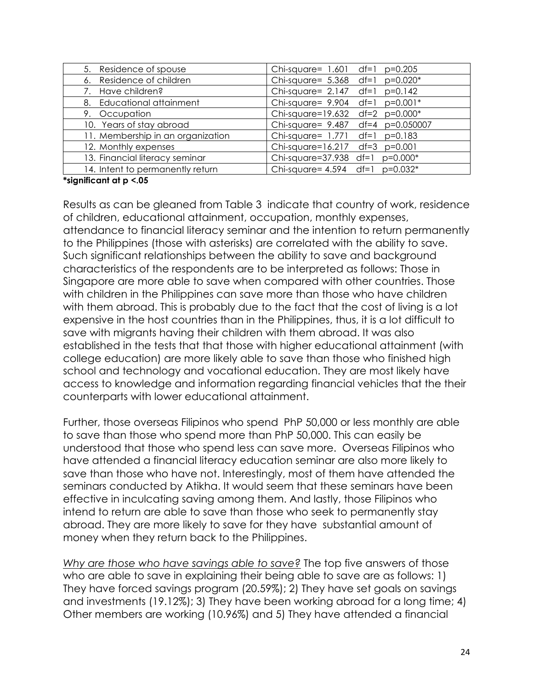| 5. Residence of spouse            | Chi-square= 1.601 df=1 p=0.205    |
|-----------------------------------|-----------------------------------|
| 6. Residence of children          | Chi-square= 5.368 df=1 p=0.020*   |
| 7. Have children?                 | Chi-square= $2.147$ df=1 p=0.142  |
| 8. Educational attainment         | Chi-square= $9.904$ df=1 p=0.001* |
| 9. Occupation                     | Chi-square=19.632 df=2 p=0.000*   |
| 10. Years of stay abroad          | Chi-square= 9.487 df=4 p=0.050007 |
| 11. Membership in an organization | Chi-square= $1.771$ df=1 p=0.183  |
| 12. Monthly expenses              | Chi-square=16.217 df=3 p=0.001    |
| 13. Financial literacy seminar    | Chi-square=37.938 df=1 p=0.000*   |
| 14. Intent to permanently return  | Chi-square= $4.594$ df=1 p=0.032* |

#### **\*significant at p <.05**

Results as can be gleaned from Table 3 indicate that country of work, residence of children, educational attainment, occupation, monthly expenses, attendance to financial literacy seminar and the intention to return permanently to the Philippines (those with asterisks) are correlated with the ability to save. Such significant relationships between the ability to save and background characteristics of the respondents are to be interpreted as follows: Those in Singapore are more able to save when compared with other countries. Those with children in the Philippines can save more than those who have children with them abroad. This is probably due to the fact that the cost of living is a lot expensive in the host countries than in the Philippines, thus, it is a lot difficult to save with migrants having their children with them abroad. It was also established in the tests that that those with higher educational attainment (with college education) are more likely able to save than those who finished high school and technology and vocational education. They are most likely have access to knowledge and information regarding financial vehicles that the their counterparts with lower educational attainment.

Further, those overseas Filipinos who spend PhP 50,000 or less monthly are able to save than those who spend more than PhP 50,000. This can easily be understood that those who spend less can save more. Overseas Filipinos who have attended a financial literacy education seminar are also more likely to save than those who have not. Interestingly, most of them have attended the seminars conducted by Atikha. It would seem that these seminars have been effective in inculcating saving among them. And lastly, those Filipinos who intend to return are able to save than those who seek to permanently stay abroad. They are more likely to save for they have substantial amount of money when they return back to the Philippines.

*Why are those who have savings able to save?* The top five answers of those who are able to save in explaining their being able to save are as follows: 1) They have forced savings program (20.59%); 2) They have set goals on savings and investments (19.12%); 3) They have been working abroad for a long time; 4) Other members are working (10.96%) and 5) They have attended a financial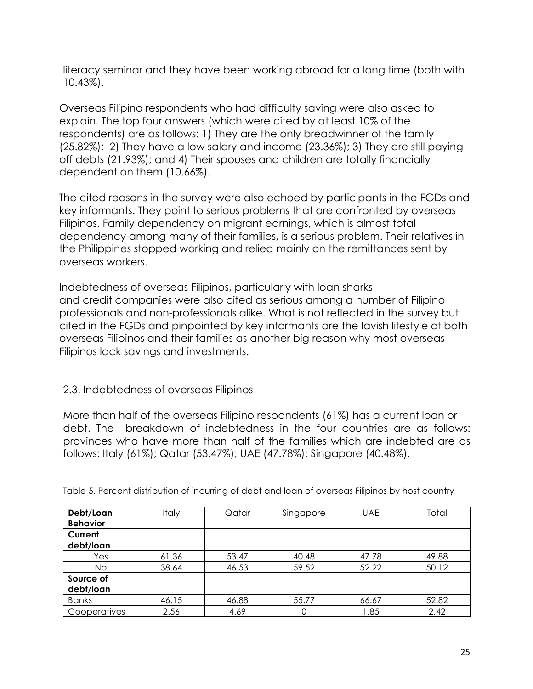literacy seminar and they have been working abroad for a long time (both with 10.43%).

Overseas Filipino respondents who had difficulty saving were also asked to explain. The top four answers (which were cited by at least 10% of the respondents) are as follows: 1) They are the only breadwinner of the family (25.82%); 2) They have a low salary and income (23.36%); 3) They are still paying off debts (21.93%); and 4) Their spouses and children are totally financially dependent on them (10.66%).

The cited reasons in the survey were also echoed by participants in the FGDs and key informants. They point to serious problems that are confronted by overseas Filipinos. Family dependency on migrant earnings, which is almost total dependency among many of their families, is a serious problem. Their relatives in the Philippines stopped working and relied mainly on the remittances sent by overseas workers.

Indebtedness of overseas Filipinos, particularly with loan sharks and credit companies were also cited as serious among a number of Filipino professionals and non-professionals alike. What is not reflected in the survey but cited in the FGDs and pinpointed by key informants are the lavish lifestyle of both overseas Filipinos and their families as another big reason why most overseas Filipinos lack savings and investments.

## 2.3. Indebtedness of overseas Filipinos

More than half of the overseas Filipino respondents (61%) has a current loan or debt. The breakdown of indebtedness in the four countries are as follows: provinces who have more than half of the families which are indebted are as follows: Italy (61%); Qatar (53.47%); UAE (47.78%); Singapore (40.48%).

| Debt/Loan<br><b>Behavior</b> | <b>Italy</b> | Qatar | Singapore | <b>UAE</b> | Total |
|------------------------------|--------------|-------|-----------|------------|-------|
| Current<br>debt/loan         |              |       |           |            |       |
| Yes                          | 61.36        | 53.47 | 40.48     | 47.78      | 49.88 |
| <b>No</b>                    | 38.64        | 46.53 | 59.52     | 52.22      | 50.12 |
| Source of<br>debt/loan       |              |       |           |            |       |
| <b>Banks</b>                 | 46.15        | 46.88 | 55.77     | 66.67      | 52.82 |
| Cooperatives                 | 2.56         | 4.69  | 0         | 1.85       | 2.42  |

Table 5. Percent distribution of incurring of debt and loan of overseas Filipinos by host country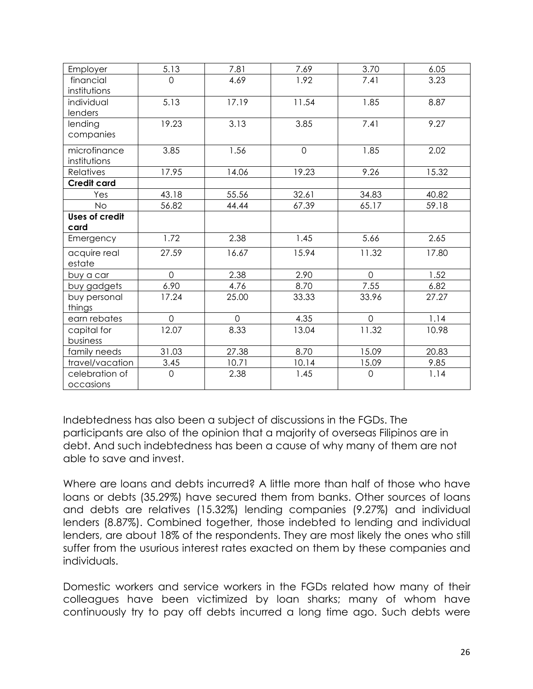| Employer              | 5.13           | 7.81     | 7.69        | 3.70         | 6.05  |
|-----------------------|----------------|----------|-------------|--------------|-------|
| financial             | $\mathbf{O}$   | 4.69     | 1.92        | 7.41         | 3.23  |
| institutions          |                |          |             |              |       |
| individual            | 5.13           | 17.19    | 11.54       | 1.85         | 8.87  |
| lenders               |                |          |             |              |       |
| lending               | 19.23          | 3.13     | 3.85        | 7.41         | 9.27  |
| companies             |                |          |             |              |       |
|                       |                |          |             |              |       |
| microfinance          | 3.85           | 1.56     | $\mathbf 0$ | 1.85         | 2.02  |
| institutions          |                |          |             |              |       |
| <b>Relatives</b>      | 17.95          | 14.06    | 19.23       | 9.26         | 15.32 |
| <b>Credit card</b>    |                |          |             |              |       |
| Yes                   | 43.18          | 55.56    | 32.61       | 34.83        | 40.82 |
| <b>No</b>             | 56.82          | 44.44    | 67.39       | 65.17        | 59.18 |
| <b>Uses of credit</b> |                |          |             |              |       |
| card                  |                |          |             |              |       |
| Emergency             | 1.72           | 2.38     | 1.45        | 5.66         | 2.65  |
| acquire real          | 27.59          | 16.67    | 15.94       | 11.32        | 17.80 |
| estate                |                |          |             |              |       |
| buy a car             | $\overline{0}$ | 2.38     | 2.90        | $\mathsf{O}$ | 1.52  |
| buy gadgets           | 6.90           | 4.76     | 8.70        | 7.55         | 6.82  |
| buy personal          | 17.24          | 25.00    | 33.33       | 33.96        | 27.27 |
| things                |                |          |             |              |       |
| earn rebates          | $\mathbf{O}$   | $\Omega$ | 4.35        | $\mathsf{O}$ | 1.14  |
| capital for           | 12.07          | 8.33     | 13.04       | 11.32        | 10.98 |
| business              |                |          |             |              |       |
| family needs          | 31.03          | 27.38    | 8.70        | 15.09        | 20.83 |
| travel/vacation       | 3.45           | 10.71    | 10.14       | 15.09        | 9.85  |
|                       |                |          |             |              |       |
| celebration of        | $\mathbf 0$    | 2.38     | 1.45        | $\mathbf 0$  | 1.14  |
| occasions             |                |          |             |              |       |

Indebtedness has also been a subject of discussions in the FGDs. The participants are also of the opinion that a majority of overseas Filipinos are in debt. And such indebtedness has been a cause of why many of them are not able to save and invest.

Where are loans and debts incurred? A little more than half of those who have loans or debts (35.29%) have secured them from banks. Other sources of loans and debts are relatives (15.32%) lending companies (9.27%) and individual lenders (8.87%). Combined together, those indebted to lending and individual lenders, are about 18% of the respondents. They are most likely the ones who still suffer from the usurious interest rates exacted on them by these companies and individuals.

Domestic workers and service workers in the FGDs related how many of their colleagues have been victimized by loan sharks; many of whom have continuously try to pay off debts incurred a long time ago. Such debts were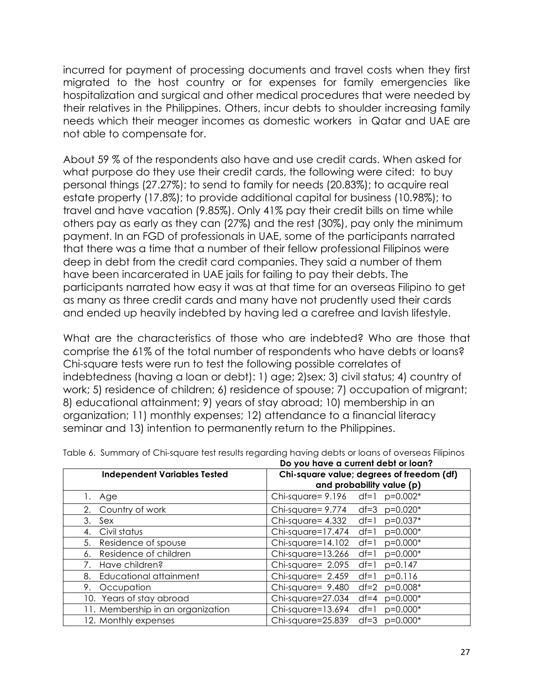incurred for payment of processing documents and travel costs when they first migrated to the host country or for expenses for family emergencies like hospitalization and surgical and other medical procedures that were needed by their relatives in the Philippines. Others, incur debts to shoulder increasing family needs which their meager incomes as domestic workers in Qatar and UAE are not able to compensate for.

About 59 % of the respondents also have and use credit cards. When asked for what purpose do they use their credit cards, the following were cited: to buy personal things (27.27%); to send to family for needs (20.83%); to acquire real estate property (17.8%); to provide additional capital for business (10.98%); to travel and have vacation (9.85%). Only 41% pay their credit bills on time while others pay as early as they can (27%) and the rest (30%), pay only the minimum payment. In an FGD of professionals in UAE, some of the participants narrated that there was a time that a number of their fellow professional Filipinos were deep in debt from the credit card companies. They said a number of them have been incarcerated in UAE jails for failing to pay their debts. The participants narrated how easy it was at that time for an overseas Filipino to get as many as three credit cards and many have not prudently used their cards and ended up heavily indebted by having led a carefree and lavish lifestyle.

What are the characteristics of those who are indebted? Who are those that comprise the 61% of the total number of respondents who have debts or loans? Chi-square tests were run to test the following possible correlates of indebtedness (having a loan or debt): 1) age; 2)sex; 3) civil status; 4) country of work; 5) residence of children; 6) residence of spouse; 7) occupation of migrant; 8) educational attainment; 9) years of stay abroad; 10) membership in an organization; 11) monthly expenses; 12) attendance to a financial literacy seminar and 13) intention to permanently return to the Philippines.

| Do you nave a current debi or loan? |                                                                        |  |  |  |
|-------------------------------------|------------------------------------------------------------------------|--|--|--|
| <b>Independent Variables Tested</b> | Chi-square value; degrees of freedom (df)<br>and probability value (p) |  |  |  |
| 1. Age                              | Chi-square= 9.196<br>df=1 $p=0.002*$                                   |  |  |  |
| Country of work<br>2.               | $Chi-square = 9.774$<br>$p=0.020*$<br>$df = 3$                         |  |  |  |
| 3.<br>Sex                           | $Chi-square = 4.332$<br>$p=0.037*$<br>$df=1$                           |  |  |  |
| Civil status<br>4.                  | Chi-square=17.474<br>$df=1$<br>$p=0.000*$                              |  |  |  |
| 5.<br>Residence of spouse           | $Chi-square=14.102$<br>$p=0.000*$<br>$df=1$                            |  |  |  |
| Residence of children<br>6.         | $Chi-square=13.266$<br>$p=0.000*$<br>$df=1$                            |  |  |  |
| Have children?                      | Chi-square= 2.095<br>$p=0.147$<br>$df=1$                               |  |  |  |
| <b>Educational attainment</b><br>8. | Chi-square= 2.459<br>$p=0.116$<br>$df=1$                               |  |  |  |
| Occupation<br>9.                    | Chi-square= 9.480<br>$df=2$<br>$p=0.008*$                              |  |  |  |
| 10. Years of stay abroad            | Chi-square=27.034<br>$p=0.000*$<br>$df = 4$                            |  |  |  |
| 11. Membership in an organization   | Chi-square=13.694<br>$p=0.000*$<br>$df=1$                              |  |  |  |
| 12. Monthly expenses                | Chi-square=25.839<br>$df=3$ $p=0.000*$                                 |  |  |  |

Table 6. Summary of Chi-square test results regarding having debts or loans of overseas Filipinos **Do you have a current debt or loan?**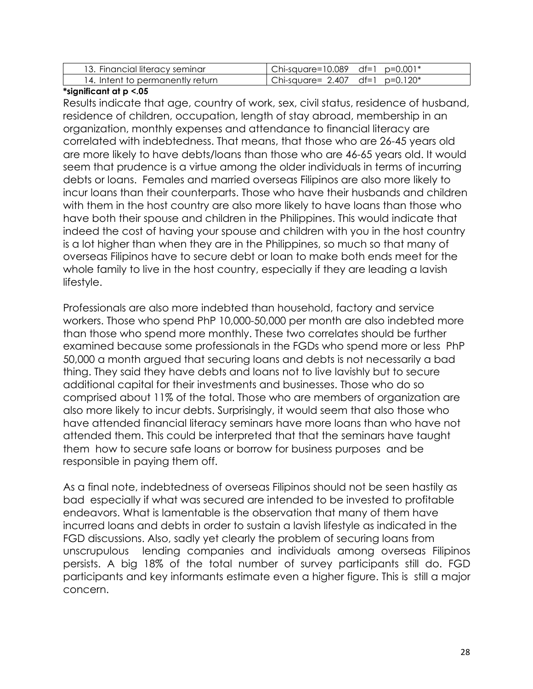| 13. Financial literacy seminar   | $\vert$ Chi-square=10.089 df=1 p=0.001* |
|----------------------------------|-----------------------------------------|
| 14. Intent to permanently return | Chi-square= 2.407 df=1 p=0.120*         |

#### **\*significant at p <.05**

Results indicate that age, country of work, sex, civil status, residence of husband, residence of children, occupation, length of stay abroad, membership in an organization, monthly expenses and attendance to financial literacy are correlated with indebtedness. That means, that those who are 26-45 years old are more likely to have debts/loans than those who are 46-65 years old. It would seem that prudence is a virtue among the older individuals in terms of incurring debts or loans. Females and married overseas Filipinos are also more likely to incur loans than their counterparts. Those who have their husbands and children with them in the host country are also more likely to have loans than those who have both their spouse and children in the Philippines. This would indicate that indeed the cost of having your spouse and children with you in the host country is a lot higher than when they are in the Philippines, so much so that many of overseas Filipinos have to secure debt or loan to make both ends meet for the whole family to live in the host country, especially if they are leading a lavish lifestyle.

Professionals are also more indebted than household, factory and service workers. Those who spend PhP 10,000-50,000 per month are also indebted more than those who spend more monthly. These two correlates should be further examined because some professionals in the FGDs who spend more or less PhP 50,000 a month argued that securing loans and debts is not necessarily a bad thing. They said they have debts and loans not to live lavishly but to secure additional capital for their investments and businesses. Those who do so comprised about 11% of the total. Those who are members of organization are also more likely to incur debts. Surprisingly, it would seem that also those who have attended financial literacy seminars have more loans than who have not attended them. This could be interpreted that that the seminars have taught them how to secure safe loans or borrow for business purposes and be responsible in paying them off.

As a final note, indebtedness of overseas Filipinos should not be seen hastily as bad especially if what was secured are intended to be invested to profitable endeavors. What is lamentable is the observation that many of them have incurred loans and debts in order to sustain a lavish lifestyle as indicated in the FGD discussions. Also, sadly yet clearly the problem of securing loans from unscrupulous lending companies and individuals among overseas Filipinos persists. A big 18% of the total number of survey participants still do. FGD participants and key informants estimate even a higher figure. This is still a major concern.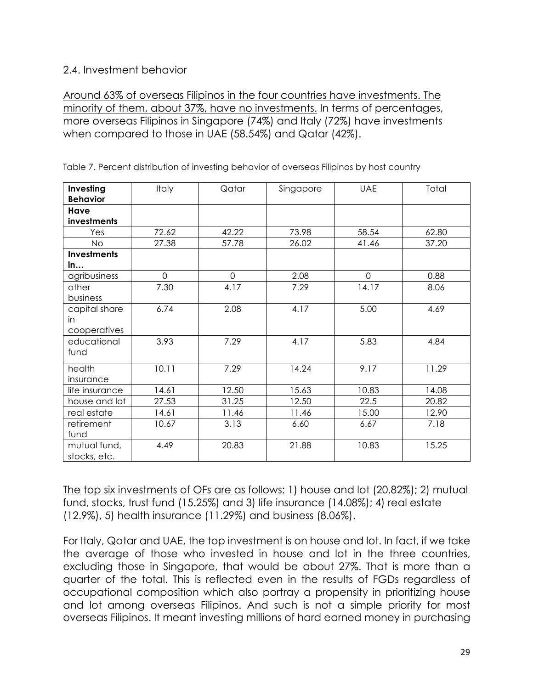## 2.4. Investment behavior

Around 63% of overseas Filipinos in the four countries have investments. The minority of them, about 37%, have no investments. In terms of percentages, more overseas Filipinos in Singapore (74%) and Italy (72%) have investments when compared to those in UAE (58.54%) and Qatar (42%).

| Investing<br><b>Behavior</b> | <b>Italy</b> | Qatar          | Singapore | <b>UAE</b> | Total |
|------------------------------|--------------|----------------|-----------|------------|-------|
| Have<br>investments          |              |                |           |            |       |
| Yes                          | 72.62        | 42.22          | 73.98     | 58.54      | 62.80 |
| <b>No</b>                    | 27.38        | 57.78          | 26.02     | 41.46      | 37.20 |
| <b>Investments</b>           |              |                |           |            |       |
| in                           |              |                |           |            |       |
| agribusiness                 | $\Omega$     | $\overline{0}$ | 2.08      | $\Omega$   | 0.88  |
| other                        | 7.30         | 4.17           | 7.29      | 14.17      | 8.06  |
| business                     |              |                |           |            |       |
| capital share                | 6.74         | 2.08           | 4.17      | 5.00       | 4.69  |
| in                           |              |                |           |            |       |
| cooperatives                 |              |                |           |            |       |
| educational                  | 3.93         | 7.29           | 4.17      | 5.83       | 4.84  |
| fund                         |              |                |           |            |       |
| health                       | 10.11        | 7.29           | 14.24     | 9.17       | 11.29 |
| insurance                    |              |                |           |            |       |
| life insurance               | 14.61        | 12.50          | 15.63     | 10.83      | 14.08 |
| house and lot                | 27.53        | 31.25          | 12.50     | 22.5       | 20.82 |
| real estate                  | 14.61        | 11.46          | 11.46     | 15.00      | 12.90 |
| retirement                   | 10.67        | 3.13           | 6.60      | 6.67       | 7.18  |
| fund                         |              |                |           |            |       |
| mutual fund,                 | 4.49         | 20.83          | 21.88     | 10.83      | 15.25 |
| stocks, etc.                 |              |                |           |            |       |

Table 7. Percent distribution of investing behavior of overseas Filipinos by host country

The top six investments of OFs are as follows: 1) house and lot (20.82%); 2) mutual fund, stocks, trust fund (15.25%) and 3) life insurance (14.08%); 4) real estate (12.9%), 5) health insurance (11.29%) and business (8.06%).

For Italy, Qatar and UAE, the top investment is on house and lot. In fact, if we take the average of those who invested in house and lot in the three countries, excluding those in Singapore, that would be about 27%. That is more than a quarter of the total. This is reflected even in the results of FGDs regardless of occupational composition which also portray a propensity in prioritizing house and lot among overseas Filipinos. And such is not a simple priority for most overseas Filipinos. It meant investing millions of hard earned money in purchasing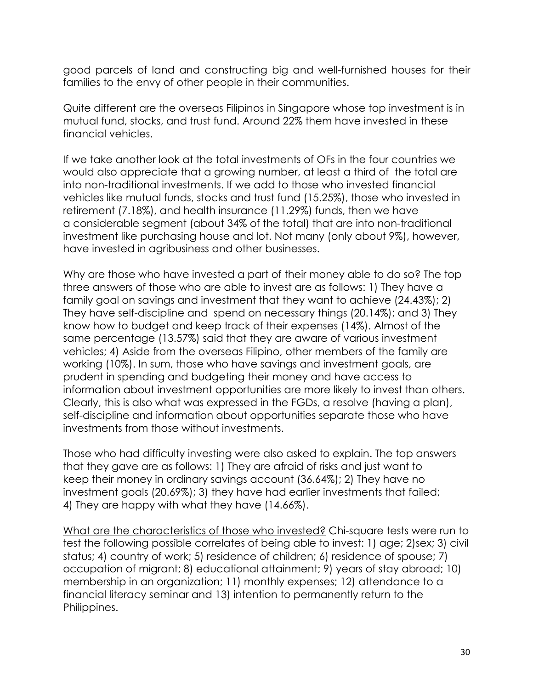good parcels of land and constructing big and well-furnished houses for their families to the envy of other people in their communities.

Quite different are the overseas Filipinos in Singapore whose top investment is in mutual fund, stocks, and trust fund. Around 22% them have invested in these financial vehicles.

If we take another look at the total investments of OFs in the four countries we would also appreciate that a growing number, at least a third of the total are into non-traditional investments. If we add to those who invested financial vehicles like mutual funds, stocks and trust fund (15.25%), those who invested in retirement (7.18%), and health insurance (11.29%) funds, then we have a considerable segment (about 34% of the total) that are into non-traditional investment like purchasing house and lot. Not many (only about 9%), however, have invested in agribusiness and other businesses.

Why are those who have invested a part of their money able to do so? The top three answers of those who are able to invest are as follows: 1) They have a family goal on savings and investment that they want to achieve (24.43%); 2) They have self-discipline and spend on necessary things (20.14%); and 3) They know how to budget and keep track of their expenses (14%). Almost of the same percentage (13.57%) said that they are aware of various investment vehicles; 4) Aside from the overseas Filipino, other members of the family are working (10%). In sum, those who have savings and investment goals, are prudent in spending and budgeting their money and have access to information about investment opportunities are more likely to invest than others. Clearly, this is also what was expressed in the FGDs, a resolve (having a plan), self-discipline and information about opportunities separate those who have investments from those without investments.

Those who had difficulty investing were also asked to explain. The top answers that they gave are as follows: 1) They are afraid of risks and just want to keep their money in ordinary savings account (36.64%); 2) They have no investment goals (20.69%); 3) they have had earlier investments that failed; 4) They are happy with what they have (14.66%).

What are the characteristics of those who invested? Chi-square tests were run to test the following possible correlates of being able to invest: 1) age; 2)sex; 3) civil status; 4) country of work; 5) residence of children; 6) residence of spouse; 7) occupation of migrant; 8) educational attainment; 9) years of stay abroad; 10) membership in an organization; 11) monthly expenses; 12) attendance to a financial literacy seminar and 13) intention to permanently return to the Philippines.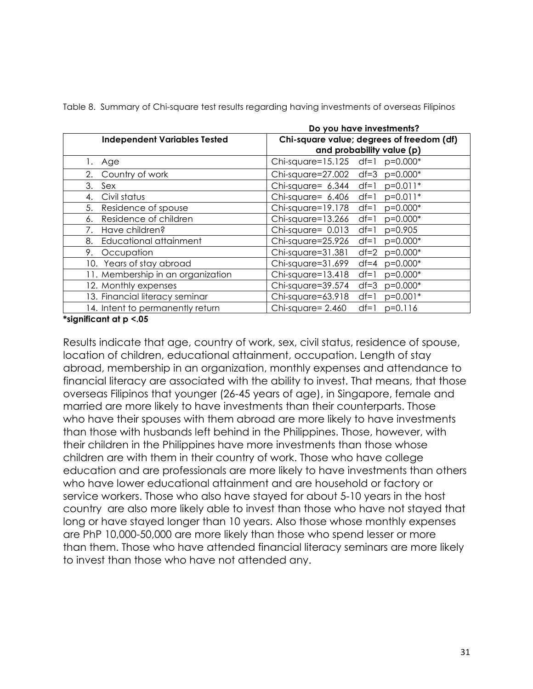|                                     | Do you have investments?                      |  |  |  |  |
|-------------------------------------|-----------------------------------------------|--|--|--|--|
| <b>Independent Variables Tested</b> | Chi-square value; degrees of freedom (df)     |  |  |  |  |
|                                     | and probability value (p)                     |  |  |  |  |
| Age<br>Ι.                           | Chi-square=15.125 df=1 p=0.000*               |  |  |  |  |
| Country of work<br>2.               | Chi-square=27.002<br>$df = 3$<br>$p=0.000*$   |  |  |  |  |
| 3.<br>Sex                           | Chi-square= 6.344<br>$p=0.011*$<br>$df=1$     |  |  |  |  |
| Civil status<br>4.                  | Chi-square= 6.406<br>$p=0.011*$<br>$df=1$     |  |  |  |  |
| 5.<br>Residence of spouse           | Chi-square=19.178<br>$p=0.000*$<br>$df=1$     |  |  |  |  |
| Residence of children<br>6.         | $Chi-square=13.266$<br>$df=1$<br>$p=0.000*$   |  |  |  |  |
| Have children?<br>7.                | Chi-square= $0.013$<br>$p=0.905$<br>$df=1$    |  |  |  |  |
| Educational attainment<br>8.        | Chi-square=25.926<br>$p=0.000*$<br>$df=1$     |  |  |  |  |
| 9.<br>Occupation                    | Chi-square=31.381<br>$p=0.000*$<br>$df = 2$   |  |  |  |  |
| 10. Years of stay abroad            | Chi-square=31.699<br>$p=0.000*$<br>$df = 4$   |  |  |  |  |
| 11. Membership in an organization   | $Chi-square=13.418$<br>$p=0.000*$<br>$df=1$   |  |  |  |  |
| 12. Monthly expenses                | $p=0.000*$<br>Chi-square=39.574<br>$df = 3$   |  |  |  |  |
| 13. Financial literacy seminar      | $p=0.001*$<br>$Chi-square = 63.918$<br>$df=1$ |  |  |  |  |
| 14. Intent to permanently return    | Chi-square= 2.460<br>$df=1$<br>$p=0.116$      |  |  |  |  |

Table 8. Summary of Chi-square test results regarding having investments of overseas Filipinos

#### **\*significant at p <.05**

Results indicate that age, country of work, sex, civil status, residence of spouse, location of children, educational attainment, occupation. Length of stay abroad, membership in an organization, monthly expenses and attendance to financial literacy are associated with the ability to invest. That means, that those overseas Filipinos that younger (26-45 years of age), in Singapore, female and married are more likely to have investments than their counterparts. Those who have their spouses with them abroad are more likely to have investments than those with husbands left behind in the Philippines. Those, however, with their children in the Philippines have more investments than those whose children are with them in their country of work. Those who have college education and are professionals are more likely to have investments than others who have lower educational attainment and are household or factory or service workers. Those who also have stayed for about 5-10 years in the host country are also more likely able to invest than those who have not stayed that long or have stayed longer than 10 years. Also those whose monthly expenses are PhP 10,000-50,000 are more likely than those who spend lesser or more than them. Those who have attended financial literacy seminars are more likely to invest than those who have not attended any.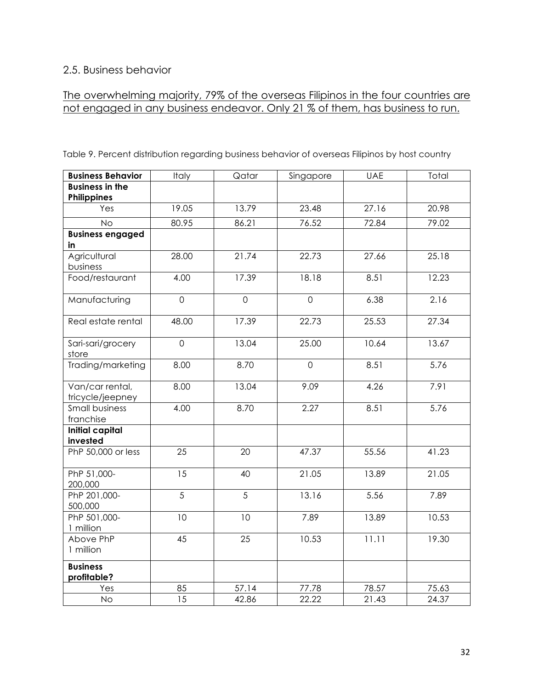## 2.5. Business behavior

## The overwhelming majority, 79% of the overseas Filipinos in the four countries are not engaged in any business endeavor. Only 21 % of them, has business to run.

| <b>Business Behavior</b>              | Italy          | Qatar          | Singapore      | <b>UAE</b> | Total |
|---------------------------------------|----------------|----------------|----------------|------------|-------|
| <b>Business in the</b><br>Philippines |                |                |                |            |       |
| Yes                                   | 19.05          | 13.79          | 23.48          | 27.16      | 20.98 |
| <b>No</b>                             | 80.95          | 86.21          | 76.52          | 72.84      | 79.02 |
| <b>Business engaged</b><br>in         |                |                |                |            |       |
| Agricultural<br>business              | 28.00          | 21.74          | 22.73          | 27.66      | 25.18 |
| Food/restaurant                       | 4.00           | 17.39          | 18.18          | 8.51       | 12.23 |
| Manufacturing                         | $\overline{0}$ | $\overline{O}$ | $\overline{0}$ | 6.38       | 2.16  |
| Real estate rental                    | 48.00          | 17.39          | 22.73          | 25.53      | 27.34 |
| Sari-sari/grocery<br>store            | $\mathbf 0$    | 13.04          | 25.00          | 10.64      | 13.67 |
| Trading/marketing                     | 8.00           | 8.70           | $\overline{0}$ | 8.51       | 5.76  |
| Van/car rental,<br>tricycle/jeepney   | 8.00           | 13.04          | 9.09           | 4.26       | 7.91  |
| <b>Small business</b><br>franchise    | 4.00           | 8.70           | 2.27           | 8.51       | 5.76  |
| <b>Initial capital</b><br>invested    |                |                |                |            |       |
| PhP 50,000 or less                    | 25             | 20             | 47.37          | 55.56      | 41.23 |
| PhP 51,000-<br>200,000                | 15             | 40             | 21.05          | 13.89      | 21.05 |
| PhP 201,000-<br>500,000               | 5              | 5              | 13.16          | 5.56       | 7.89  |
| PhP 501,000-<br>1 million             | 10             | 10             | 7.89           | 13.89      | 10.53 |
| Above PhP<br>1 million                | 45             | 25             | 10.53          | 11.11      | 19.30 |
| <b>Business</b>                       |                |                |                |            |       |
| profitable?                           |                |                |                |            |       |
| Yes                                   | 85             | 57.14          | 77.78          | 78.57      | 75.63 |
| <b>No</b>                             | 15             | 42.86          | 22.22          | 21.43      | 24.37 |

Table 9. Percent distribution regarding business behavior of overseas Filipinos by host country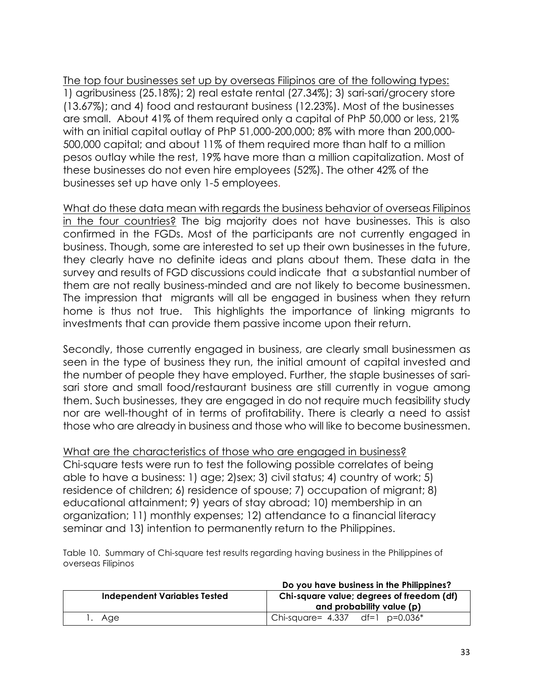The top four businesses set up by overseas Filipinos are of the following types: 1) agribusiness (25.18%); 2) real estate rental (27.34%); 3) sari-sari/grocery store (13.67%); and 4) food and restaurant business (12.23%). Most of the businesses are small. About 41% of them required only a capital of PhP 50,000 or less, 21% with an initial capital outlay of PhP 51,000-200,000; 8% with more than 200,000- 500,000 capital; and about 11% of them required more than half to a million pesos outlay while the rest, 19% have more than a million capitalization. Most of these businesses do not even hire employees (52%). The other 42% of the businesses set up have only 1-5 employees.

What do these data mean with regards the business behavior of overseas Filipinos in the four countries? The big majority does not have businesses. This is also confirmed in the FGDs. Most of the participants are not currently engaged in business. Though, some are interested to set up their own businesses in the future, they clearly have no definite ideas and plans about them. These data in the survey and results of FGD discussions could indicate that a substantial number of them are not really business-minded and are not likely to become businessmen. The impression that migrants will all be engaged in business when they return home is thus not true. This highlights the importance of linking migrants to investments that can provide them passive income upon their return.

Secondly, those currently engaged in business, are clearly small businessmen as seen in the type of business they run, the initial amount of capital invested and the number of people they have employed. Further, the staple businesses of sarisari store and small food/restaurant business are still currently in vogue among them. Such businesses, they are engaged in do not require much feasibility study nor are well-thought of in terms of profitability. There is clearly a need to assist those who are already in business and those who will like to become businessmen.

What are the characteristics of those who are engaged in business? Chi-square tests were run to test the following possible correlates of being able to have a business: 1) age; 2)sex; 3) civil status; 4) country of work; 5) residence of children; 6) residence of spouse; 7) occupation of migrant; 8) educational attainment; 9) years of stay abroad; 10) membership in an organization; 11) monthly expenses; 12) attendance to a financial literacy seminar and 13) intention to permanently return to the Philippines.

Table 10. Summary of Chi-square test results regarding having business in the Philippines of overseas Filipinos

| Do you have business in the Philippines? |                                                                        |  |  |
|------------------------------------------|------------------------------------------------------------------------|--|--|
| <b>Independent Variables Tested</b>      | Chi-square value; degrees of freedom (df)<br>and probability value (p) |  |  |
| ı. Age                                   | Chi-square= $4.337$ df=1 p=0.036*                                      |  |  |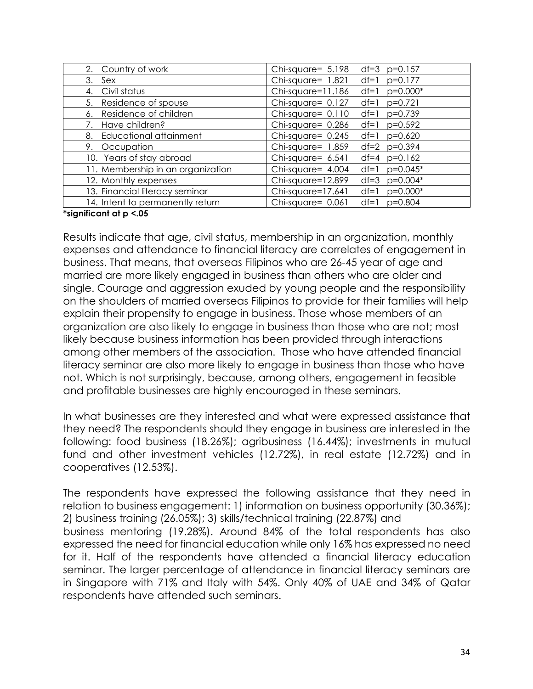| 2. Country of work                | Chi-square= 5.198<br>$df=3$ $p=0.157$     |
|-----------------------------------|-------------------------------------------|
| 3.<br>Sex                         | $Chi-square = 1.821$<br>$df=1$ p=0.177    |
| 4. Civil status                   | Chi-square=11.186<br>$df=1$<br>p=0.000*   |
| 5. Residence of spouse            | Chi-square= 0.127<br>$df=1$<br>$p=0.721$  |
| Residence of children<br>6.       | $Chi-square = 0.110$<br>$df=1$<br>p=0.739 |
| Have children?<br>7.              | Chi-square= 0.286<br>$df=1$ p=0.592       |
| Educational attainment<br>8.      | Chi-square= 0.245<br>df=1 $p=0.620$       |
| 9. Occupation                     | Chi-square= $1.859$<br>$df=2 p=0.394$     |
| 10. Years of stay abroad          | Chi-square= $6.541$<br>$df=4$ $p=0.162$   |
| 11. Membership in an organization | Chi-square= 4.004<br>df=1 $p=0.045*$      |
| 12. Monthly expenses              | Chi-square=12.899<br>df=3 $p=0.004*$      |
| 13. Financial literacy seminar    | Chi-square=17.641<br>p=0.000*<br>$df=1$   |
| 14. Intent to permanently return  | $Chi-square = 0.061$<br>df=1 $p=0.804$    |

#### **\*significant at p <.05**

Results indicate that age, civil status, membership in an organization, monthly expenses and attendance to financial literacy are correlates of engagement in business. That means, that overseas Filipinos who are 26-45 year of age and married are more likely engaged in business than others who are older and single. Courage and aggression exuded by young people and the responsibility on the shoulders of married overseas Filipinos to provide for their families will help explain their propensity to engage in business. Those whose members of an organization are also likely to engage in business than those who are not; most likely because business information has been provided through interactions among other members of the association. Those who have attended financial literacy seminar are also more likely to engage in business than those who have not. Which is not surprisingly, because, among others, engagement in feasible and profitable businesses are highly encouraged in these seminars.

In what businesses are they interested and what were expressed assistance that they need? The respondents should they engage in business are interested in the following: food business (18.26%); agribusiness (16.44%); investments in mutual fund and other investment vehicles (12.72%), in real estate (12.72%) and in cooperatives (12.53%).

The respondents have expressed the following assistance that they need in relation to business engagement: 1) information on business opportunity (30.36%); 2) business training (26.05%); 3) skills/technical training (22.87%) and business mentoring (19.28%). Around 84% of the total respondents has also expressed the need for financial education while only 16% has expressed no need for it. Half of the respondents have attended a financial literacy education seminar. The larger percentage of attendance in financial literacy seminars are in Singapore with 71% and Italy with 54%. Only 40% of UAE and 34% of Qatar respondents have attended such seminars.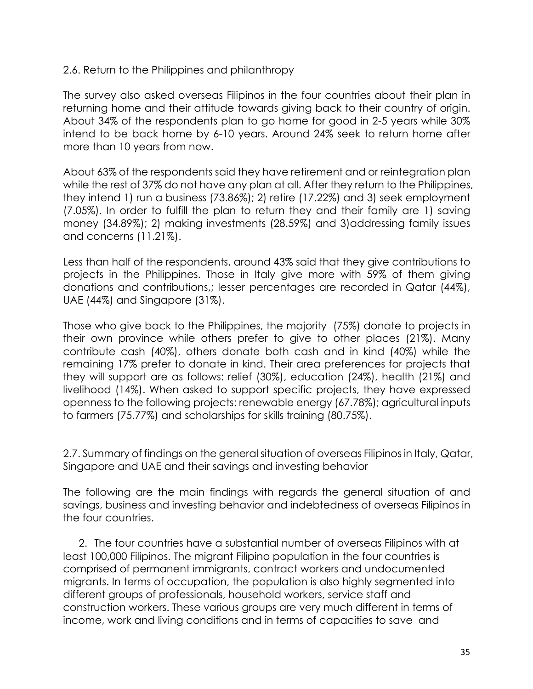### 2.6. Return to the Philippines and philanthropy

The survey also asked overseas Filipinos in the four countries about their plan in returning home and their attitude towards giving back to their country of origin. About 34% of the respondents plan to go home for good in 2-5 years while 30% intend to be back home by 6-10 years. Around 24% seek to return home after more than 10 years from now.

About 63% of the respondents said they have retirement and or reintegration plan while the rest of 37% do not have any plan at all. After they return to the Philippines, they intend 1) run a business (73.86%); 2) retire (17.22%) and 3) seek employment (7.05%). In order to fulfill the plan to return they and their family are 1) saving money (34.89%); 2) making investments (28.59%) and 3)addressing family issues and concerns (11.21%).

Less than half of the respondents, around 43% said that they give contributions to projects in the Philippines. Those in Italy give more with 59% of them giving donations and contributions,; lesser percentages are recorded in Qatar (44%), UAE (44%) and Singapore (31%).

Those who give back to the Philippines, the majority (75%) donate to projects in their own province while others prefer to give to other places (21%). Many contribute cash (40%), others donate both cash and in kind (40%) while the remaining 17% prefer to donate in kind. Their area preferences for projects that they will support are as follows: relief (30%), education (24%), health (21%) and livelihood (14%). When asked to support specific projects, they have expressed openness to the following projects: renewable energy (67.78%); agricultural inputs to farmers (75.77%) and scholarships for skills training (80.75%).

2.7. Summary of findings on the general situation of overseas Filipinos in Italy, Qatar, Singapore and UAE and their savings and investing behavior

The following are the main findings with regards the general situation of and savings, business and investing behavior and indebtedness of overseas Filipinos in the four countries.

2. The four countries have a substantial number of overseas Filipinos with at least 100,000 Filipinos. The migrant Filipino population in the four countries is comprised of permanent immigrants, contract workers and undocumented migrants. In terms of occupation, the population is also highly segmented into different groups of professionals, household workers, service staff and construction workers. These various groups are very much different in terms of income, work and living conditions and in terms of capacities to save and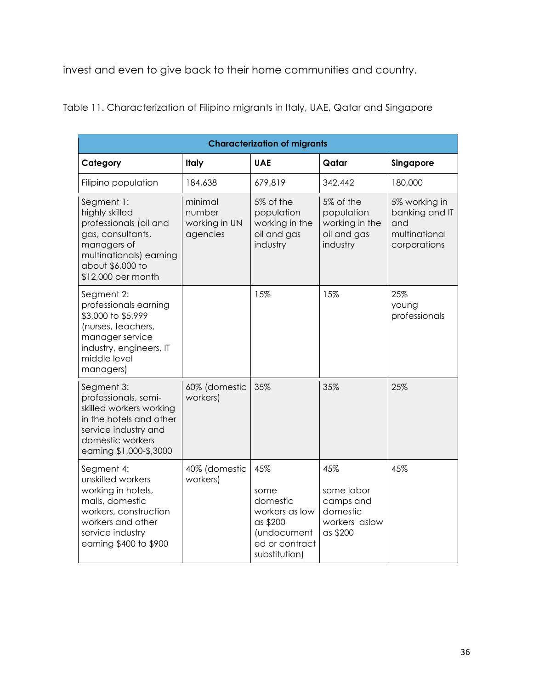invest and even to give back to their home communities and country.

| <b>Characterization of migrants</b>                                                                                                                                  |                                                |                                                                                                         |                                                                         |                                                                         |  |  |
|----------------------------------------------------------------------------------------------------------------------------------------------------------------------|------------------------------------------------|---------------------------------------------------------------------------------------------------------|-------------------------------------------------------------------------|-------------------------------------------------------------------------|--|--|
| Category                                                                                                                                                             | <b>Italy</b>                                   | <b>UAE</b>                                                                                              | Qatar                                                                   | Singapore                                                               |  |  |
| Filipino population                                                                                                                                                  | 184,638                                        | 679,819                                                                                                 | 342,442                                                                 | 180,000                                                                 |  |  |
| Segment 1:<br>highly skilled<br>professionals (oil and<br>gas, consultants,<br>managers of<br>multinationals) earning<br>about \$6,000 to<br>\$12,000 per month      | minimal<br>number<br>working in UN<br>agencies | 5% of the<br>population<br>working in the<br>oil and gas<br>industry                                    | 5% of the<br>population<br>working in the<br>oil and gas<br>industry    | 5% working in<br>banking and IT<br>and<br>multinational<br>corporations |  |  |
| Segment 2:<br>professionals earning<br>\$3,000 to \$5,999<br>(nurses, teachers,<br>manager service<br>industry, engineers, IT<br>middle level<br>managers)           |                                                | 15%                                                                                                     | 15%                                                                     | 25%<br>young<br>professionals                                           |  |  |
| Segment 3:<br>professionals, semi-<br>skilled workers working<br>in the hotels and other<br>service industry and<br>domestic workers<br>earning \$1,000-\$,3000      | 60% (domestic<br>workers)                      | 35%                                                                                                     | 35%                                                                     | 25%                                                                     |  |  |
| Segment 4:<br>unskilled workers<br>working in hotels,<br>malls, domestic<br>workers, construction<br>workers and other<br>service industry<br>earning \$400 to \$900 | 40% (domestic<br>workers)                      | 45%<br>some<br>domestic<br>workers as low<br>as \$200<br>(undocument<br>ed or contract<br>substitution) | 45%<br>some labor<br>camps and<br>domestic<br>workers aslow<br>as \$200 | 45%                                                                     |  |  |

Table 11. Characterization of Filipino migrants in Italy, UAE, Qatar and Singapore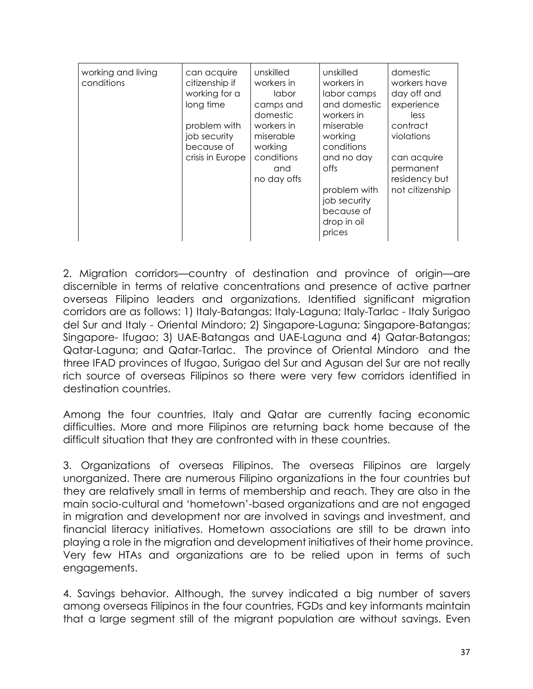| working and living | can acquire      | unskilled   | unskilled    | domestic        |
|--------------------|------------------|-------------|--------------|-----------------|
| conditions         | citizenship if   | workers in  | workers in   | workers have    |
|                    | working for a    | labor       | labor camps  | day off and     |
|                    | long time        | camps and   | and domestic | experience      |
|                    |                  | domestic    | workers in   | less            |
|                    |                  |             |              |                 |
|                    | problem with     | workers in  | miserable    | contract        |
|                    | job security     | miserable   | working      | violations      |
|                    | because of       | working     | conditions   |                 |
|                    | crisis in Europe | conditions  | and no day   | can acquire     |
|                    |                  | and         | offs         | permanent       |
|                    |                  | no day offs |              | residency but   |
|                    |                  |             | problem with | not citizenship |
|                    |                  |             |              |                 |
|                    |                  |             | job security |                 |
|                    |                  |             | because of   |                 |
|                    |                  |             | drop in oil  |                 |
|                    |                  |             | prices       |                 |
|                    |                  |             |              |                 |

2. Migration corridors—country of destination and province of origin—are discernible in terms of relative concentrations and presence of active partner overseas Filipino leaders and organizations. Identified significant migration corridors are as follows: 1) Italy-Batangas; Italy-Laguna; Italy-Tarlac - Italy Surigao del Sur and Italy - Oriental Mindoro; 2) Singapore-Laguna; Singapore-Batangas; Singapore- Ifugao; 3) UAE-Batangas and UAE-Laguna and 4) Qatar-Batangas; Qatar-Laguna; and Qatar-Tarlac. The province of Oriental Mindoro and the three IFAD provinces of Ifugao, Surigao del Sur and Agusan del Sur are not really rich source of overseas Filipinos so there were very few corridors identified in destination countries.

Among the four countries, Italy and Qatar are currently facing economic difficulties. More and more Filipinos are returning back home because of the difficult situation that they are confronted with in these countries.

3. Organizations of overseas Filipinos. The overseas Filipinos are largely unorganized. There are numerous Filipino organizations in the four countries but they are relatively small in terms of membership and reach. They are also in the main socio-cultural and 'hometown'-based organizations and are not engaged in migration and development nor are involved in savings and investment, and financial literacy initiatives. Hometown associations are still to be drawn into playing a role in the migration and development initiatives of their home province. Very few HTAs and organizations are to be relied upon in terms of such engagements.

4. Savings behavior. Although, the survey indicated a big number of savers among overseas Filipinos in the four countries, FGDs and key informants maintain that a large segment still of the migrant population are without savings. Even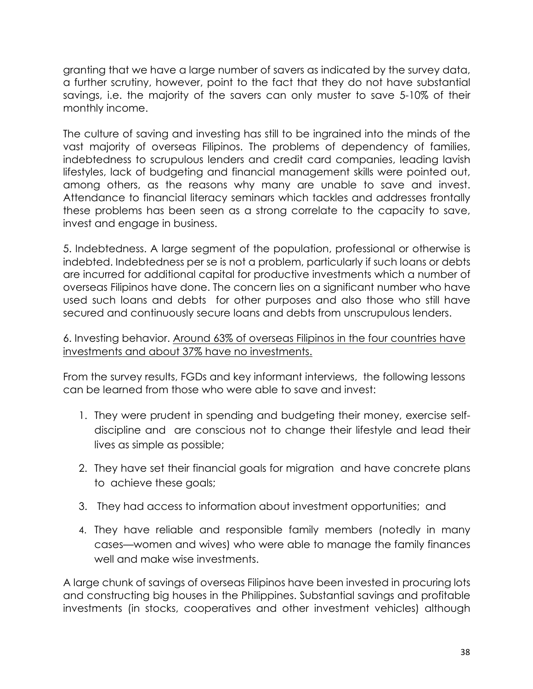granting that we have a large number of savers as indicated by the survey data, a further scrutiny, however, point to the fact that they do not have substantial savings, i.e. the majority of the savers can only muster to save 5-10% of their monthly income.

The culture of saving and investing has still to be ingrained into the minds of the vast majority of overseas Filipinos. The problems of dependency of families, indebtedness to scrupulous lenders and credit card companies, leading lavish lifestyles, lack of budgeting and financial management skills were pointed out, among others, as the reasons why many are unable to save and invest. Attendance to financial literacy seminars which tackles and addresses frontally these problems has been seen as a strong correlate to the capacity to save, invest and engage in business.

5. Indebtedness. A large segment of the population, professional or otherwise is indebted. Indebtedness per se is not a problem, particularly if such loans or debts are incurred for additional capital for productive investments which a number of overseas Filipinos have done. The concern lies on a significant number who have used such loans and debts for other purposes and also those who still have secured and continuously secure loans and debts from unscrupulous lenders.

#### 6. Investing behavior. Around 63% of overseas Filipinos in the four countries have investments and about 37% have no investments.

From the survey results, FGDs and key informant interviews, the following lessons can be learned from those who were able to save and invest:

- 1. They were prudent in spending and budgeting their money, exercise selfdiscipline and are conscious not to change their lifestyle and lead their lives as simple as possible;
- 2. They have set their financial goals for migration and have concrete plans to achieve these goals;
- 3. They had access to information about investment opportunities; and
- 4. They have reliable and responsible family members (notedly in many cases—women and wives) who were able to manage the family finances well and make wise investments.

A large chunk of savings of overseas Filipinos have been invested in procuring lots and constructing big houses in the Philippines. Substantial savings and profitable investments (in stocks, cooperatives and other investment vehicles) although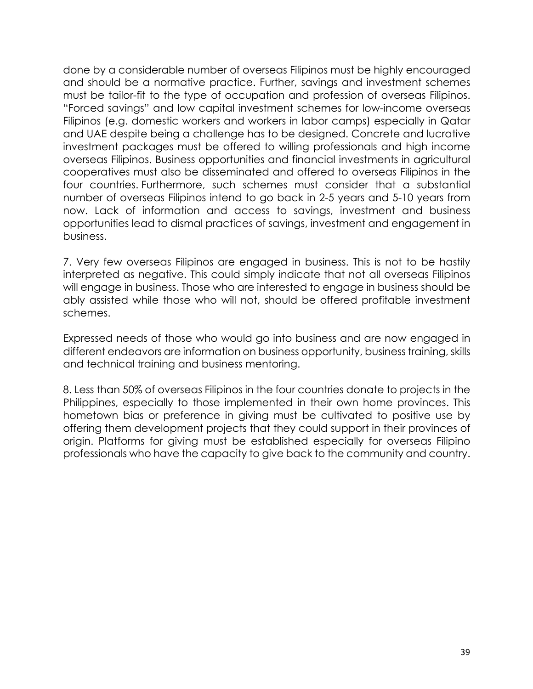done by a considerable number of overseas Filipinos must be highly encouraged and should be a normative practice. Further, savings and investment schemes must be tailor-fit to the type of occupation and profession of overseas Filipinos. "Forced savings" and low capital investment schemes for low-income overseas Filipinos (e.g. domestic workers and workers in labor camps) especially in Qatar and UAE despite being a challenge has to be designed. Concrete and lucrative investment packages must be offered to willing professionals and high income overseas Filipinos. Business opportunities and financial investments in agricultural cooperatives must also be disseminated and offered to overseas Filipinos in the four countries. Furthermore, such schemes must consider that a substantial number of overseas Filipinos intend to go back in 2-5 years and 5-10 years from now. Lack of information and access to savings, investment and business opportunities lead to dismal practices of savings, investment and engagement in business.

7. Very few overseas Filipinos are engaged in business. This is not to be hastily interpreted as negative. This could simply indicate that not all overseas Filipinos will engage in business. Those who are interested to engage in business should be ably assisted while those who will not, should be offered profitable investment schemes.

Expressed needs of those who would go into business and are now engaged in different endeavors are information on business opportunity, business training, skills and technical training and business mentoring.

8. Less than 50% of overseas Filipinos in the four countries donate to projects in the Philippines, especially to those implemented in their own home provinces. This hometown bias or preference in giving must be cultivated to positive use by offering them development projects that they could support in their provinces of origin. Platforms for giving must be established especially for overseas Filipino professionals who have the capacity to give back to the community and country.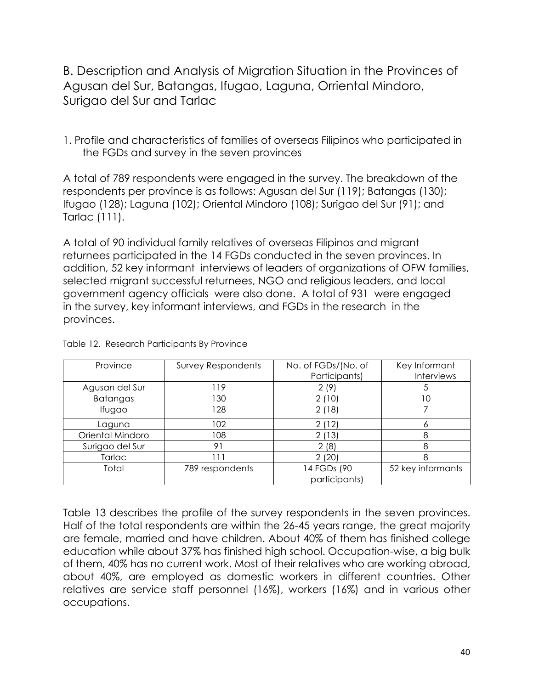B. Description and Analysis of Migration Situation in the Provinces of Agusan del Sur, Batangas, Ifugao, Laguna, Orriental Mindoro, Surigao del Sur and Tarlac

1. Profile and characteristics of families of overseas Filipinos who participated in the FGDs and survey in the seven provinces

A total of 789 respondents were engaged in the survey. The breakdown of the respondents per province is as follows: Agusan del Sur (119); Batangas (130); Ifugao (128); Laguna (102); Oriental Mindoro (108); Surigao del Sur (91); and Tarlac (111).

A total of 90 individual family relatives of overseas Filipinos and migrant returnees participated in the 14 FGDs conducted in the seven provinces. In addition, 52 key informant interviews of leaders of organizations of OFW families, selected migrant successful returnees, NGO and religious leaders, and local government agency officials were also done. A total of 931 were engaged in the survey, key informant interviews, and FGDs in the research in the provinces.

| Province         | <b>Survey Respondents</b> | No. of FGDs/(No. of          | Key Informant     |
|------------------|---------------------------|------------------------------|-------------------|
|                  |                           | Participants)                | <b>Interviews</b> |
| Agusan del Sur   | l 19                      | 2(9)                         |                   |
| <b>Batangas</b>  | 130                       | 2(10)                        |                   |
| Ifugao           | 128                       | 2(18)                        |                   |
| Laguna           | 102                       | 2(12)                        |                   |
| Oriental Mindoro | 108                       | 2(13)                        | 8                 |
| Surigao del Sur  | 91                        | 2(8)                         | 8                 |
| Tarlac           |                           | 2(20)                        | 8                 |
| Total            | 789 respondents           | 14 FGDs (90<br>participants) | 52 key informants |

Table 12. Research Participants By Province

Table 13 describes the profile of the survey respondents in the seven provinces. Half of the total respondents are within the 26-45 years range, the great majority are female, married and have children. About 40% of them has finished college education while about 37% has finished high school. Occupation-wise, a big bulk of them, 40% has no current work. Most of their relatives who are working abroad, about 40%, are employed as domestic workers in different countries. Other relatives are service staff personnel (16%), workers (16%) and in various other occupations.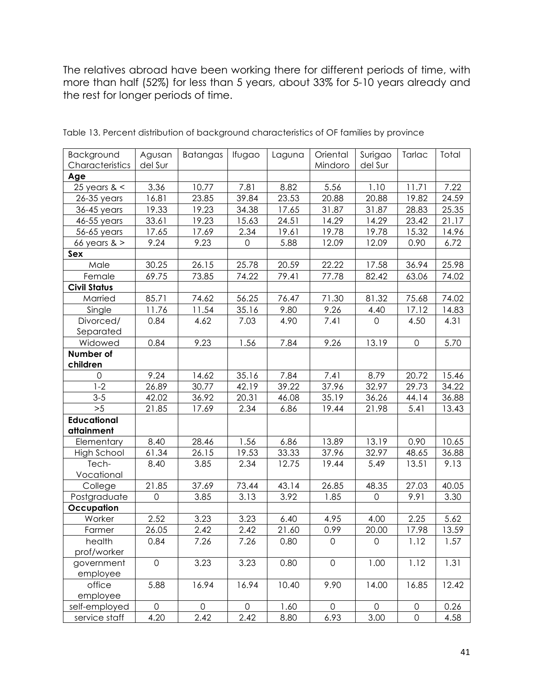The relatives abroad have been working there for different periods of time, with more than half (52%) for less than 5 years, about 33% for 5-10 years already and the rest for longer periods of time.

| Age<br>3.36<br>5.56<br>1.10<br>25 years $<$<br>10.77<br>7.81<br>8.82<br>11.71<br>7.22<br>16.81<br>39.84<br>$26-35$ years<br>23.85<br>23.53<br>20.88<br>20.88<br>19.82<br>19.33<br>19.23<br>34.38<br>17.65<br>31.87<br>31.87<br>28.83<br>36-45 years<br>33.61<br>19.23<br>15.63<br>14.29<br>23.42<br>46-55 years<br>24.51<br>14.29<br>17.69<br>2.34<br>19.61<br>15.32<br>17.65<br>19.78<br>19.78<br>56-65 years<br>5.88<br>9.24<br>9.23<br>12.09<br>0.90<br>$\overline{0}$<br>12.09<br>66 years $>$<br>Sex<br>Male<br>30.25<br>20.59<br>26.15<br>25.78<br>22.22<br>17.58<br>36.94<br>73.85<br>69.75<br>74.22<br>79.41<br>77.78<br>82.42<br>Female<br>63.06 |                     | Agusan  | Batangas | Ifugao | Laguna | Oriental | Surigao | Tarlac | Total |
|-----------------------------------------------------------------------------------------------------------------------------------------------------------------------------------------------------------------------------------------------------------------------------------------------------------------------------------------------------------------------------------------------------------------------------------------------------------------------------------------------------------------------------------------------------------------------------------------------------------------------------------------------------------|---------------------|---------|----------|--------|--------|----------|---------|--------|-------|
|                                                                                                                                                                                                                                                                                                                                                                                                                                                                                                                                                                                                                                                           | Characteristics     | del Sur |          |        |        | Mindoro  | del Sur |        |       |
|                                                                                                                                                                                                                                                                                                                                                                                                                                                                                                                                                                                                                                                           |                     |         |          |        |        |          |         |        |       |
|                                                                                                                                                                                                                                                                                                                                                                                                                                                                                                                                                                                                                                                           |                     |         |          |        |        |          |         |        |       |
|                                                                                                                                                                                                                                                                                                                                                                                                                                                                                                                                                                                                                                                           |                     |         |          |        |        |          |         |        | 24.59 |
|                                                                                                                                                                                                                                                                                                                                                                                                                                                                                                                                                                                                                                                           |                     |         |          |        |        |          |         |        | 25.35 |
|                                                                                                                                                                                                                                                                                                                                                                                                                                                                                                                                                                                                                                                           |                     |         |          |        |        |          |         |        | 21.17 |
|                                                                                                                                                                                                                                                                                                                                                                                                                                                                                                                                                                                                                                                           |                     |         |          |        |        |          |         |        | 14.96 |
|                                                                                                                                                                                                                                                                                                                                                                                                                                                                                                                                                                                                                                                           |                     |         |          |        |        |          |         |        | 6.72  |
|                                                                                                                                                                                                                                                                                                                                                                                                                                                                                                                                                                                                                                                           |                     |         |          |        |        |          |         |        |       |
|                                                                                                                                                                                                                                                                                                                                                                                                                                                                                                                                                                                                                                                           |                     |         |          |        |        |          |         |        | 25.98 |
|                                                                                                                                                                                                                                                                                                                                                                                                                                                                                                                                                                                                                                                           |                     |         |          |        |        |          |         |        | 74.02 |
|                                                                                                                                                                                                                                                                                                                                                                                                                                                                                                                                                                                                                                                           | <b>Civil Status</b> |         |          |        |        |          |         |        |       |
| 85.71<br>56.25<br>71.30<br>81.32<br>Married<br>74.62<br>76.47<br>75.68                                                                                                                                                                                                                                                                                                                                                                                                                                                                                                                                                                                    |                     |         |          |        |        |          |         |        | 74.02 |
| 11.54<br>9.26<br>17.12<br>Single<br>11.76<br>35.16<br>9.80<br>4.40                                                                                                                                                                                                                                                                                                                                                                                                                                                                                                                                                                                        |                     |         |          |        |        |          |         |        | 14.83 |
| 0.84<br>Divorced/<br>4.62<br>7.03<br>4.90<br>7.41<br>$\mathbf 0$<br>4.50                                                                                                                                                                                                                                                                                                                                                                                                                                                                                                                                                                                  |                     |         |          |        |        |          |         |        | 4.31  |
| Separated                                                                                                                                                                                                                                                                                                                                                                                                                                                                                                                                                                                                                                                 |                     |         |          |        |        |          |         |        |       |
| 0.84<br>9.23<br>1.56<br>7.84<br>9.26<br>13.19<br>Widowed<br>$\mathbf 0$                                                                                                                                                                                                                                                                                                                                                                                                                                                                                                                                                                                   |                     |         |          |        |        |          |         |        | 5.70  |
| Number of                                                                                                                                                                                                                                                                                                                                                                                                                                                                                                                                                                                                                                                 |                     |         |          |        |        |          |         |        |       |
| children                                                                                                                                                                                                                                                                                                                                                                                                                                                                                                                                                                                                                                                  |                     |         |          |        |        |          |         |        |       |
| 9.24<br>14.62<br>35.16<br>7.84<br>8.79<br>$\mathbf 0$<br>7.41<br>20.72                                                                                                                                                                                                                                                                                                                                                                                                                                                                                                                                                                                    |                     |         |          |        |        |          |         |        | 15.46 |
| $1 - 2$<br>30.77<br>26.89<br>42.19<br>39.22<br>37.96<br>32.97<br>29.73                                                                                                                                                                                                                                                                                                                                                                                                                                                                                                                                                                                    |                     |         |          |        |        |          |         |        | 34.22 |
| $3 - 5$<br>42.02<br>36.92<br>20.31<br>46.08<br>35.19<br>36.26<br>44.14                                                                                                                                                                                                                                                                                                                                                                                                                                                                                                                                                                                    |                     |         |          |        |        |          |         |        | 36.88 |
| >5<br>2.34<br>6.86<br>21.85<br>17.69<br>19.44<br>21.98<br>5.41                                                                                                                                                                                                                                                                                                                                                                                                                                                                                                                                                                                            |                     |         |          |        |        |          |         |        | 13.43 |
| <b>Educational</b>                                                                                                                                                                                                                                                                                                                                                                                                                                                                                                                                                                                                                                        |                     |         |          |        |        |          |         |        |       |
| attainment                                                                                                                                                                                                                                                                                                                                                                                                                                                                                                                                                                                                                                                |                     |         |          |        |        |          |         |        |       |
| 8.40<br>1.56<br>6.86<br>13.89<br>13.19<br>28.46<br>0.90<br>Elementary                                                                                                                                                                                                                                                                                                                                                                                                                                                                                                                                                                                     |                     |         |          |        |        |          |         |        | 10.65 |
| 26.15<br>19.53<br>33.33<br>32.97<br>48.65<br><b>High School</b><br>61.34<br>37.96                                                                                                                                                                                                                                                                                                                                                                                                                                                                                                                                                                         |                     |         |          |        |        |          |         |        | 36.88 |
| 3.85<br>12.75<br>Tech-<br>8.40<br>2.34<br>19.44<br>5.49<br>13.51                                                                                                                                                                                                                                                                                                                                                                                                                                                                                                                                                                                          |                     |         |          |        |        |          |         |        | 9.13  |
| Vocational                                                                                                                                                                                                                                                                                                                                                                                                                                                                                                                                                                                                                                                |                     |         |          |        |        |          |         |        |       |
| 21.85<br>37.69<br>73.44<br>43.14<br>26.85<br>48.35<br>27.03<br>College                                                                                                                                                                                                                                                                                                                                                                                                                                                                                                                                                                                    |                     |         |          |        |        |          |         |        | 40.05 |
| 3.92<br>9.91<br>Postgraduate<br>0<br>3.85<br>3.13<br>1.85<br>$\mathsf{O}\xspace$                                                                                                                                                                                                                                                                                                                                                                                                                                                                                                                                                                          |                     |         |          |        |        |          |         |        | 3.30  |
| Occupation                                                                                                                                                                                                                                                                                                                                                                                                                                                                                                                                                                                                                                                |                     |         |          |        |        |          |         |        |       |
| 2.25<br>2.52<br>3.23<br>3.23<br>Worker<br>6.40<br>4.95<br>4.00                                                                                                                                                                                                                                                                                                                                                                                                                                                                                                                                                                                            |                     |         |          |        |        |          |         |        | 5.62  |
| 2.42<br>26.05<br>2.42<br>21.60<br>0.99<br>20.00<br>17.98<br>Farmer                                                                                                                                                                                                                                                                                                                                                                                                                                                                                                                                                                                        |                     |         |          |        |        |          |         |        | 13.59 |
| health<br>7.26<br>$\mathsf{O}\xspace$<br>0.84<br>7.26<br>0.80<br>$\mathsf{O}\xspace$<br>1.12                                                                                                                                                                                                                                                                                                                                                                                                                                                                                                                                                              |                     |         |          |        |        |          |         |        | 1.57  |
| prof/worker                                                                                                                                                                                                                                                                                                                                                                                                                                                                                                                                                                                                                                               |                     |         |          |        |        |          |         |        |       |
| 0.80<br>$\mathbf 0$<br>3.23<br>3.23<br>$\mathsf{O}\xspace$<br>1.00<br>government<br>1.12                                                                                                                                                                                                                                                                                                                                                                                                                                                                                                                                                                  |                     |         |          |        |        |          |         |        | 1.31  |
| employee                                                                                                                                                                                                                                                                                                                                                                                                                                                                                                                                                                                                                                                  |                     |         |          |        |        |          |         |        |       |
| office<br>16.94<br>16.94<br>10.40<br>9.90<br>5.88<br>14.00<br>16.85                                                                                                                                                                                                                                                                                                                                                                                                                                                                                                                                                                                       |                     |         |          |        |        |          |         |        | 12.42 |
| employee                                                                                                                                                                                                                                                                                                                                                                                                                                                                                                                                                                                                                                                  |                     |         |          |        |        |          |         |        |       |
| 0<br>$\mathbf 0$<br>$\overline{0}$<br>self-employed<br>$\mathbf 0$<br>1.60<br>$\mathsf{O}$<br>$\mathsf{O}\xspace$                                                                                                                                                                                                                                                                                                                                                                                                                                                                                                                                         |                     |         |          |        |        |          |         |        | 0.26  |
| 2.42<br>2.42<br>6.93<br>3.00<br>service staff<br>4.20<br>8.80<br>$\mathsf{O}\xspace$                                                                                                                                                                                                                                                                                                                                                                                                                                                                                                                                                                      |                     |         |          |        |        |          |         |        | 4.58  |

Table 13. Percent distribution of background characteristics of OF families by province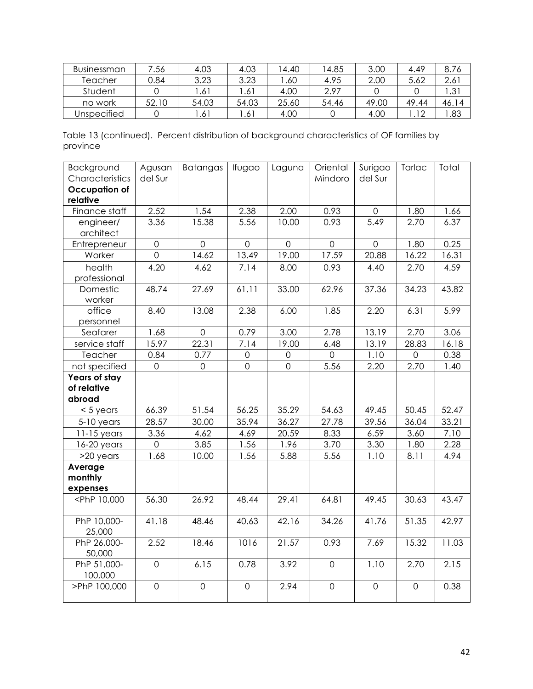| Businessman | 7.56  | 4.03  | 4.03  | 4.40  | 4.85  | 3.00  | 4.49   | 8.76          |
|-------------|-------|-------|-------|-------|-------|-------|--------|---------------|
| Teacher     | 0.84  | 3.23  | 3.23  | .60   | 4.95  | 2.00  | 5.62   | $2.6^{\circ}$ |
| Student     |       | .61   | .61   | 4.00  | 2.97  |       |        | ک.            |
| no work     | 52.10 | 54.03 | 54.03 | 25.60 | 54.46 | 49.00 | 49.44  | 46.14         |
| Unspecified |       | .61   | .61   | 4.00  |       | 4.00  | $\sim$ | .83           |

Table 13 (continued). Percent distribution of background characteristics of OF families by province<sup>'</sup>

| Background<br>Characteristics                                                                                                                | Agusan<br>del Sur | Batangas            | Ifugao         | Laguna         | Oriental<br>Mindoro | Surigao<br>del Sur  | Tarlac      | Total |
|----------------------------------------------------------------------------------------------------------------------------------------------|-------------------|---------------------|----------------|----------------|---------------------|---------------------|-------------|-------|
| <b>Occupation of</b>                                                                                                                         |                   |                     |                |                |                     |                     |             |       |
| relative                                                                                                                                     |                   |                     |                |                |                     |                     |             |       |
| Finance staff                                                                                                                                | 2.52              | 1.54                | 2.38           | 2.00           | 0.93                | $\mathsf{O}\xspace$ | 1.80        | 1.66  |
| engineer/                                                                                                                                    | 3.36              | 15.38               | 5.56           | 10.00          | 0.93                | 5.49                | 2.70        | 6.37  |
| architect                                                                                                                                    |                   |                     |                |                |                     |                     |             |       |
| Entrepreneur                                                                                                                                 | $\mathbf 0$       | $\overline{0}$      | $\overline{0}$ | $\mathbf 0$    | $\mathsf{O}$        | $\mathbf 0$         | 1.80        | 0.25  |
| Worker                                                                                                                                       | $\overline{0}$    | 14.62               | 13.49          | 19.00          | 17.59               | 20.88               | 16.22       | 16.31 |
| health                                                                                                                                       | 4.20              | 4.62                | 7.14           | 8.00           | 0.93                | 4.40                | 2.70        | 4.59  |
| professional                                                                                                                                 |                   |                     |                |                |                     |                     |             |       |
| Domestic                                                                                                                                     | 48.74             | 27.69               | 61.11          | 33.00          | 62.96               | 37.36               | 34.23       | 43.82 |
| worker                                                                                                                                       |                   |                     |                |                |                     |                     |             |       |
| office                                                                                                                                       | 8.40              | 13.08               | 2.38           | 6.00           | 1.85                | 2.20                | 6.31        | 5.99  |
| personnel                                                                                                                                    |                   |                     |                |                |                     |                     |             |       |
| Seafarer                                                                                                                                     | 1.68              | $\mathsf{O}\xspace$ | 0.79           | 3.00           | 2.78                | 13.19               | 2.70        | 3.06  |
| service staff                                                                                                                                | 15.97             | 22.31               | 7.14           | 19.00          | 6.48                | 13.19               | 28.83       | 16.18 |
| Teacher                                                                                                                                      | 0.84              | 0.77                | 0              | 0              | $\overline{0}$      | 1.10                | 0           | 0.38  |
| not specified                                                                                                                                | $\overline{0}$    | $\mathbf 0$         | $\overline{O}$ | $\overline{O}$ | 5.56                | 2.20                | 2.70        | 1.40  |
| Years of stay                                                                                                                                |                   |                     |                |                |                     |                     |             |       |
| of relative                                                                                                                                  |                   |                     |                |                |                     |                     |             |       |
| abroad                                                                                                                                       |                   |                     |                |                |                     |                     |             |       |
| $< 5$ years                                                                                                                                  | 66.39             | 51.54               | 56.25          | 35.29          | 54.63               | 49.45               | 50.45       | 52.47 |
| $5-10$ years                                                                                                                                 | 28.57             | 30.00               | 35.94          | 36.27          | 27.78               | 39.56               | 36.04       | 33.21 |
| $11-15$ years                                                                                                                                | 3.36              | 4.62                | 4.69           | 20.59          | 8.33                | 6.59                | 3.60        | 7.10  |
| $16-20$ years                                                                                                                                | $\overline{0}$    | 3.85                | 1.56           | 1.96           | 3.70                | 3.30                | 1.80        | 2.28  |
| $>20$ years                                                                                                                                  | 1.68              | 10.00               | 1.56           | 5.88           | 5.56                | 1.10                | 8.11        | 4.94  |
| Average                                                                                                                                      |                   |                     |                |                |                     |                     |             |       |
| monthly                                                                                                                                      |                   |                     |                |                |                     |                     |             |       |
| expenses                                                                                                                                     |                   |                     |                |                |                     |                     |             |       |
| <php 10,000<="" td=""><td>56.30</td><td>26.92</td><td>48.44</td><td>29.41</td><td>64.81</td><td>49.45</td><td>30.63</td><td>43.47</td></php> | 56.30             | 26.92               | 48.44          | 29.41          | 64.81               | 49.45               | 30.63       | 43.47 |
| PhP 10,000-                                                                                                                                  | 41.18             | 48.46               | 40.63          | 42.16          | 34.26               | 41.76               | 51.35       | 42.97 |
| 25,000                                                                                                                                       |                   |                     |                |                |                     |                     |             |       |
| PhP 26,000-                                                                                                                                  | 2.52              | 18.46               | 1016           | 21.57          | 0.93                | 7.69                | 15.32       | 11.03 |
| 50,000                                                                                                                                       |                   |                     |                |                |                     |                     |             |       |
| PhP 51,000-                                                                                                                                  | $\mathbf 0$       | 6.15                | 0.78           | 3.92           | $\mathbf 0$         | 1.10                | 2.70        | 2.15  |
| 100,000                                                                                                                                      |                   |                     |                |                |                     |                     |             |       |
| >PhP 100,000                                                                                                                                 | $\mathbf 0$       | $\mathbf 0$         | $\overline{0}$ | 2.94           | $\mathbf 0$         | $\overline{O}$      | $\mathbf 0$ | 0.38  |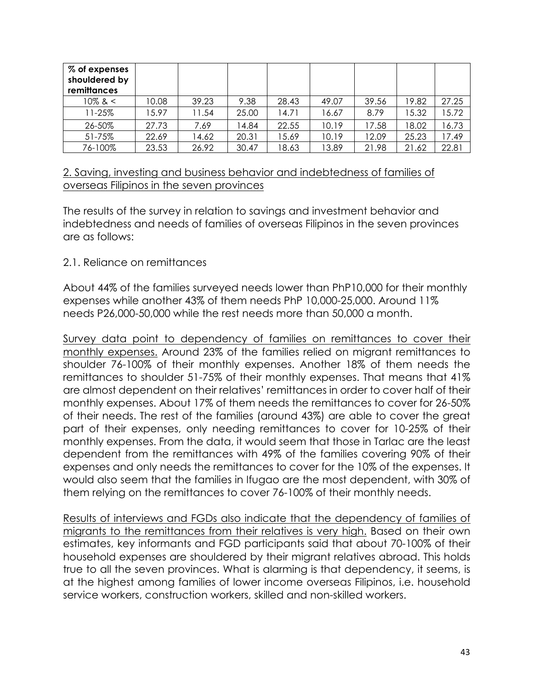| % of expenses<br>shouldered by<br>remittances |       |       |       |       |       |       |       |       |
|-----------------------------------------------|-------|-------|-------|-------|-------|-------|-------|-------|
| $10\%$ & $<$                                  | 10.08 | 39.23 | 9.38  | 28.43 | 49.07 | 39.56 | 19.82 | 27.25 |
| 11-25%                                        | 15.97 | 11.54 | 25.00 | 14.71 | 16.67 | 8.79  | 15.32 | 5.72  |
| 26-50%                                        | 27.73 | 7.69  | 4.84  | 22.55 | 10.19 | 17.58 | 18.02 | 6.73  |
| 51-75%                                        | 22.69 | 14.62 | 20.31 | 15.69 | 10.19 | 12.09 | 25.23 | 7.49  |
| 76-100%                                       | 23.53 | 26.92 | 30.47 | 8.63  | 13.89 | 21.98 | 21.62 | 22.81 |

### 2. Saving, investing and business behavior and indebtedness of families of overseas Filipinos in the seven provinces

The results of the survey in relation to savings and investment behavior and indebtedness and needs of families of overseas Filipinos in the seven provinces are as follows:

### 2.1. Reliance on remittances

About 44% of the families surveyed needs lower than PhP10,000 for their monthly expenses while another 43% of them needs PhP 10,000-25,000. Around 11% needs P26,000-50,000 while the rest needs more than 50,000 a month.

Survey data point to dependency of families on remittances to cover their monthly expenses. Around 23% of the families relied on migrant remittances to shoulder 76-100% of their monthly expenses. Another 18% of them needs the remittances to shoulder 51-75% of their monthly expenses. That means that 41% are almost dependent on their relatives' remittances in order to cover half of their monthly expenses. About 17% of them needs the remittances to cover for 26-50% of their needs. The rest of the families (around 43%) are able to cover the great part of their expenses, only needing remittances to cover for 10-25% of their monthly expenses. From the data, it would seem that those in Tarlac are the least dependent from the remittances with 49% of the families covering 90% of their expenses and only needs the remittances to cover for the 10% of the expenses. It would also seem that the families in Ifugao are the most dependent, with 30% of them relying on the remittances to cover 76-100% of their monthly needs.

Results of interviews and FGDs also indicate that the dependency of families of migrants to the remittances from their relatives is very high. Based on their own estimates, key informants and FGD participants said that about 70-100% of their household expenses are shouldered by their migrant relatives abroad. This holds true to all the seven provinces. What is alarming is that dependency, it seems, is at the highest among families of lower income overseas Filipinos, i.e. household service workers, construction workers, skilled and non-skilled workers.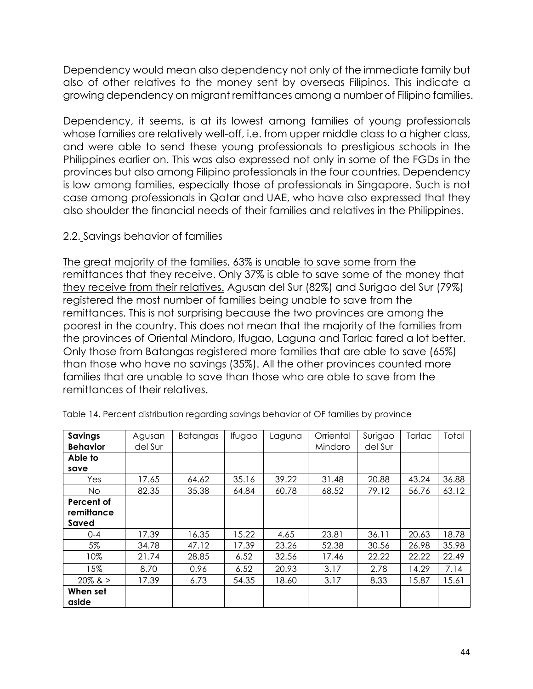Dependency would mean also dependency not only of the immediate family but also of other relatives to the money sent by overseas Filipinos. This indicate a growing dependency on migrant remittances among a number of Filipino families.

Dependency, it seems, is at its lowest among families of young professionals whose families are relatively well-off, i.e. from upper middle class to a higher class, and were able to send these young professionals to prestigious schools in the Philippines earlier on. This was also expressed not only in some of the FGDs in the provinces but also among Filipino professionals in the four countries. Dependency is low among families, especially those of professionals in Singapore. Such is not case among professionals in Qatar and UAE, who have also expressed that they also shoulder the financial needs of their families and relatives in the Philippines.

### 2.2. Savings behavior of families

The great majority of the families, 63% is unable to save some from the remittances that they receive. Only 37% is able to save some of the money that they receive from their relatives. Agusan del Sur (82%) and Surigao del Sur (79%) registered the most number of families being unable to save from the remittances. This is not surprising because the two provinces are among the poorest in the country. This does not mean that the majority of the families from the provinces of Oriental Mindoro, Ifugao, Laguna and Tarlac fared a lot better. Only those from Batangas registered more families that are able to save (65%) than those who have no savings (35%). All the other provinces counted more families that are unable to save than those who are able to save from the remittances of their relatives.

| Savings<br><b>Behavior</b> | Agusan<br>del Sur | Batangas | Ifugao | Laguna | Orriental<br>Mindoro | Surigao<br>del Sur | Tarlac | Total |
|----------------------------|-------------------|----------|--------|--------|----------------------|--------------------|--------|-------|
| Able to                    |                   |          |        |        |                      |                    |        |       |
| save                       |                   |          |        |        |                      |                    |        |       |
| Yes                        | 17.65             | 64.62    | 35.16  | 39.22  | 31.48                | 20.88              | 43.24  | 36.88 |
| No.                        | 82.35             | 35.38    | 64.84  | 60.78  | 68.52                | 79.12              | 56.76  | 63.12 |
| Percent of                 |                   |          |        |        |                      |                    |        |       |
| remittance                 |                   |          |        |        |                      |                    |        |       |
| Saved                      |                   |          |        |        |                      |                    |        |       |
| $0 - 4$                    | 17.39             | 16.35    | 15.22  | 4.65   | 23.81                | 36.11              | 20.63  | 18.78 |
| 5%                         | 34.78             | 47.12    | 17.39  | 23.26  | 52.38                | 30.56              | 26.98  | 35.98 |
| 10%                        | 21.74             | 28.85    | 6.52   | 32.56  | 17.46                | 22.22              | 22.22  | 22.49 |
| 15%                        | 8.70              | 0.96     | 6.52   | 20.93  | 3.17                 | 2.78               | 14.29  | 7.14  |
| $20\%$ & $>$               | 17.39             | 6.73     | 54.35  | 18.60  | 3.17                 | 8.33               | 15.87  | 15.61 |
| When set                   |                   |          |        |        |                      |                    |        |       |
| aside                      |                   |          |        |        |                      |                    |        |       |

Table 14. Percent distribution regarding savings behavior of OF families by province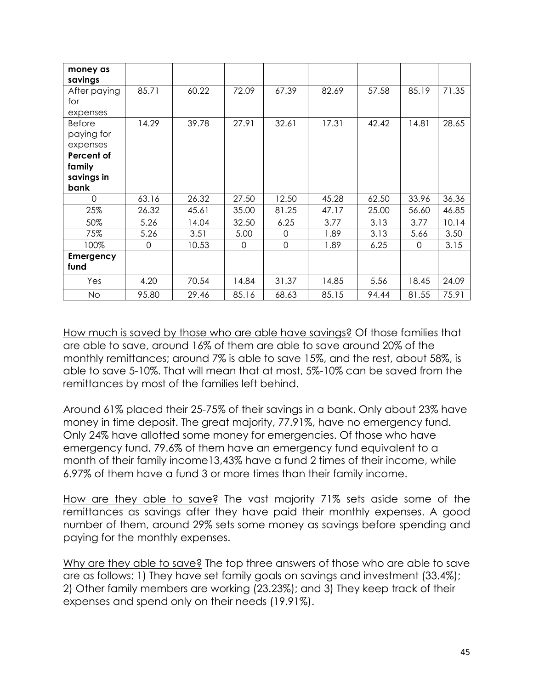| money as<br>savings |       |       |          |          |       |       |       |       |
|---------------------|-------|-------|----------|----------|-------|-------|-------|-------|
| After paying<br>for | 85.71 | 60.22 | 72.09    | 67.39    | 82.69 | 57.58 | 85.19 | 71.35 |
| expenses            |       |       |          |          |       |       |       |       |
| <b>Before</b>       | 14.29 | 39.78 | 27.91    | 32.61    | 17.31 | 42.42 | 14.81 | 28.65 |
| paying for          |       |       |          |          |       |       |       |       |
| expenses            |       |       |          |          |       |       |       |       |
| Percent of          |       |       |          |          |       |       |       |       |
| family              |       |       |          |          |       |       |       |       |
| savings in          |       |       |          |          |       |       |       |       |
| bank                |       |       |          |          |       |       |       |       |
| $\Omega$            | 63.16 | 26.32 | 27.50    | 12.50    | 45.28 | 62.50 | 33.96 | 36.36 |
| 25%                 | 26.32 | 45.61 | 35.00    | 81.25    | 47.17 | 25.00 | 56.60 | 46.85 |
| 50%                 | 5.26  | 14.04 | 32.50    | 6.25     | 3.77  | 3.13  | 3.77  | 10.14 |
| 75%                 | 5.26  | 3.51  | 5.00     | $\Omega$ | 1.89  | 3.13  | 5.66  | 3.50  |
| 100%                | 0     | 10.53 | $\Omega$ | $\Omega$ | 1.89  | 6.25  | 0     | 3.15  |
| Emergency<br>fund   |       |       |          |          |       |       |       |       |
| Yes                 | 4.20  | 70.54 | 14.84    | 31.37    | 14.85 | 5.56  | 18.45 | 24.09 |
| <b>No</b>           | 95.80 | 29.46 | 85.16    | 68.63    | 85.15 | 94.44 | 81.55 | 75.91 |

How much is saved by those who are able have savings? Of those families that are able to save, around 16% of them are able to save around 20% of the monthly remittances; around 7% is able to save 15%, and the rest, about 58%, is able to save 5-10%. That will mean that at most, 5%-10% can be saved from the remittances by most of the families left behind.

Around 61% placed their 25-75% of their savings in a bank. Only about 23% have money in time deposit. The great majority, 77.91%, have no emergency fund. Only 24% have allotted some money for emergencies. Of those who have emergency fund, 79.6% of them have an emergency fund equivalent to a month of their family income13,43% have a fund 2 times of their income, while 6.97% of them have a fund 3 or more times than their family income.

How are they able to save? The vast majority 71% sets aside some of the remittances as savings after they have paid their monthly expenses. A good number of them, around 29% sets some money as savings before spending and paying for the monthly expenses.

Why are they able to save? The top three answers of those who are able to save are as follows: 1) They have set family goals on savings and investment (33.4%); 2) Other family members are working (23.23%); and 3) They keep track of their expenses and spend only on their needs (19.91%).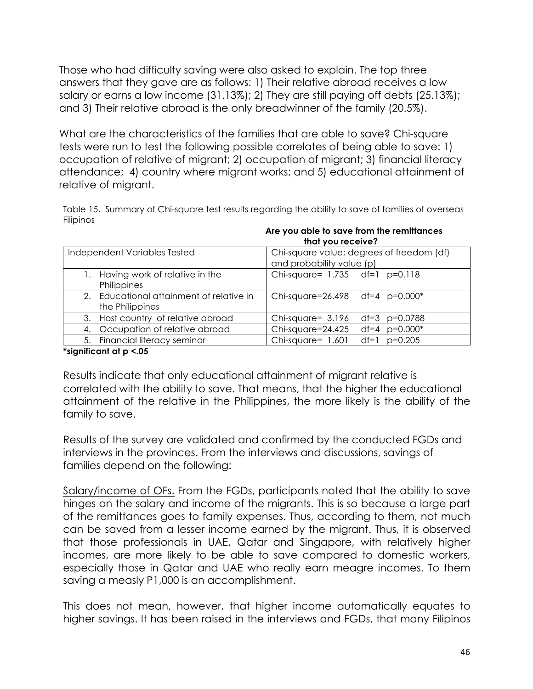Those who had difficulty saving were also asked to explain. The top three answers that they gave are as follows: 1) Their relative abroad receives a low salary or earns a low income (31.13%); 2) They are still paying off debts (25.13%); and 3) Their relative abroad is the only breadwinner of the family (20.5%).

What are the characteristics of the families that are able to save? Chi-square tests were run to test the following possible correlates of being able to save: 1) occupation of relative of migrant; 2) occupation of migrant; 3) financial literacy attendance; 4) country where migrant works; and 5) educational attainment of relative of migrant.

Table 15. Summary of Chi-square test results regarding the ability to save of families of overseas Filipinos

|                                          | <b>INQUISCENT</b>                         |  |  |  |  |  |  |
|------------------------------------------|-------------------------------------------|--|--|--|--|--|--|
| Independent Variables Tested             | Chi-square value; degrees of freedom (df) |  |  |  |  |  |  |
|                                          | and probability value (p)                 |  |  |  |  |  |  |
| Having work of relative in the           | Chi-square= $1.735$ df=1 p=0.118          |  |  |  |  |  |  |
| Philippines                              |                                           |  |  |  |  |  |  |
| 2. Educational attainment of relative in | Chi-square=26.498 df=4 p=0.000*           |  |  |  |  |  |  |
| the Philippines                          |                                           |  |  |  |  |  |  |
| 3. Host country of relative abroad       | Chi-square= $3.196$<br>df=3 $p=0.0788$    |  |  |  |  |  |  |
| 4. Occupation of relative abroad         | Chi-square=24.425<br>$df=4$ $p=0.000*$    |  |  |  |  |  |  |
| 5. Financial literacy seminar            | Chi-square= 1.601<br>$df=1$ $p=0.205$     |  |  |  |  |  |  |

#### **Are you able to save from the remittances that you receive?**

#### **\*significant at p <.05**

Results indicate that only educational attainment of migrant relative is correlated with the ability to save. That means, that the higher the educational attainment of the relative in the Philippines, the more likely is the ability of the family to save.

Results of the survey are validated and confirmed by the conducted FGDs and interviews in the provinces. From the interviews and discussions, savings of families depend on the following:

Salary/income of OFs. From the FGDs, participants noted that the ability to save hinges on the salary and income of the migrants. This is so because a large part of the remittances goes to family expenses. Thus, according to them, not much can be saved from a lesser income earned by the migrant. Thus, it is observed that those professionals in UAE, Qatar and Singapore, with relatively higher incomes, are more likely to be able to save compared to domestic workers, especially those in Qatar and UAE who really earn meagre incomes. To them saving a measly P1,000 is an accomplishment.

This does not mean, however, that higher income automatically equates to higher savings. It has been raised in the interviews and FGDs, that many Filipinos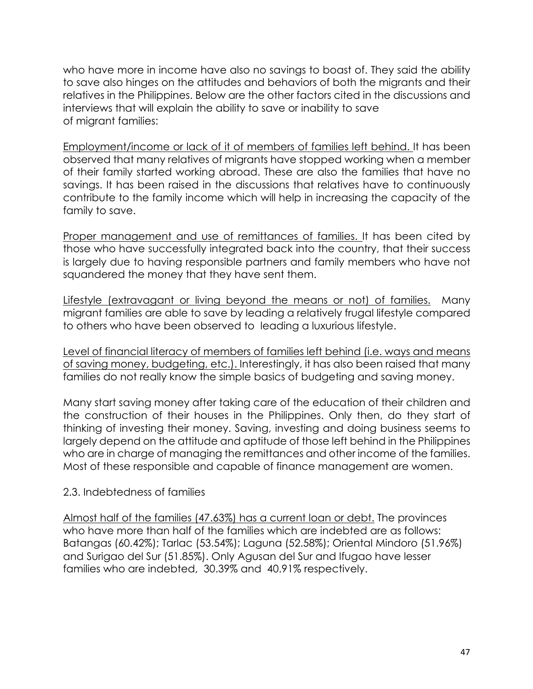who have more in income have also no savings to boast of. They said the ability to save also hinges on the attitudes and behaviors of both the migrants and their relatives in the Philippines. Below are the other factors cited in the discussions and interviews that will explain the ability to save or inability to save of migrant families:

Employment/income or lack of it of members of families left behind. It has been observed that many relatives of migrants have stopped working when a member of their family started working abroad. These are also the families that have no savings. It has been raised in the discussions that relatives have to continuously contribute to the family income which will help in increasing the capacity of the family to save.

Proper management and use of remittances of families. It has been cited by those who have successfully integrated back into the country, that their success is largely due to having responsible partners and family members who have not squandered the money that they have sent them.

Lifestyle (extravagant or living beyond the means or not) of families. Many migrant families are able to save by leading a relatively frugal lifestyle compared to others who have been observed to leading a luxurious lifestyle.

Level of financial literacy of members of families left behind (i.e. ways and means of saving money, budgeting, etc.). Interestingly, it has also been raised that many families do not really know the simple basics of budgeting and saving money.

Many start saving money after taking care of the education of their children and the construction of their houses in the Philippines. Only then, do they start of thinking of investing their money. Saving, investing and doing business seems to largely depend on the attitude and aptitude of those left behind in the Philippines who are in charge of managing the remittances and other income of the families. Most of these responsible and capable of finance management are women.

## 2.3. Indebtedness of families

Almost half of the families (47.63%) has a current loan or debt. The provinces who have more than half of the families which are indebted are as follows: Batangas (60.42%); Tarlac (53.54%); Laguna (52.58%); Oriental Mindoro (51.96%) and Surigao del Sur (51.85%). Only Agusan del Sur and Ifugao have lesser families who are indebted, 30.39% and 40.91% respectively.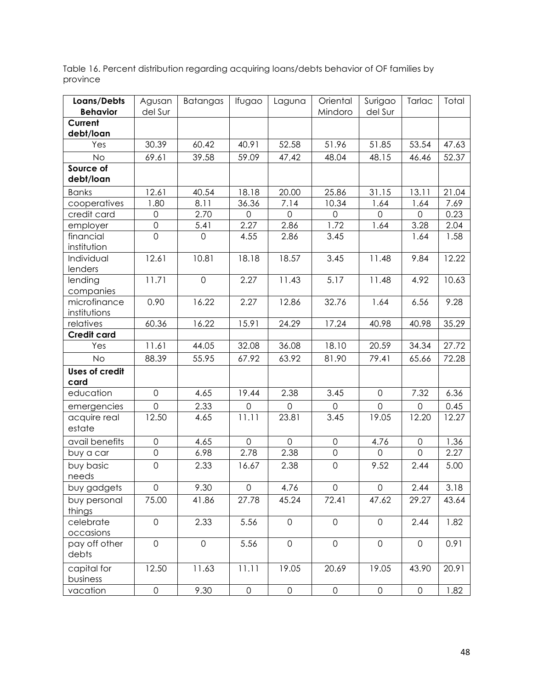| Loans/Debts                   | Agusan              | <b>Batangas</b>     | Ifugao              | Laguna              | Oriental            | Surigao             | Tarlac              | Total |
|-------------------------------|---------------------|---------------------|---------------------|---------------------|---------------------|---------------------|---------------------|-------|
| <b>Behavior</b>               | del Sur             |                     |                     |                     | Mindoro             | del Sur             |                     |       |
| Current<br>debt/loan          |                     |                     |                     |                     |                     |                     |                     |       |
| Yes                           | 30.39               | 60.42               | 40.91               | 52.58               | 51.96               | 51.85               | 53.54               | 47.63 |
| No                            | 69.61               | 39.58               | 59.09               | 47,42               | 48.04               | 48.15               | 46.46               | 52.37 |
| Source of                     |                     |                     |                     |                     |                     |                     |                     |       |
| debt/loan                     |                     |                     |                     |                     |                     |                     |                     |       |
| <b>Banks</b>                  | 12.61               | 40.54               | 18.18               | 20.00               | 25.86               | 31.15               | 13.11               | 21.04 |
| cooperatives                  | 1.80                | 8.11                | 36.36               | 7.14                | 10.34               | 1.64                | 1.64                | 7.69  |
| credit card                   | $\mathsf{O}\xspace$ | 2.70                | $\mathbf{0}$        | $\overline{0}$      | $\overline{0}$      | $\mathbf{O}$        | $\mathbf 0$         | 0.23  |
| employer                      | $\mathsf{O}$        | 5.41                | 2.27                | 2.86                | 1.72                | 1.64                | 3.28                | 2.04  |
| financial<br>institution      | $\overline{0}$      | $\mathbf 0$         | 4.55                | 2.86                | 3.45                |                     | 1.64                | 1.58  |
| Individual<br>lenders         | 12.61               | 10.81               | 18.18               | 18.57               | 3.45                | 11.48               | 9.84                | 12.22 |
| lending<br>companies          | 11.71               | $\mathsf{O}\xspace$ | 2.27                | 11.43               | 5.17                | 11.48               | 4.92                | 10.63 |
| microfinance<br>institutions  | 0.90                | 16.22               | 2.27                | 12.86               | 32.76               | 1.64                | 6.56                | 9.28  |
| relatives                     | 60.36               | 16.22               | 15.91               | 24.29               | 17.24               | 40.98               | 40.98               | 35.29 |
| <b>Credit card</b>            |                     |                     |                     |                     |                     |                     |                     |       |
| Yes                           | 11.61               | 44.05               | 32.08               | 36.08               | 18.10               | 20.59               | 34.34               | 27.72 |
| <b>No</b>                     | 88.39               | 55.95               | 67.92               | 63.92               | 81.90               | 79.41               | 65.66               | 72.28 |
| <b>Uses of credit</b><br>card |                     |                     |                     |                     |                     |                     |                     |       |
| education                     | $\mathbf 0$         | 4.65                | 19.44               | 2.38                | 3.45                | $\mathsf{O}$        | 7.32                | 6.36  |
| emergencies                   | $\overline{0}$      | 2.33                | $\mathsf{O}\xspace$ | $\mathbf 0$         | $\mathbf 0$         | $\mathsf{O}$        | $\mathsf{O}\xspace$ | 0.45  |
| acquire real<br>estate        | 12.50               | 4.65                | 11.11               | 23.81               | 3.45                | 19.05               | 12.20               | 12.27 |
| avail benefits                | $\mathsf{O}$        | 4.65                | $\overline{O}$      | $\overline{0}$      | 0                   | 4.76                | $\mathsf{O}\xspace$ | 1.36  |
| buy a car                     | $\overline{O}$      | 6.98                | 2.78                | 2.38                | $\mathsf{O}\xspace$ | $\mathbf 0$         | $\overline{0}$      | 2.27  |
| buy basic<br>needs            | $\mathsf{O}\xspace$ | 2.33                | 16.67               | 2.38                | $\mathsf{O}\xspace$ | 9.52                | 2.44                | 5.00  |
| buy gadgets                   | O                   | 9.30                | $\overline{O}$      | 4.76                | O                   | $\mathsf{O}$        | 2.44                | 3.18  |
| buy personal<br>things        | 75.00               | 41.86               | 27.78               | 45.24               | 72.41               | 47.62               | 29.27               | 43.64 |
| celebrate<br>occasions        | $\overline{O}$      | 2.33                | 5.56                | $\mathbf 0$         | $\mathsf{O}$        | $\mathbf 0$         | 2.44                | 1.82  |
| pay off other<br>debts        | $\overline{0}$      | $\mathbf 0$         | 5.56                | $\overline{0}$      | $\mathsf{O}$        | $\mathsf{O}$        | $\mathbf 0$         | 0.91  |
| capital for<br>business       | 12.50               | 11.63               | 11.11               | 19.05               | 20.69               | 19.05               | 43.90               | 20.91 |
| vacation                      | $\mathsf{O}\xspace$ | 9.30                | $\mathsf{O}\xspace$ | $\mathsf{O}\xspace$ | $\mathsf{O}\xspace$ | $\mathsf{O}\xspace$ | $\mathsf{O}\xspace$ | 1.82  |

Table 16. Percent distribution regarding acquiring loans/debts behavior of OF families by province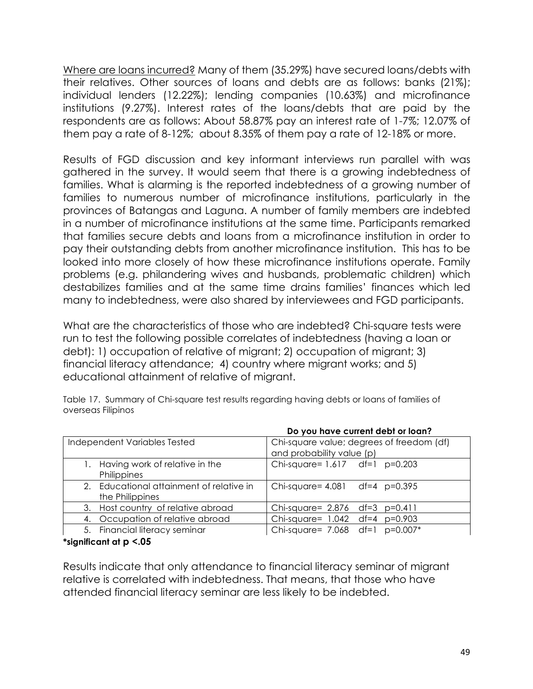Where are loans incurred? Many of them (35.29%) have secured loans/debts with their relatives. Other sources of loans and debts are as follows: banks (21%); individual lenders (12.22%); lending companies (10.63%) and microfinance institutions (9.27%). Interest rates of the loans/debts that are paid by the respondents are as follows: About 58.87% pay an interest rate of 1-7%; 12.07% of them pay a rate of 8-12%; about 8.35% of them pay a rate of 12-18% or more.

Results of FGD discussion and key informant interviews run parallel with was gathered in the survey. It would seem that there is a growing indebtedness of families. What is alarming is the reported indebtedness of a growing number of families to numerous number of microfinance institutions, particularly in the provinces of Batangas and Laguna. A number of family members are indebted in a number of microfinance institutions at the same time. Participants remarked that families secure debts and loans from a microfinance institution in order to pay their outstanding debts from another microfinance institution. This has to be looked into more closely of how these microfinance institutions operate. Family problems (e.g. philandering wives and husbands, problematic children) which destabilizes families and at the same time drains families' finances which led many to indebtedness, were also shared by interviewees and FGD participants.

What are the characteristics of those who are indebted? Chi-square tests were run to test the following possible correlates of indebtedness (having a loan or debt): 1) occupation of relative of migrant; 2) occupation of migrant; 3) financial literacy attendance; 4) country where migrant works; and 5) educational attainment of relative of migrant.

Table 17. Summary of Chi-square test results regarding having debts or loans of families of overseas Filipinos

|                                                             | Do you have current dept or loan?                                      |  |  |  |  |  |  |  |
|-------------------------------------------------------------|------------------------------------------------------------------------|--|--|--|--|--|--|--|
| Independent Variables Tested                                | Chi-square value; degrees of freedom (df)<br>and probability value (p) |  |  |  |  |  |  |  |
| Having work of relative in the<br>Philippines               | Chi-square= $1.617$ df=1 p=0.203                                       |  |  |  |  |  |  |  |
| 2. Educational attainment of relative in<br>the Philippines | Chi-square= $4.081$ df= $4$ p=0.395                                    |  |  |  |  |  |  |  |
| 3. Host country of relative abroad                          | Chi-square= 2.876 df=3 p=0.411                                         |  |  |  |  |  |  |  |
| 4. Occupation of relative abroad                            | Chi-square= 1.042 df=4 p=0.903                                         |  |  |  |  |  |  |  |
| 5. Financial literacy seminar                               | Chi-square= 7.068 df=1 p=0.007*                                        |  |  |  |  |  |  |  |

#### **Do you have current debt or loan?**

**\*significant at p <.05**

Results indicate that only attendance to financial literacy seminar of migrant relative is correlated with indebtedness. That means, that those who have attended financial literacy seminar are less likely to be indebted.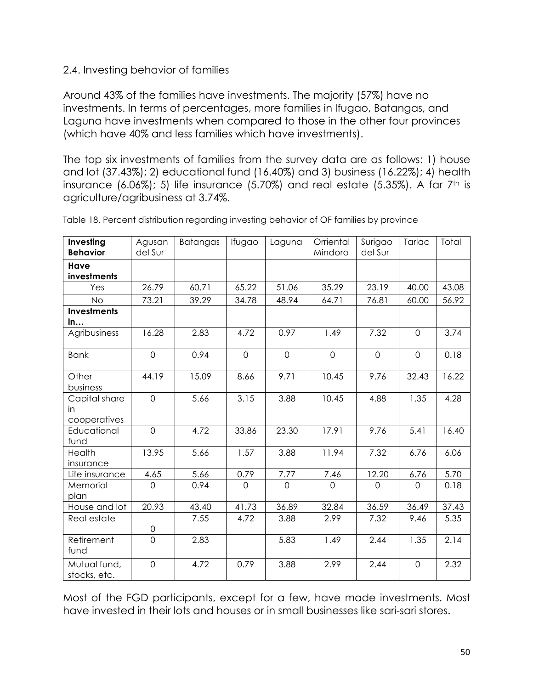### 2.4. Investing behavior of families

Around 43% of the families have investments. The majority (57%) have no investments. In terms of percentages, more families in Ifugao, Batangas, and Laguna have investments when compared to those in the other four provinces (which have 40% and less families which have investments).

The top six investments of families from the survey data are as follows: 1) house and lot (37.43%); 2) educational fund (16.40%) and 3) business (16.22%); 4) health insurance  $(6.06\%)$ ; 5) life insurance  $(5.70\%)$  and real estate  $(5.35\%)$ . A far  $7<sup>th</sup>$  is agriculture/agribusiness at 3.74%.

| Investing<br><b>Behavior</b>        | Agusan<br>del Sur | Batangas | Ifugao         | Laguna         | Orriental<br>Mindoro | Surigao<br>del Sur | Tarlac         | Total |
|-------------------------------------|-------------------|----------|----------------|----------------|----------------------|--------------------|----------------|-------|
| Have<br>investments                 |                   |          |                |                |                      |                    |                |       |
| Yes                                 | 26.79             | 60.71    | 65.22          | 51.06          | 35.29                | 23.19              | 40.00          | 43.08 |
| <b>No</b>                           | 73.21             | 39.29    | 34.78          | 48.94          | 64.71                | 76.81              | 60.00          | 56.92 |
| <b>Investments</b><br>in            |                   |          |                |                |                      |                    |                |       |
| Agribusiness                        | 16.28             | 2.83     | 4.72           | 0.97           | 1.49                 | 7.32               | $\overline{0}$ | 3.74  |
| <b>Bank</b>                         | $\mathbf 0$       | 0.94     | $\mathbf 0$    | $\mathbf 0$    | $\mathbf{O}$         | $\mathbf 0$        | $\mathbf 0$    | 0.18  |
| Other<br>business                   | 44.19             | 15.09    | 8.66           | 9.71           | 10.45                | 9.76               | 32.43          | 16.22 |
| Capital share<br>in<br>cooperatives | $\mathbf 0$       | 5.66     | 3.15           | 3.88           | 10.45                | 4.88               | 1.35           | 4.28  |
| Educational<br>fund                 | $\overline{0}$    | 4.72     | 33.86          | 23.30          | 17.91                | 9.76               | 5.41           | 16.40 |
| Health<br>insurance                 | 13.95             | 5.66     | 1.57           | 3.88           | 11.94                | 7.32               | 6.76           | 6.06  |
| Life insurance                      | 4.65              | 5.66     | 0.79           | 7.77           | 7.46                 | 12.20              | 6.76           | 5.70  |
| Memorial<br>plan                    | $\overline{O}$    | 0.94     | $\overline{O}$ | $\overline{0}$ | $\overline{0}$       | $\Omega$           | $\Omega$       | 0.18  |
| House and lot                       | 20.93             | 43.40    | 41.73          | 36.89          | 32.84                | 36.59              | 36.49          | 37.43 |
| Real estate                         | 0                 | 7.55     | 4.72           | 3.88           | 2.99                 | 7.32               | 9.46           | 5.35  |
| Retirement<br>fund                  | $\overline{O}$    | 2.83     |                | 5.83           | 1.49                 | 2.44               | 1.35           | 2.14  |
| Mutual fund,<br>stocks, etc.        | $\mathsf{O}$      | 4.72     | 0.79           | 3.88           | 2.99                 | 2.44               | $\mathbf 0$    | 2.32  |

Table 18. Percent distribution regarding investing behavior of OF families by province

Most of the FGD participants, except for a few, have made investments. Most have invested in their lots and houses or in small businesses like sari-sari stores.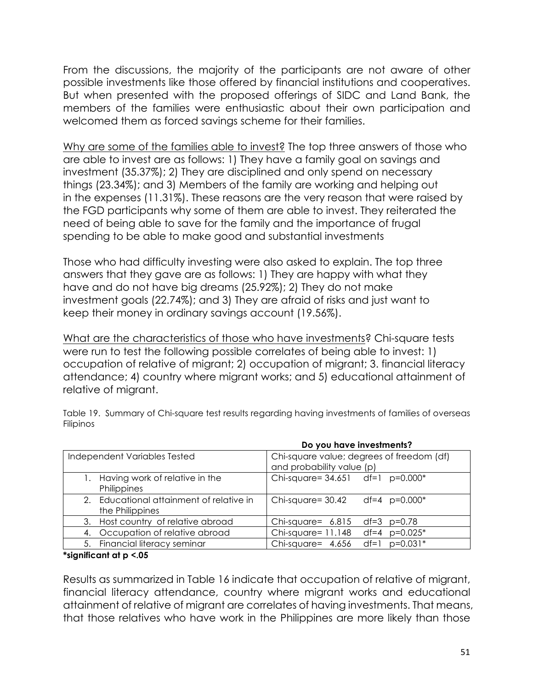From the discussions, the majority of the participants are not aware of other possible investments like those offered by financial institutions and cooperatives. But when presented with the proposed offerings of SIDC and Land Bank, the members of the families were enthusiastic about their own participation and welcomed them as forced savings scheme for their families.

Why are some of the families able to invest? The top three answers of those who are able to invest are as follows: 1) They have a family goal on savings and investment (35.37%); 2) They are disciplined and only spend on necessary things (23.34%); and 3) Members of the family are working and helping out in the expenses (11.31%). These reasons are the very reason that were raised by the FGD participants why some of them are able to invest. They reiterated the need of being able to save for the family and the importance of frugal spending to be able to make good and substantial investments

Those who had difficulty investing were also asked to explain. The top three answers that they gave are as follows: 1) They are happy with what they have and do not have big dreams (25.92%); 2) They do not make investment goals (22.74%); and 3) They are afraid of risks and just want to keep their money in ordinary savings account (19.56%).

What are the characteristics of those who have investments? Chi-square tests were run to test the following possible correlates of being able to invest: 1) occupation of relative of migrant; 2) occupation of migrant; 3. financial literacy attendance; 4) country where migrant works; and 5) educational attainment of relative of migrant.

|                                                             | Do you have investments?                                               |
|-------------------------------------------------------------|------------------------------------------------------------------------|
| Independent Variables Tested                                | Chi-square value; degrees of freedom (df)<br>and probability value (p) |
| Having work of relative in the<br>Philippines               | Chi-square= $34.651$ df=1 p=0.000*                                     |
| 2. Educational attainment of relative in<br>the Philippines | Chi-square= 30.42<br>df=4 $p=0.000*$                                   |
| 3. Host country of relative abroad                          | Chi-square= $6.815$<br>df=3 p=0.78                                     |
| 4. Occupation of relative abroad                            | Chi-square= $11.148$<br>$df=4$ $p=0.025*$                              |
| 5. Financial literacy seminar                               | Chi-square= $4.656$<br>df=1<br>$p=0.031*$                              |

Table 19. Summary of Chi-square test results regarding having investments of families of overseas Filipinos

**\*significant at p <.05**

Results as summarized in Table 16 indicate that occupation of relative of migrant, financial literacy attendance, country where migrant works and educational attainment of relative of migrant are correlates of having investments. That means, that those relatives who have work in the Philippines are more likely than those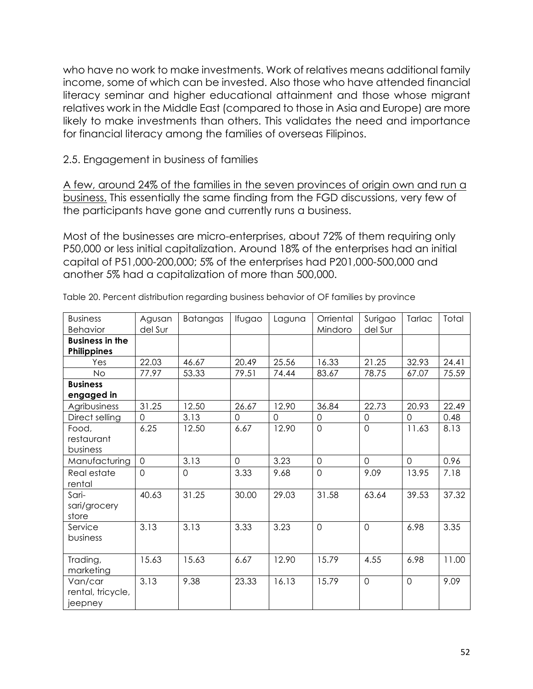who have no work to make investments. Work of relatives means additional family income, some of which can be invested. Also those who have attended financial literacy seminar and higher educational attainment and those whose migrant relatives work in the Middle East (compared to those in Asia and Europe) are more likely to make investments than others. This validates the need and importance for financial literacy among the families of overseas Filipinos.

2.5. Engagement in business of families

A few, around 24% of the families in the seven provinces of origin own and run a business. This essentially the same finding from the FGD discussions, very few of the participants have gone and currently runs a business.

Most of the businesses are micro-enterprises, about 72% of them requiring only P50,000 or less initial capitalization. Around 18% of the enterprises had an initial capital of P51,000-200,000; 5% of the enterprises had P201,000-500,000 and another 5% had a capitalization of more than 500,000.

| <b>Business</b><br><b>Behavior</b>      | Agusan<br>del Sur | Batangas       | Ifugao         | Laguna         | Orriental<br>Mindoro | Surigao<br>del Sur | Tarlac         | Total |
|-----------------------------------------|-------------------|----------------|----------------|----------------|----------------------|--------------------|----------------|-------|
| <b>Business in the</b><br>Philippines   |                   |                |                |                |                      |                    |                |       |
| Yes                                     | 22.03             | 46.67          | 20.49          | 25.56          | 16.33                | 21.25              | 32.93          | 24.41 |
| No                                      | 77.97             | 53.33          | 79.51          | 74.44          | 83.67                | 78.75              | 67.07          | 75.59 |
| <b>Business</b>                         |                   |                |                |                |                      |                    |                |       |
| engaged in                              |                   |                |                |                |                      |                    |                |       |
| Agribusiness                            | 31.25             | 12.50          | 26.67          | 12.90          | 36.84                | 22.73              | 20.93          | 22.49 |
| Direct selling                          | $\overline{0}$    | 3.13           | $\overline{0}$ | $\overline{0}$ | $\mathbf 0$          | $\mathbf 0$        | $\mathbf 0$    | 0.48  |
| Food,                                   | 6.25              | 12.50          | 6.67           | 12.90          | $\overline{0}$       | $\mathbf 0$        | 11.63          | 8.13  |
| restaurant                              |                   |                |                |                |                      |                    |                |       |
| business                                |                   |                |                |                |                      |                    |                |       |
| Manufacturing                           | $\overline{0}$    | 3.13           | $\overline{0}$ | 3.23           | $\overline{0}$       | $\overline{0}$     | $\overline{O}$ | 0.96  |
| Real estate<br>rental                   | $\overline{0}$    | $\overline{O}$ | 3.33           | 9.68           | $\overline{0}$       | 9.09               | 13.95          | 7.18  |
| Sari-<br>sari/grocery<br>store          | 40.63             | 31.25          | 30.00          | 29.03          | 31.58                | 63.64              | 39.53          | 37.32 |
| Service<br>business                     | 3.13              | 3.13           | 3.33           | 3.23           | $\overline{0}$       | $\mathbf 0$        | 6.98           | 3.35  |
| Trading,<br>marketing                   | 15.63             | 15.63          | 6.67           | 12.90          | 15.79                | 4.55               | 6.98           | 11.00 |
| Van/car<br>rental, tricycle,<br>jeepney | 3.13              | 9.38           | 23.33          | 16.13          | 15.79                | $\overline{0}$     | $\overline{0}$ | 9.09  |

Table 20. Percent distribution regarding business behavior of OF families by province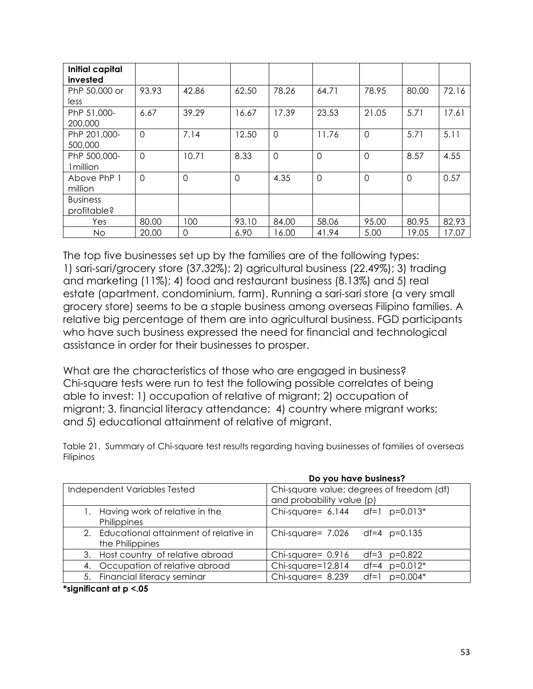| <b>Initial capital</b><br>invested |                |                |                |             |                |          |                |       |
|------------------------------------|----------------|----------------|----------------|-------------|----------------|----------|----------------|-------|
| PhP 50,000 or                      | 93.93          | 42.86          | 62.50          | 78.26       | 64.71          | 78.95    | 80.00          | 72.16 |
| less                               |                |                |                |             |                |          |                |       |
| PhP 51,000-                        | 6.67           | 39.29          | 16.67          | 17.39       | 23.53          | 21.05    | 5.71           | 17.61 |
| 200,000                            |                |                |                |             |                |          |                |       |
| PhP 201,000-                       | $\overline{0}$ | 7.14           | 12.50          | $\mathbf 0$ | 11.76          | $\Omega$ | 5.71           | 5.11  |
| 500,000                            |                |                |                |             |                |          |                |       |
| PhP 500,000-                       | $\overline{0}$ | 10.71          | 8.33           | $\mathbf 0$ | $\overline{0}$ | 0        | 8.57           | 4.55  |
| 1 million                          |                |                |                |             |                |          |                |       |
| Above PhP 1                        | $\Omega$       | $\overline{0}$ | $\overline{0}$ | 4.35        | $\overline{0}$ | 0        | $\overline{0}$ | 0.57  |
| million                            |                |                |                |             |                |          |                |       |
| <b>Business</b>                    |                |                |                |             |                |          |                |       |
| profitable?                        |                |                |                |             |                |          |                |       |
| Yes                                | 80.00          | 100            | 93.10          | 84.00       | 58.06          | 95.00    | 80.95          | 82.93 |
| No                                 | 20.00          | $\mathsf{O}$   | 6.90           | 16.00       | 41.94          | 5.00     | 19.05          | 17.07 |

The top five businesses set up by the families are of the following types: 1) sari-sari/grocery store (37.32%); 2) agricultural business (22.49%); 3) trading and marketing (11%); 4) food and restaurant business (8.13%) and 5) real estate (apartment, condominium, farm). Running a sari-sari store (a very small grocery store) seems to be a staple business among overseas Filipino families. A relative big percentage of them are into agricultural business. FGD participants who have such business expressed the need for financial and technological assistance in order for their businesses to prosper.

What are the characteristics of those who are engaged in business? Chi-square tests were run to test the following possible correlates of being able to invest: 1) occupation of relative of migrant; 2) occupation of migrant; 3. financial literacy attendance; 4) country where migrant works; and 5) educational attainment of relative of migrant.

Table 21. Summary of Chi-square test results regarding having businesses of families of overseas Filipinos

|                                                             | Do you have business?                                                  |
|-------------------------------------------------------------|------------------------------------------------------------------------|
| Independent Variables Tested                                | Chi-square value; degrees of freedom (df)<br>and probability value (p) |
| Having work of relative in the<br>Philippines               | Chi-square= $6.144$ df=1 p=0.013*                                      |
| 2. Educational attainment of relative in<br>the Philippines | Chi-square= 7.026 df=4 p=0.135                                         |
| 3. Host country of relative abroad                          | Chi-square= $0.916$<br>$df=3$ $p=0.822$                                |
| 4. Occupation of relative abroad                            | Chi-square=12.814<br>$df=4$ $p=0.012*$                                 |
| 5. Financial literacy seminar                               | Chi-square= 8.239<br>$p=0.004*$<br>$df=1$                              |

**\*significant at p <.05**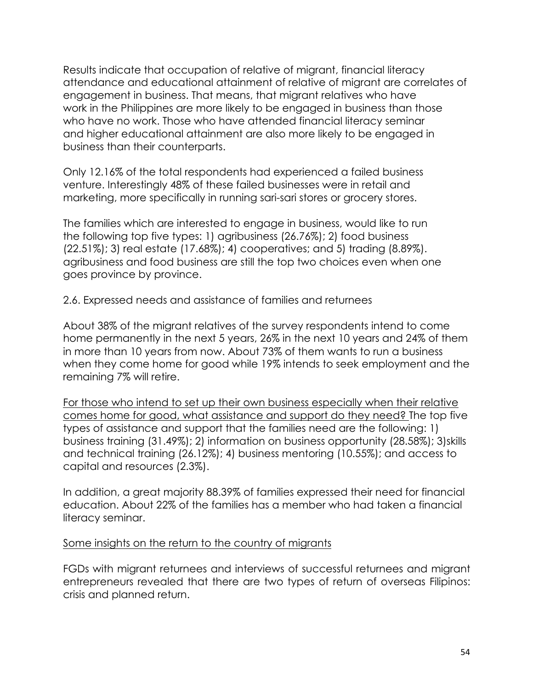Results indicate that occupation of relative of migrant, financial literacy attendance and educational attainment of relative of migrant are correlates of engagement in business. That means, that migrant relatives who have work in the Philippines are more likely to be engaged in business than those who have no work. Those who have attended financial literacy seminar and higher educational attainment are also more likely to be engaged in business than their counterparts.

Only 12.16% of the total respondents had experienced a failed business venture. Interestingly 48% of these failed businesses were in retail and marketing, more specifically in running sari-sari stores or grocery stores.

The families which are interested to engage in business, would like to run the following top five types: 1) agribusiness (26.76%); 2) food business (22.51%); 3) real estate (17.68%); 4) cooperatives; and 5) trading (8.89%). agribusiness and food business are still the top two choices even when one goes province by province.

2.6. Expressed needs and assistance of families and returnees

About 38% of the migrant relatives of the survey respondents intend to come home permanently in the next 5 years, 26% in the next 10 years and 24% of them in more than 10 years from now. About 73% of them wants to run a business when they come home for good while 19% intends to seek employment and the remaining 7% will retire.

For those who intend to set up their own business especially when their relative comes home for good, what assistance and support do they need? The top five types of assistance and support that the families need are the following: 1) business training (31.49%); 2) information on business opportunity (28.58%); 3)skills and technical training (26.12%); 4) business mentoring (10.55%); and access to capital and resources (2.3%).

In addition, a great majority 88.39% of families expressed their need for financial education. About 22% of the families has a member who had taken a financial literacy seminar.

#### Some insights on the return to the country of migrants

FGDs with migrant returnees and interviews of successful returnees and migrant entrepreneurs revealed that there are two types of return of overseas Filipinos: crisis and planned return.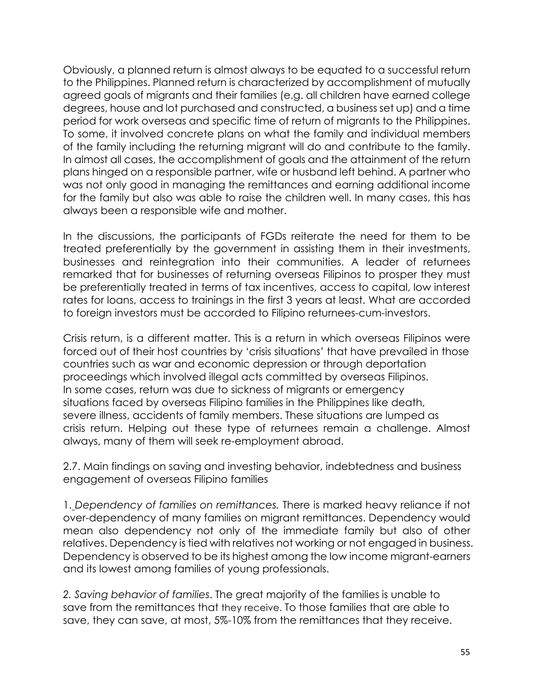Obviously, a planned return is almost always to be equated to a successful return to the Philippines. Planned return is characterized by accomplishment of mutually agreed goals of migrants and their families (e.g. all children have earned college degrees, house and lot purchased and constructed, a business set up) and a time period for work overseas and specific time of return of migrants to the Philippines. To some, it involved concrete plans on what the family and individual members of the family including the returning migrant will do and contribute to the family. In almost all cases, the accomplishment of goals and the attainment of the return plans hinged on a responsible partner, wife or husband left behind. A partner who was not only good in managing the remittances and earning additional income for the family but also was able to raise the children well. In many cases, this has always been a responsible wife and mother.

In the discussions, the participants of FGDs reiterate the need for them to be treated preferentially by the government in assisting them in their investments, businesses and reintegration into their communities. A leader of returnees remarked that for businesses of returning overseas Filipinos to prosper they must be preferentially treated in terms of tax incentives, access to capital, low interest rates for loans, access to trainings in the first 3 years at least. What are accorded to foreign investors must be accorded to Filipino returnees-cum-investors.

Crisis return, is a different matter. This is a return in which overseas Filipinos were forced out of their host countries by 'crisis situations' that have prevailed in those countries such as war and economic depression or through deportation proceedings which involved illegal acts committed by overseas Filipinos. In some cases, return was due to sickness of migrants or emergency situations faced by overseas Filipino families in the Philippines like death, severe illness, accidents of family members. These situations are lumped as crisis return. Helping out these type of returnees remain a challenge. Almost always, many of them will seek re-employment abroad.

2.7. Main findings on saving and investing behavior, indebtedness and business engagement of overseas Filipino families

1. *Dependency of families on remittances.* There is marked heavy reliance if not over-dependency of many families on migrant remittances. Dependency would mean also dependency not only of the immediate family but also of other relatives. Dependency is tied with relatives not working or not engaged in business. Dependency is observed to be its highest among the low income migrant-earners and its lowest among families of young professionals.

*2. Saving behavior of families*. The great majority of the families is unable to save from the remittances that they receive. To those families that are able to save, they can save, at most, 5%-10% from the remittances that they receive.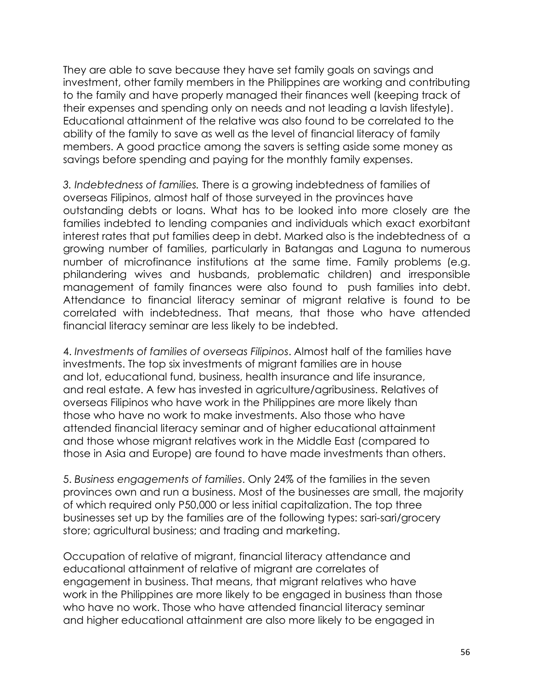They are able to save because they have set family goals on savings and investment, other family members in the Philippines are working and contributing to the family and have properly managed their finances well (keeping track of their expenses and spending only on needs and not leading a lavish lifestyle). Educational attainment of the relative was also found to be correlated to the ability of the family to save as well as the level of financial literacy of family members. A good practice among the savers is setting aside some money as savings before spending and paying for the monthly family expenses.

*3. Indebtedness of families.* There is a growing indebtedness of families of overseas Filipinos, almost half of those surveyed in the provinces have outstanding debts or loans. What has to be looked into more closely are the families indebted to lending companies and individuals which exact exorbitant interest rates that put families deep in debt. Marked also is the indebtedness of a growing number of families, particularly in Batangas and Laguna to numerous number of microfinance institutions at the same time. Family problems (e.g. philandering wives and husbands, problematic children) and irresponsible management of family finances were also found to push families into debt. Attendance to financial literacy seminar of migrant relative is found to be correlated with indebtedness. That means, that those who have attended financial literacy seminar are less likely to be indebted.

4. *Investments of families of overseas Filipinos*. Almost half of the families have investments. The top six investments of migrant families are in house and lot, educational fund, business, health insurance and life insurance, and real estate. A few has invested in agriculture/agribusiness. Relatives of overseas Filipinos who have work in the Philippines are more likely than those who have no work to make investments. Also those who have attended financial literacy seminar and of higher educational attainment and those whose migrant relatives work in the Middle East (compared to those in Asia and Europe) are found to have made investments than others.

5. *Business engagements of families*. Only 24% of the families in the seven provinces own and run a business. Most of the businesses are small, the majority of which required only P50,000 or less initial capitalization. The top three businesses set up by the families are of the following types: sari-sari/grocery store; agricultural business; and trading and marketing.

Occupation of relative of migrant, financial literacy attendance and educational attainment of relative of migrant are correlates of engagement in business. That means, that migrant relatives who have work in the Philippines are more likely to be engaged in business than those who have no work. Those who have attended financial literacy seminar and higher educational attainment are also more likely to be engaged in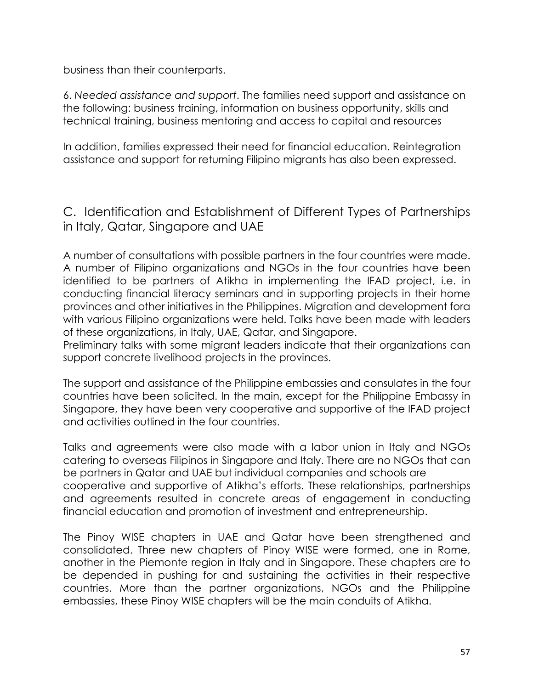business than their counterparts.

6. *Needed assistance and support*. The families need support and assistance on the following: business training, information on business opportunity, skills and technical training, business mentoring and access to capital and resources

In addition, families expressed their need for financial education. Reintegration assistance and support for returning Filipino migrants has also been expressed.

C. Identification and Establishment of Different Types of Partnerships in Italy, Qatar, Singapore and UAE

A number of consultations with possible partners in the four countries were made. A number of Filipino organizations and NGOs in the four countries have been identified to be partners of Atikha in implementing the IFAD project, i.e. in conducting financial literacy seminars and in supporting projects in their home provinces and other initiatives in the Philippines. Migration and development fora with various Filipino organizations were held. Talks have been made with leaders of these organizations, in Italy, UAE, Qatar, and Singapore.

Preliminary talks with some migrant leaders indicate that their organizations can support concrete livelihood projects in the provinces.

The support and assistance of the Philippine embassies and consulates in the four countries have been solicited. In the main, except for the Philippine Embassy in Singapore, they have been very cooperative and supportive of the IFAD project and activities outlined in the four countries.

Talks and agreements were also made with a labor union in Italy and NGOs catering to overseas Filipinos in Singapore and Italy. There are no NGOs that can be partners in Qatar and UAE but individual companies and schools are cooperative and supportive of Atikha's efforts. These relationships, partnerships and agreements resulted in concrete areas of engagement in conducting financial education and promotion of investment and entrepreneurship.

The Pinoy WISE chapters in UAE and Qatar have been strengthened and consolidated. Three new chapters of Pinoy WISE were formed, one in Rome, another in the Piemonte region in Italy and in Singapore. These chapters are to be depended in pushing for and sustaining the activities in their respective countries. More than the partner organizations, NGOs and the Philippine embassies, these Pinoy WISE chapters will be the main conduits of Atikha.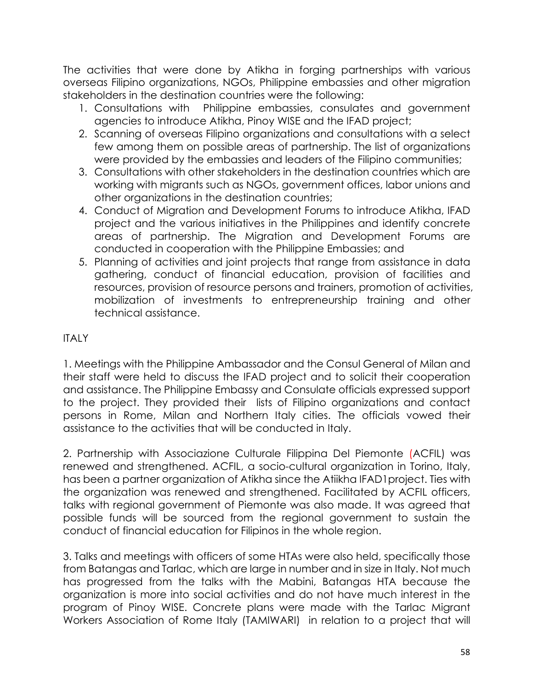The activities that were done by Atikha in forging partnerships with various overseas Filipino organizations, NGOs, Philippine embassies and other migration stakeholders in the destination countries were the following:

- 1. Consultations with Philippine embassies, consulates and government agencies to introduce Atikha, Pinoy WISE and the IFAD project;
- 2. Scanning of overseas Filipino organizations and consultations with a select few among them on possible areas of partnership. The list of organizations were provided by the embassies and leaders of the Filipino communities;
- 3. Consultations with other stakeholders in the destination countries which are working with migrants such as NGOs, government offices, labor unions and other organizations in the destination countries;
- 4. Conduct of Migration and Development Forums to introduce Atikha, IFAD project and the various initiatives in the Philippines and identify concrete areas of partnership. The Migration and Development Forums are conducted in cooperation with the Philippine Embassies; and
- 5. Planning of activities and joint projects that range from assistance in data gathering, conduct of financial education, provision of facilities and resources, provision of resource persons and trainers, promotion of activities, mobilization of investments to entrepreneurship training and other technical assistance.

# **ITALY**

1. Meetings with the Philippine Ambassador and the Consul General of Milan and their staff were held to discuss the IFAD project and to solicit their cooperation and assistance. The Philippine Embassy and Consulate officials expressed support to the project. They provided their lists of Filipino organizations and contact persons in Rome, Milan and Northern Italy cities. The officials vowed their assistance to the activities that will be conducted in Italy.

2. Partnership with Associazione Culturale Filippina Del Piemonte (ACFIL) was renewed and strengthened. ACFIL, a socio-cultural organization in Torino, Italy, has been a partner organization of Atikha since the Atiikha IFAD1project. Ties with the organization was renewed and strengthened. Facilitated by ACFIL officers, talks with regional government of Piemonte was also made. It was agreed that possible funds will be sourced from the regional government to sustain the conduct of financial education for Filipinos in the whole region.

3. Talks and meetings with officers of some HTAs were also held, specifically those from Batangas and Tarlac, which are large in number and in size in Italy. Not much has progressed from the talks with the Mabini, Batangas HTA because the organization is more into social activities and do not have much interest in the program of Pinoy WISE. Concrete plans were made with the Tarlac Migrant Workers Association of Rome Italy (TAMIWARI) in relation to a project that will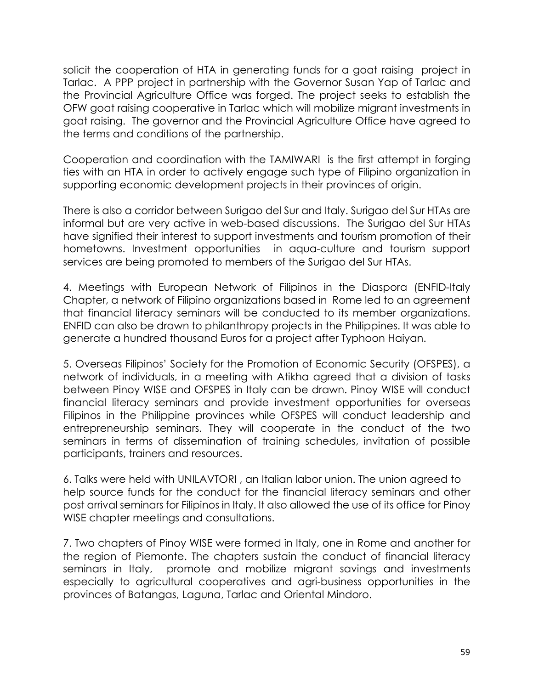solicit the cooperation of HTA in generating funds for a goat raising project in Tarlac. A PPP project in partnership with the Governor Susan Yap of Tarlac and the Provincial Agriculture Office was forged. The project seeks to establish the OFW goat raising cooperative in Tarlac which will mobilize migrant investments in goat raising. The governor and the Provincial Agriculture Office have agreed to the terms and conditions of the partnership.

Cooperation and coordination with the TAMIWARI is the first attempt in forging ties with an HTA in order to actively engage such type of Filipino organization in supporting economic development projects in their provinces of origin.

There is also a corridor between Surigao del Sur and Italy. Surigao del Sur HTAs are informal but are very active in web-based discussions. The Surigao del Sur HTAs have signified their interest to support investments and tourism promotion of their hometowns. Investment opportunities in aqua-culture and tourism support services are being promoted to members of the Surigao del Sur HTAs.

4. Meetings with European Network of Filipinos in the Diaspora (ENFID-Italy Chapter, a network of Filipino organizations based in Rome led to an agreement that financial literacy seminars will be conducted to its member organizations. ENFID can also be drawn to philanthropy projects in the Philippines. It was able to generate a hundred thousand Euros for a project after Typhoon Haiyan.

5. Overseas Filipinos' Society for the Promotion of Economic Security (OFSPES), a network of individuals, in a meeting with Atikha agreed that a division of tasks between Pinoy WISE and OFSPES in Italy can be drawn. Pinoy WISE will conduct financial literacy seminars and provide investment opportunities for overseas Filipinos in the Philippine provinces while OFSPES will conduct leadership and entrepreneurship seminars. They will cooperate in the conduct of the two seminars in terms of dissemination of training schedules, invitation of possible participants, trainers and resources.

6. Talks were held with UNILAVTORI , an Italian labor union. The union agreed to help source funds for the conduct for the financial literacy seminars and other post arrival seminars for Filipinos in Italy. It also allowed the use of its office for Pinoy WISE chapter meetings and consultations.

7. Two chapters of Pinoy WISE were formed in Italy, one in Rome and another for the region of Piemonte. The chapters sustain the conduct of financial literacy seminars in Italy, promote and mobilize migrant savings and investments especially to agricultural cooperatives and agri-business opportunities in the provinces of Batangas, Laguna, Tarlac and Oriental Mindoro.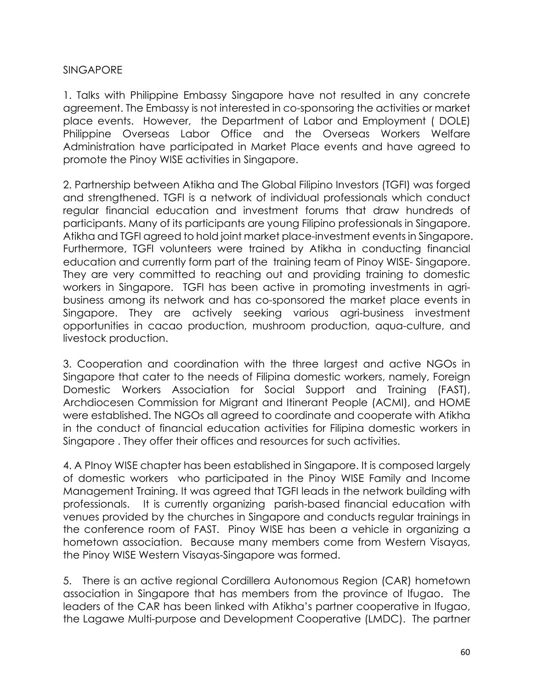#### SINGAPORE

1. Talks with Philippine Embassy Singapore have not resulted in any concrete agreement. The Embassy is not interested in co-sponsoring the activities or market place events. However, the Department of Labor and Employment ( DOLE) Philippine Overseas Labor Office and the Overseas Workers Welfare Administration have participated in Market Place events and have agreed to promote the Pinoy WISE activities in Singapore.

2. Partnership between Atikha and The Global Filipino Investors (TGFI) was forged and strengthened. TGFI is a network of individual professionals which conduct regular financial education and investment forums that draw hundreds of participants. Many of its participants are young Filipino professionals in Singapore. Atikha and TGFI agreed to hold joint market place-investment events in Singapore. Furthermore, TGFI volunteers were trained by Atikha in conducting financial education and currently form part of the training team of Pinoy WISE- Singapore. They are very committed to reaching out and providing training to domestic workers in Singapore. TGFI has been active in promoting investments in agribusiness among its network and has co-sponsored the market place events in Singapore. They are actively seeking various agri-business investment opportunities in cacao production, mushroom production, aqua-culture, and livestock production.

3. Cooperation and coordination with the three largest and active NGOs in Singapore that cater to the needs of Filipina domestic workers, namely, Foreign Domestic Workers Association for Social Support and Training (FAST), Archdiocesen Commission for Migrant and Itinerant People (ACMI), and HOME were established. The NGOs all agreed to coordinate and cooperate with Atikha in the conduct of financial education activities for Filipina domestic workers in Singapore . They offer their offices and resources for such activities.

4. A PInoy WISE chapter has been established in Singapore. It is composed largely of domestic workers who participated in the Pinoy WISE Family and Income Management Training. It was agreed that TGFI leads in the network building with professionals. It is currently organizing parish-based financial education with venues provided by the churches in Singapore and conducts regular trainings in the conference room of FAST. Pinoy WISE has been a vehicle in organizing a hometown association. Because many members come from Western Visayas, the Pinoy WISE Western Visayas-Singapore was formed.

5. There is an active regional Cordillera Autonomous Region (CAR) hometown association in Singapore that has members from the province of Ifugao. The leaders of the CAR has been linked with Atikha's partner cooperative in Ifugao, the Lagawe Multi-purpose and Development Cooperative (LMDC). The partner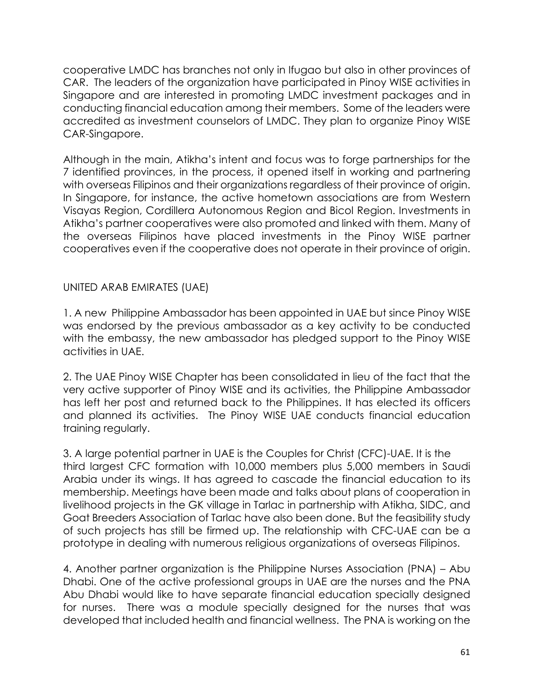cooperative LMDC has branches not only in Ifugao but also in other provinces of CAR. The leaders of the organization have participated in Pinoy WISE activities in Singapore and are interested in promoting LMDC investment packages and in conducting financial education among their members. Some of the leaders were accredited as investment counselors of LMDC. They plan to organize Pinoy WISE CAR-Singapore.

Although in the main, Atikha's intent and focus was to forge partnerships for the 7 identified provinces, in the process, it opened itself in working and partnering with overseas Filipinos and their organizations regardless of their province of origin. In Singapore, for instance, the active hometown associations are from Western Visayas Region, Cordillera Autonomous Region and Bicol Region. Investments in Atikha's partner cooperatives were also promoted and linked with them. Many of the overseas Filipinos have placed investments in the Pinoy WISE partner cooperatives even if the cooperative does not operate in their province of origin.

UNITED ARAB EMIRATES (UAE)

1. A new Philippine Ambassador has been appointed in UAE but since Pinoy WISE was endorsed by the previous ambassador as a key activity to be conducted with the embassy, the new ambassador has pledged support to the Pinoy WISE activities in UAE.

2. The UAE Pinoy WISE Chapter has been consolidated in lieu of the fact that the very active supporter of Pinoy WISE and its activities, the Philippine Ambassador has left her post and returned back to the Philippines. It has elected its officers and planned its activities. The Pinoy WISE UAE conducts financial education training regularly.

3. A large potential partner in UAE is the Couples for Christ (CFC)-UAE. It is the third largest CFC formation with 10,000 members plus 5,000 members in Saudi Arabia under its wings. It has agreed to cascade the financial education to its membership. Meetings have been made and talks about plans of cooperation in livelihood projects in the GK village in Tarlac in partnership with Atikha, SIDC, and Goat Breeders Association of Tarlac have also been done. But the feasibility study of such projects has still be firmed up. The relationship with CFC-UAE can be a prototype in dealing with numerous religious organizations of overseas Filipinos.

4. Another partner organization is the Philippine Nurses Association (PNA) – Abu Dhabi. One of the active professional groups in UAE are the nurses and the PNA Abu Dhabi would like to have separate financial education specially designed for nurses. There was a module specially designed for the nurses that was developed that included health and financial wellness. The PNA is working on the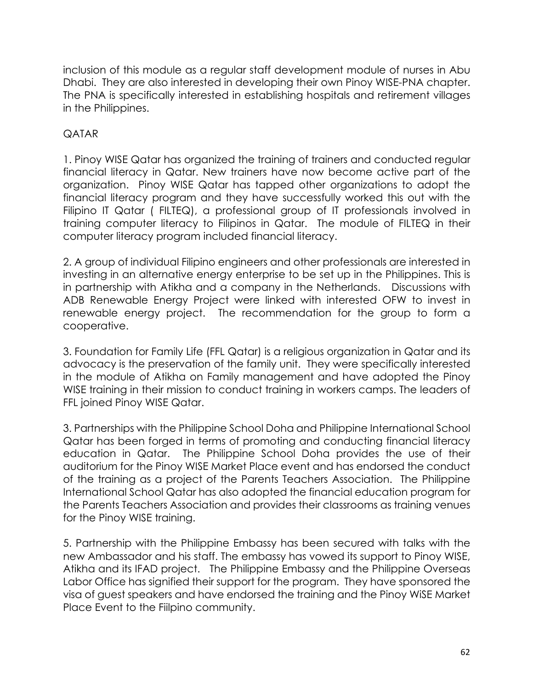inclusion of this module as a regular staff development module of nurses in Abu Dhabi. They are also interested in developing their own Pinoy WISE-PNA chapter. The PNA is specifically interested in establishing hospitals and retirement villages in the Philippines.

## QATAR

1. Pinoy WISE Qatar has organized the training of trainers and conducted regular financial literacy in Qatar. New trainers have now become active part of the organization. Pinoy WISE Qatar has tapped other organizations to adopt the financial literacy program and they have successfully worked this out with the Filipino IT Qatar ( FILTEQ), a professional group of IT professionals involved in training computer literacy to Filipinos in Qatar. The module of FILTEQ in their computer literacy program included financial literacy.

2. A group of individual Filipino engineers and other professionals are interested in investing in an alternative energy enterprise to be set up in the Philippines. This is in partnership with Atikha and a company in the Netherlands. Discussions with ADB Renewable Energy Project were linked with interested OFW to invest in renewable energy project. The recommendation for the group to form a cooperative.

3. Foundation for Family Life (FFL Qatar) is a religious organization in Qatar and its advocacy is the preservation of the family unit. They were specifically interested in the module of Atikha on Family management and have adopted the Pinoy WISE training in their mission to conduct training in workers camps. The leaders of FFL joined Pinoy WISE Qatar.

3. Partnerships with the Philippine School Doha and Philippine International School Qatar has been forged in terms of promoting and conducting financial literacy education in Qatar. The Philippine School Doha provides the use of their auditorium for the Pinoy WISE Market Place event and has endorsed the conduct of the training as a project of the Parents Teachers Association. The Philippine International School Qatar has also adopted the financial education program for the Parents Teachers Association and provides their classrooms as training venues for the Pinoy WISE training.

5. Partnership with the Philippine Embassy has been secured with talks with the new Ambassador and his staff. The embassy has vowed its support to Pinoy WISE, Atikha and its IFAD project. The Philippine Embassy and the Philippine Overseas Labor Office has signified their support for the program. They have sponsored the visa of guest speakers and have endorsed the training and the Pinoy WiSE Market Place Event to the Fiilpino community.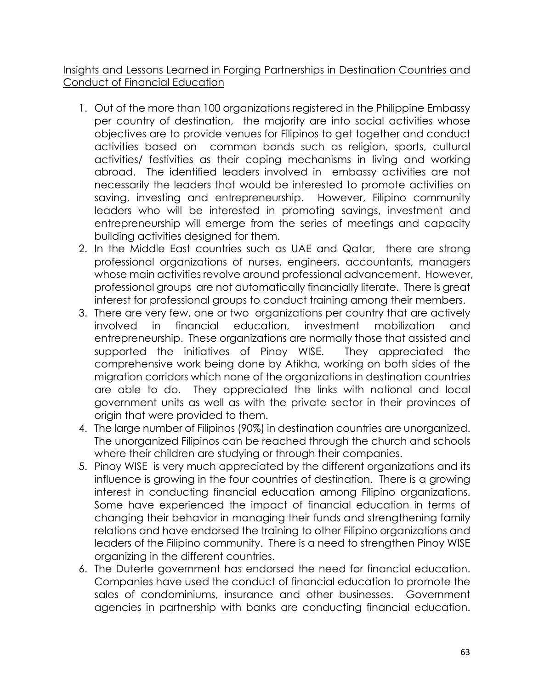Insights and Lessons Learned in Forging Partnerships in Destination Countries and Conduct of Financial Education

- 1. Out of the more than 100 organizations registered in the Philippine Embassy per country of destination, the majority are into social activities whose objectives are to provide venues for Filipinos to get together and conduct activities based on common bonds such as religion, sports, cultural activities/ festivities as their coping mechanisms in living and working abroad. The identified leaders involved in embassy activities are not necessarily the leaders that would be interested to promote activities on saving, investing and entrepreneurship. However, Filipino community leaders who will be interested in promoting savings, investment and entrepreneurship will emerge from the series of meetings and capacity building activities designed for them.
- 2. In the Middle East countries such as UAE and Qatar, there are strong professional organizations of nurses, engineers, accountants, managers whose main activities revolve around professional advancement. However, professional groups are not automatically financially literate. There is great interest for professional groups to conduct training among their members.
- 3. There are very few, one or two organizations per country that are actively involved in financial education, investment mobilization and entrepreneurship. These organizations are normally those that assisted and supported the initiatives of Pinoy WISE. They appreciated the comprehensive work being done by Atikha, working on both sides of the migration corridors which none of the organizations in destination countries are able to do. They appreciated the links with national and local government units as well as with the private sector in their provinces of origin that were provided to them.
- 4. The large number of Filipinos (90%) in destination countries are unorganized. The unorganized Filipinos can be reached through the church and schools where their children are studying or through their companies.
- 5. Pinoy WISE is very much appreciated by the different organizations and its influence is growing in the four countries of destination. There is a growing interest in conducting financial education among Filipino organizations. Some have experienced the impact of financial education in terms of changing their behavior in managing their funds and strengthening family relations and have endorsed the training to other Filipino organizations and leaders of the Filipino community. There is a need to strengthen Pinoy WISE organizing in the different countries.
- 6. The Duterte government has endorsed the need for financial education. Companies have used the conduct of financial education to promote the sales of condominiums, insurance and other businesses. Government agencies in partnership with banks are conducting financial education.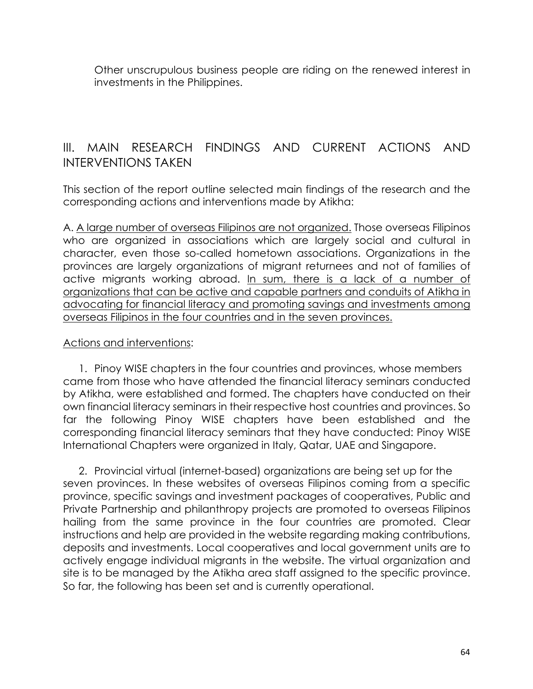Other unscrupulous business people are riding on the renewed interest in investments in the Philippines.

# III. MAIN RESEARCH FINDINGS AND CURRENT ACTIONS AND INTERVENTIONS TAKEN

This section of the report outline selected main findings of the research and the corresponding actions and interventions made by Atikha:

A. A large number of overseas Filipinos are not organized. Those overseas Filipinos who are organized in associations which are largely social and cultural in character, even those so-called hometown associations. Organizations in the provinces are largely organizations of migrant returnees and not of families of active migrants working abroad. In sum, there is a lack of a number of organizations that can be active and capable partners and conduits of Atikha in advocating for financial literacy and promoting savings and investments among overseas Filipinos in the four countries and in the seven provinces.

#### Actions and interventions:

1. Pinoy WISE chapters in the four countries and provinces, whose members came from those who have attended the financial literacy seminars conducted by Atikha, were established and formed. The chapters have conducted on their own financial literacy seminars in their respective host countries and provinces. So far the following Pinoy WISE chapters have been established and the corresponding financial literacy seminars that they have conducted: Pinoy WISE International Chapters were organized in Italy, Qatar, UAE and Singapore.

2. Provincial virtual (internet-based) organizations are being set up for the seven provinces. In these websites of overseas Filipinos coming from a specific province, specific savings and investment packages of cooperatives, Public and Private Partnership and philanthropy projects are promoted to overseas Filipinos hailing from the same province in the four countries are promoted. Clear instructions and help are provided in the website regarding making contributions, deposits and investments. Local cooperatives and local government units are to actively engage individual migrants in the website. The virtual organization and site is to be managed by the Atikha area staff assigned to the specific province. So far, the following has been set and is currently operational.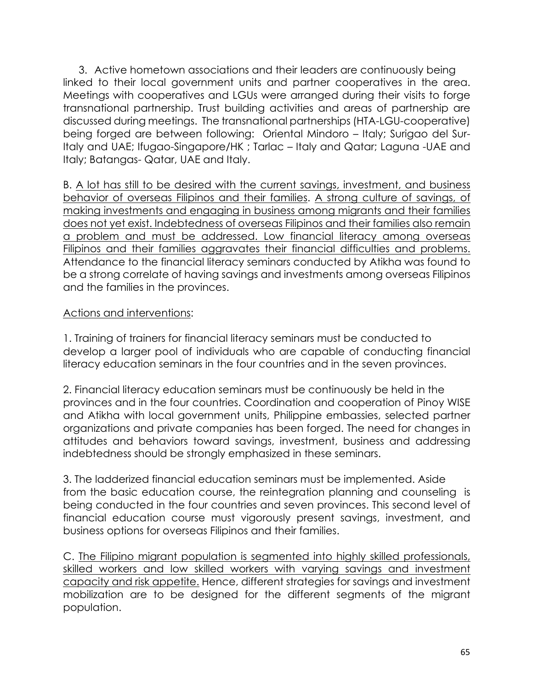3. Active hometown associations and their leaders are continuously being linked to their local government units and partner cooperatives in the area. Meetings with cooperatives and LGUs were arranged during their visits to forge transnational partnership. Trust building activities and areas of partnership are discussed during meetings. The transnational partnerships (HTA-LGU-cooperative) being forged are between following: Oriental Mindoro – Italy; Surigao del Sur-Italy and UAE; Ifugao-Singapore/HK ; Tarlac – Italy and Qatar; Laguna -UAE and Italy; Batangas- Qatar, UAE and Italy.

B. A lot has still to be desired with the current savings, investment, and business behavior of overseas Filipinos and their families. A strong culture of savings, of making investments and engaging in business among migrants and their families does not yet exist. Indebtedness of overseas Filipinos and their families also remain a problem and must be addressed. Low financial literacy among overseas Filipinos and their families aggravates their financial difficulties and problems. Attendance to the financial literacy seminars conducted by Atikha was found to be a strong correlate of having savings and investments among overseas Filipinos and the families in the provinces.

# Actions and interventions:

1. Training of trainers for financial literacy seminars must be conducted to develop a larger pool of individuals who are capable of conducting financial literacy education seminars in the four countries and in the seven provinces.

2. Financial literacy education seminars must be continuously be held in the provinces and in the four countries. Coordination and cooperation of Pinoy WISE and Atikha with local government units, Philippine embassies, selected partner organizations and private companies has been forged. The need for changes in attitudes and behaviors toward savings, investment, business and addressing indebtedness should be strongly emphasized in these seminars.

3. The ladderized financial education seminars must be implemented. Aside from the basic education course, the reintegration planning and counseling is being conducted in the four countries and seven provinces. This second level of financial education course must vigorously present savings, investment, and business options for overseas Filipinos and their families.

C. The Filipino migrant population is segmented into highly skilled professionals, skilled workers and low skilled workers with varying savings and investment capacity and risk appetite. Hence, different strategies for savings and investment mobilization are to be designed for the different segments of the migrant population.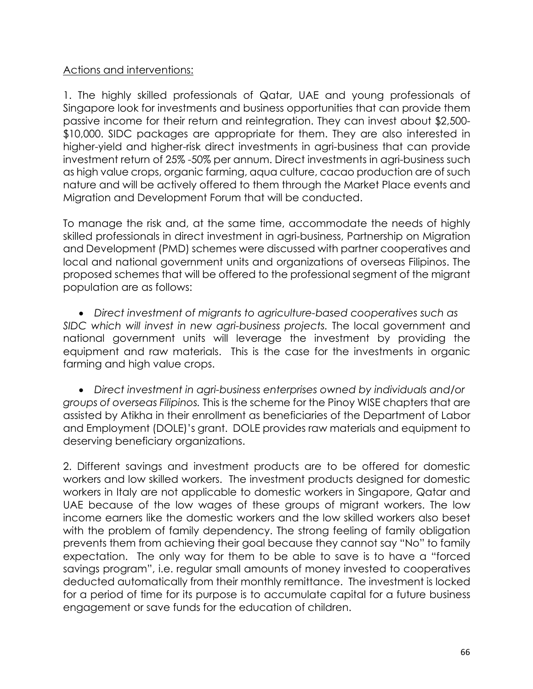### Actions and interventions:

1. The highly skilled professionals of Qatar, UAE and young professionals of Singapore look for investments and business opportunities that can provide them passive income for their return and reintegration. They can invest about \$2,500- \$10,000. SIDC packages are appropriate for them. They are also interested in higher-yield and higher-risk direct investments in agri-business that can provide investment return of 25% -50% per annum. Direct investments in agri-business such as high value crops, organic farming, aqua culture, cacao production are of such nature and will be actively offered to them through the Market Place events and Migration and Development Forum that will be conducted.

To manage the risk and, at the same time, accommodate the needs of highly skilled professionals in direct investment in agri-business, Partnership on Migration and Development (PMD) schemes were discussed with partner cooperatives and local and national government units and organizations of overseas Filipinos. The proposed schemes that will be offered to the professional segment of the migrant population are as follows:

• *Direct investment of migrants to agriculture-based cooperatives such as SIDC which will invest in new agri-business projects.* The local government and national government units will leverage the investment by providing the equipment and raw materials. This is the case for the investments in organic farming and high value crops.

• *Direct investment in agri-business enterprises owned by individuals and/or groups of overseas Filipinos.* This is the scheme for the Pinoy WISE chapters that are assisted by Atikha in their enrollment as beneficiaries of the Department of Labor and Employment (DOLE)'s grant. DOLE provides raw materials and equipment to deserving beneficiary organizations.

2. Different savings and investment products are to be offered for domestic workers and low skilled workers. The investment products designed for domestic workers in Italy are not applicable to domestic workers in Singapore, Qatar and UAE because of the low wages of these groups of migrant workers. The low income earners like the domestic workers and the low skilled workers also beset with the problem of family dependency. The strong feeling of family obligation prevents them from achieving their goal because they cannot say "No" to family expectation. The only way for them to be able to save is to have a "forced savings program", i.e. regular small amounts of money invested to cooperatives deducted automatically from their monthly remittance. The investment is locked for a period of time for its purpose is to accumulate capital for a future business engagement or save funds for the education of children.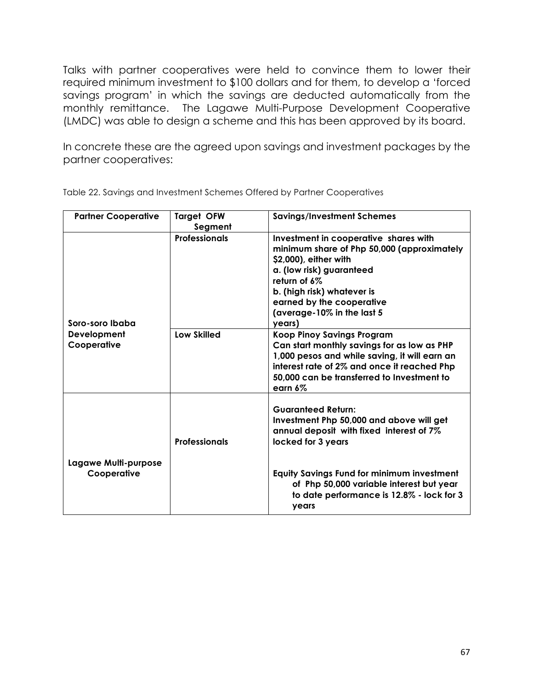Talks with partner cooperatives were held to convince them to lower their required minimum investment to \$100 dollars and for them, to develop a 'forced savings program' in which the savings are deducted automatically from the monthly remittance. The Lagawe Multi-Purpose Development Cooperative (LMDC) was able to design a scheme and this has been approved by its board.

In concrete these are the agreed upon savings and investment packages by the partner cooperatives:

| <b>Partner Cooperative</b>          | <b>Target OFW</b><br>Segment | <b>Savings/Investment Schemes</b>                                                                                                                                                                                                                           |
|-------------------------------------|------------------------------|-------------------------------------------------------------------------------------------------------------------------------------------------------------------------------------------------------------------------------------------------------------|
| Soro-soro Ibaba                     | <b>Professionals</b>         | Investment in cooperative shares with<br>minimum share of Php 50,000 (approximately<br>\$2,000), either with<br>a. (low risk) guaranteed<br>return of 6%<br>b. (high risk) whatever is<br>earned by the cooperative<br>(average-10% in the last 5<br>years) |
| Development<br>Cooperative          | <b>Low Skilled</b>           | <b>Koop Pinoy Savings Program</b><br>Can start monthly savings for as low as PHP<br>1,000 pesos and while saving, it will earn an<br>interest rate of 2% and once it reached Php<br>50,000 can be transferred to Investment to<br>earn $6\%$                |
|                                     | <b>Professionals</b>         | <b>Guaranteed Return:</b><br>Investment Php 50,000 and above will get<br>annual deposit with fixed interest of 7%<br>locked for 3 years                                                                                                                     |
| Lagawe Multi-purpose<br>Cooperative |                              | <b>Equity Savings Fund for minimum investment</b><br>of Php 50,000 variable interest but year<br>to date performance is 12.8% - lock for 3<br>years                                                                                                         |

Table 22. Savings and Investment Schemes Offered by Partner Cooperatives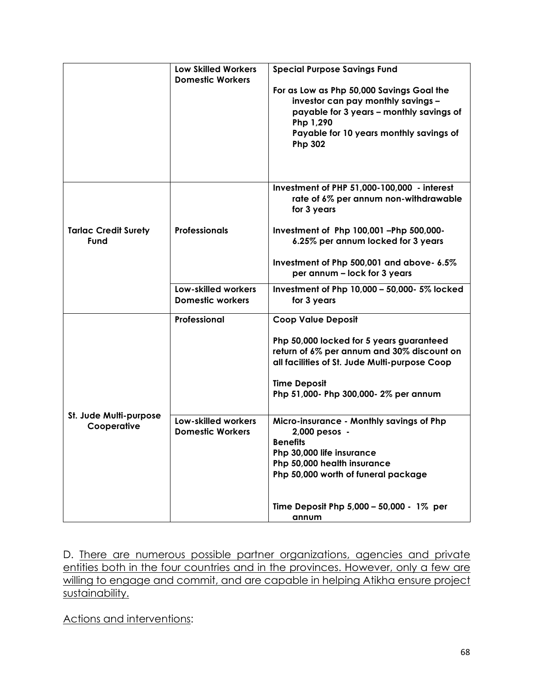|                                       | <b>Low Skilled Workers</b><br><b>Domestic Workers</b> | <b>Special Purpose Savings Fund</b><br>For as Low as Php 50,000 Savings Goal the<br>investor can pay monthly savings -<br>payable for 3 years - monthly savings of<br>Php 1,290<br>Payable for 10 years monthly savings of<br><b>Php 302</b> |
|---------------------------------------|-------------------------------------------------------|----------------------------------------------------------------------------------------------------------------------------------------------------------------------------------------------------------------------------------------------|
|                                       |                                                       | Investment of PHP 51,000-100,000 - interest<br>rate of 6% per annum non-withdrawable<br>for 3 years                                                                                                                                          |
| <b>Tarlac Credit Surety</b><br>Fund   | <b>Professionals</b>                                  | Investment of Php 100,001 -Php 500,000-<br>6.25% per annum locked for 3 years                                                                                                                                                                |
|                                       |                                                       | Investment of Php 500,001 and above- 6.5%<br>per annum - lock for 3 years                                                                                                                                                                    |
|                                       | Low-skilled workers<br><b>Domestic workers</b>        | Investment of Php 10,000 - 50,000- 5% locked<br>for 3 years                                                                                                                                                                                  |
|                                       | Professional                                          | <b>Coop Value Deposit</b>                                                                                                                                                                                                                    |
|                                       |                                                       | Php 50,000 locked for 5 years guaranteed<br>return of 6% per annum and 30% discount on<br>all facilities of St. Jude Multi-purpose Coop                                                                                                      |
|                                       |                                                       | <b>Time Deposit</b><br>Php 51,000- Php 300,000- 2% per annum                                                                                                                                                                                 |
| St. Jude Multi-purpose<br>Cooperative | Low-skilled workers<br><b>Domestic Workers</b>        | Micro-insurance - Monthly savings of Php<br>2,000 pesos -<br><b>Benefits</b><br>Php 30,000 life insurance                                                                                                                                    |
|                                       |                                                       | Php 50,000 health insurance<br>Php 50,000 worth of funeral package                                                                                                                                                                           |
|                                       |                                                       | Time Deposit Php 5,000 - 50,000 - 1% per<br>annum                                                                                                                                                                                            |

D. There are numerous possible partner organizations, agencies and private entities both in the four countries and in the provinces. However, only a few are willing to engage and commit, and are capable in helping Atikha ensure project sustainability.

Actions and interventions: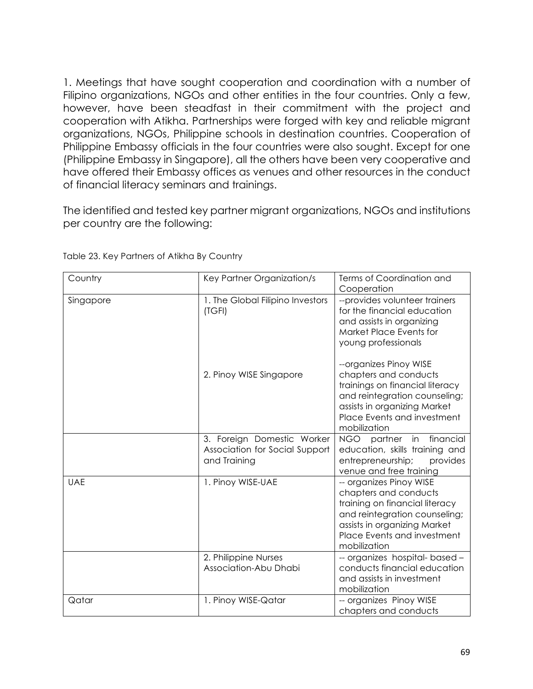1. Meetings that have sought cooperation and coordination with a number of Filipino organizations, NGOs and other entities in the four countries. Only a few, however, have been steadfast in their commitment with the project and cooperation with Atikha. Partnerships were forged with key and reliable migrant organizations, NGOs, Philippine schools in destination countries. Cooperation of Philippine Embassy officials in the four countries were also sought. Except for one (Philippine Embassy in Singapore), all the others have been very cooperative and have offered their Embassy offices as venues and other resources in the conduct of financial literacy seminars and trainings.

The identified and tested key partner migrant organizations, NGOs and institutions per country are the following:

| Country    | Key Partner Organization/s                                                   | Terms of Coordination and<br>Cooperation                                                                                                                                                           |
|------------|------------------------------------------------------------------------------|----------------------------------------------------------------------------------------------------------------------------------------------------------------------------------------------------|
| Singapore  | 1. The Global Filipino Investors<br>(TGFI)                                   | --provides volunteer trainers<br>for the financial education<br>and assists in organizing<br>Market Place Events for<br>young professionals                                                        |
|            | 2. Pinoy WISE Singapore                                                      | --organizes Pinoy WISE<br>chapters and conducts<br>trainings on financial literacy<br>and reintegration counseling;<br>assists in organizing Market<br>Place Events and investment<br>mobilization |
|            | 3. Foreign Domestic Worker<br>Association for Social Support<br>and Training | NGO partner in financial<br>education, skills training and<br>entrepreneurship;<br>provides<br>venue and free training                                                                             |
| <b>UAE</b> | 1. Pinoy WISE-UAE                                                            | -- organizes Pinoy WISE<br>chapters and conducts<br>training on financial literacy<br>and reintegration counseling;<br>assists in organizing Market<br>Place Events and investment<br>mobilization |
|            | 2. Philippine Nurses<br>Association-Abu Dhabi                                | -- organizes hospital- based -<br>conducts financial education<br>and assists in investment<br>mobilization                                                                                        |
| Qatar      | 1. Pinoy WISE-Qatar                                                          | -- organizes Pinoy WISE<br>chapters and conducts                                                                                                                                                   |

Table 23. Key Partners of Atikha By Country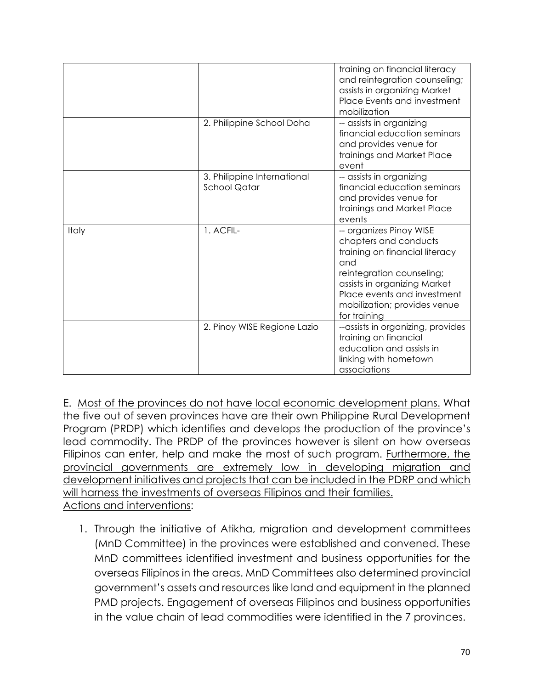|       |                                                    | training on financial literacy<br>and reintegration counseling;<br>assists in organizing Market<br>Place Events and investment<br>mobilization                                                                                        |
|-------|----------------------------------------------------|---------------------------------------------------------------------------------------------------------------------------------------------------------------------------------------------------------------------------------------|
|       | 2. Philippine School Doha                          | -- assists in organizing<br>financial education seminars<br>and provides venue for<br>trainings and Market Place<br>event                                                                                                             |
|       | 3. Philippine International<br><b>School Qatar</b> | -- assists in organizing<br>financial education seminars<br>and provides venue for<br>trainings and Market Place<br>events                                                                                                            |
| Italy | 1. ACFIL-                                          | -- organizes Pinoy WISE<br>chapters and conducts<br>training on financial literacy<br>and<br>reintegration counseling;<br>assists in organizing Market<br>Place events and investment<br>mobilization; provides venue<br>for training |
|       | 2. Pinoy WISE Regione Lazio                        | --assists in organizing, provides<br>training on financial<br>education and assists in<br>linking with hometown<br>associations                                                                                                       |

E. Most of the provinces do not have local economic development plans. What the five out of seven provinces have are their own Philippine Rural Development Program (PRDP) which identifies and develops the production of the province's lead commodity. The PRDP of the provinces however is silent on how overseas Filipinos can enter, help and make the most of such program. Furthermore, the provincial governments are extremely low in developing migration and development initiatives and projects that can be included in the PDRP and which will harness the investments of overseas Filipinos and their families. Actions and interventions:

1. Through the initiative of Atikha, migration and development committees (MnD Committee) in the provinces were established and convened. These MnD committees identified investment and business opportunities for the overseas Filipinos in the areas. MnD Committees also determined provincial government's assets and resources like land and equipment in the planned PMD projects. Engagement of overseas Filipinos and business opportunities in the value chain of lead commodities were identified in the 7 provinces.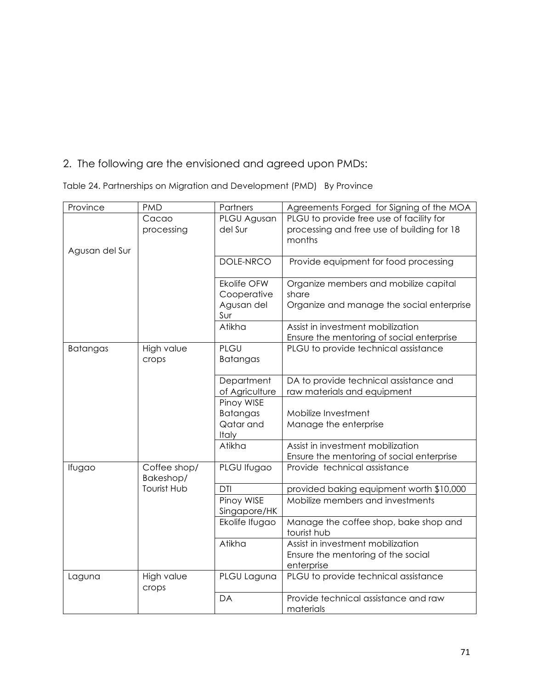# 2. The following are the envisioned and agreed upon PMDs:

Table 24. Partnerships on Migration and Development (PMD) By Province

| Province        | <b>PMD</b>                | Partners                                               | Agreements Forged for Signing of the MOA                                                         |
|-----------------|---------------------------|--------------------------------------------------------|--------------------------------------------------------------------------------------------------|
| Agusan del Sur  | Cacao<br>processing       | PLGU Agusan<br>del Sur                                 | PLGU to provide free use of facility for<br>processing and free use of building for 18<br>months |
|                 |                           | DOLE-NRCO                                              | Provide equipment for food processing                                                            |
|                 |                           | <b>Ekolife OFW</b><br>Cooperative<br>Agusan del<br>Sur | Organize members and mobilize capital<br>share<br>Organize and manage the social enterprise      |
|                 |                           | Atikha                                                 | Assist in investment mobilization<br>Ensure the mentoring of social enterprise                   |
| <b>Batangas</b> | High value<br>crops       | PLGU<br><b>Batangas</b>                                | PLGU to provide technical assistance                                                             |
|                 |                           | Department<br>of Agriculture                           | DA to provide technical assistance and<br>raw materials and equipment                            |
|                 |                           | Pinoy WISE<br>Batangas<br>Qatar and<br>Italy           | Mobilize Investment<br>Manage the enterprise                                                     |
|                 |                           | Atikha                                                 | Assist in investment mobilization<br>Ensure the mentoring of social enterprise                   |
| Ifugao          | Coffee shop/<br>Bakeshop/ | PLGU Ifugao                                            | Provide technical assistance                                                                     |
|                 | <b>Tourist Hub</b>        | <b>DTI</b>                                             | provided baking equipment worth \$10,000                                                         |
|                 |                           | Pinoy WISE<br>Singapore/HK                             | Mobilize members and investments                                                                 |
|                 |                           | Ekolife Ifugao                                         | Manage the coffee shop, bake shop and<br>tourist hub                                             |
|                 |                           | Atikha                                                 | Assist in investment mobilization<br>Ensure the mentoring of the social<br>enterprise            |
| Laguna          | High value<br>crops       | PLGU Laguna                                            | PLGU to provide technical assistance                                                             |
|                 |                           | DA                                                     | Provide technical assistance and raw<br>materials                                                |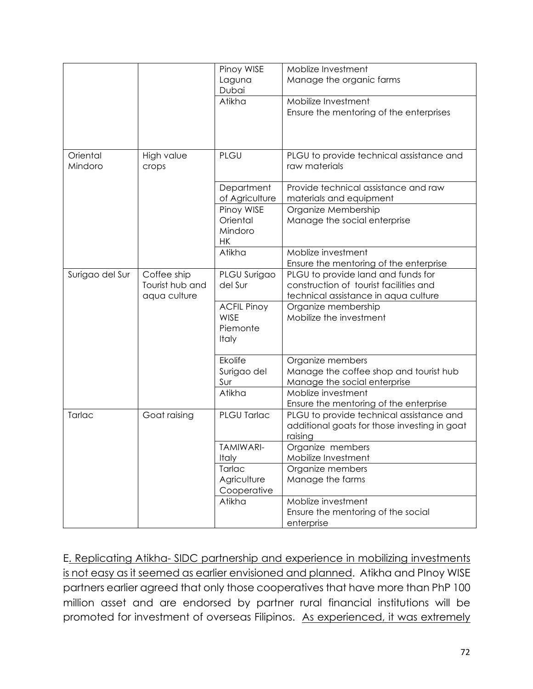|                 |                 | Pinoy WISE         | Moblize Investment                           |
|-----------------|-----------------|--------------------|----------------------------------------------|
|                 |                 | Laguna             | Manage the organic farms                     |
|                 |                 | Dubai              |                                              |
|                 |                 | Atikha             | Mobilize Investment                          |
|                 |                 |                    | Ensure the mentoring of the enterprises      |
|                 |                 |                    |                                              |
|                 |                 |                    |                                              |
|                 |                 |                    |                                              |
| Oriental        | High value      | PLGU               | PLGU to provide technical assistance and     |
| Mindoro         | crops           |                    | raw materials                                |
|                 |                 |                    |                                              |
|                 |                 |                    |                                              |
|                 |                 | Department         | Provide technical assistance and raw         |
|                 |                 | of Agriculture     | materials and equipment                      |
|                 |                 | Pinoy WISE         | Organize Membership                          |
|                 |                 | Oriental           | Manage the social enterprise                 |
|                 |                 | Mindoro            |                                              |
|                 |                 | <b>HK</b>          |                                              |
|                 |                 | Atikha             | Moblize investment                           |
|                 |                 |                    | Ensure the mentoring of the enterprise       |
| Surigao del Sur | Coffee ship     | PLGU Surigao       | PLGU to provide land and funds for           |
|                 | Tourist hub and | del Sur            | construction of tourist facilities and       |
|                 |                 |                    |                                              |
|                 | aqua culture    |                    | technical assistance in aqua culture         |
|                 |                 | <b>ACFIL Pinoy</b> | Organize membership                          |
|                 |                 | <b>WISE</b>        | Mobilize the investment                      |
|                 |                 | Piemonte           |                                              |
|                 |                 | Italy              |                                              |
|                 |                 |                    |                                              |
|                 |                 | Ekolife            | Organize members                             |
|                 |                 | Surigao del        | Manage the coffee shop and tourist hub       |
|                 |                 | Sur                | Manage the social enterprise                 |
|                 |                 | Atikha             | Moblize investment                           |
|                 |                 |                    | Ensure the mentoring of the enterprise       |
| Tarlac          | Goat raising    | PLGU Tarlac        | PLGU to provide technical assistance and     |
|                 |                 |                    | additional goats for those investing in goat |
|                 |                 |                    |                                              |
|                 |                 |                    | raising                                      |
|                 |                 | <b>TAMIWARI-</b>   | Organize members                             |
|                 |                 | Italy              | Mobilize Investment                          |
|                 |                 | Tarlac             | Organize members                             |
|                 |                 | Agriculture        | Manage the farms                             |
|                 |                 | Cooperative        |                                              |
|                 |                 | Atikha             | Moblize investment                           |
|                 |                 |                    | Ensure the mentoring of the social           |
|                 |                 |                    | enterprise                                   |

E. Replicating Atikha- SIDC partnership and experience in mobilizing investments is not easy as it seemed as earlier envisioned and planned. Atikha and PInoy WISE partners earlier agreed that only those cooperatives that have more than PhP 100 million asset and are endorsed by partner rural financial institutions will be promoted for investment of overseas Filipinos. As experienced, it was extremely